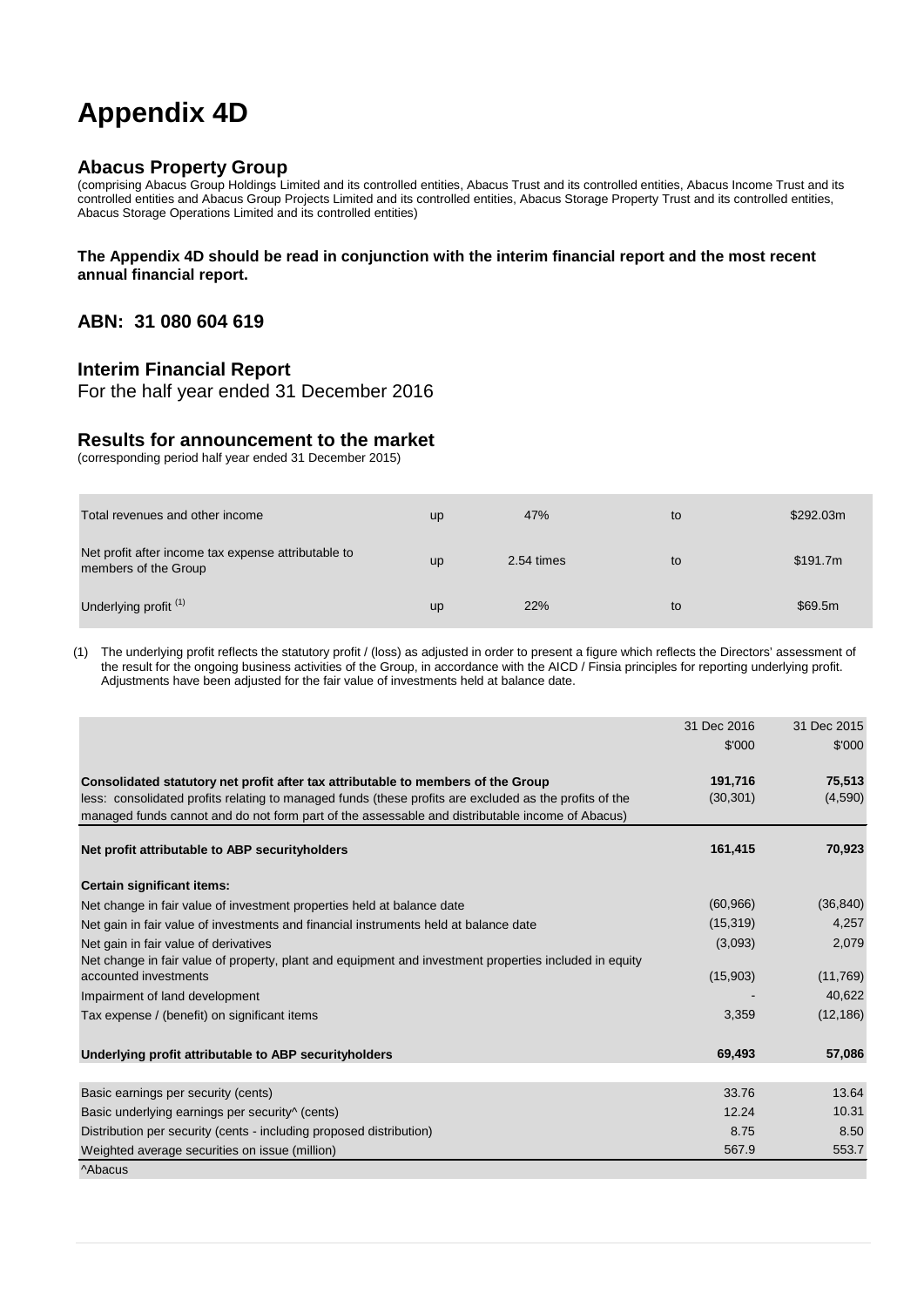# **Appendix 4D**

## **Abacus Property Group**

(comprising Abacus Group Holdings Limited and its controlled entities, Abacus Trust and its controlled entities, Abacus Income Trust and its controlled entities and Abacus Group Projects Limited and its controlled entities, Abacus Storage Property Trust and its controlled entities, Abacus Storage Operations Limited and its controlled entities)

#### **The Appendix 4D should be read in conjunction with the interim financial report and the most recent annual financial report.**

# **ABN: 31 080 604 619**

## **Interim Financial Report**

For the half year ended 31 December 2016

#### **Results for announcement to the market**

(corresponding period half year ended 31 December 2015)

| Total revenues and other income                                             | <b>up</b> | 47%        | to | \$292.03m |
|-----------------------------------------------------------------------------|-----------|------------|----|-----------|
| Net profit after income tax expense attributable to<br>members of the Group | <b>up</b> | 2.54 times | to | \$191.7m  |
| Underlying profit <sup>(1)</sup>                                            | up        | 22%        | to | \$69.5m   |

(1) The underlying profit reflects the statutory profit / (loss) as adjusted in order to present a figure which reflects the Directors' assessment of the result for the ongoing business activities of the Group, in accordance with the AICD / Finsia principles for reporting underlying profit. Adjustments have been adjusted for the fair value of investments held at balance date.

|                                                                                                        | 31 Dec 2016 | 31 Dec 2015 |
|--------------------------------------------------------------------------------------------------------|-------------|-------------|
|                                                                                                        | \$'000      | \$'000      |
| Consolidated statutory net profit after tax attributable to members of the Group                       | 191,716     | 75,513      |
| less: consolidated profits relating to managed funds (these profits are excluded as the profits of the | (30, 301)   | (4,590)     |
| managed funds cannot and do not form part of the assessable and distributable income of Abacus)        |             |             |
| Net profit attributable to ABP security holders                                                        | 161,415     | 70,923      |
| Certain significant items:                                                                             |             |             |
| Net change in fair value of investment properties held at balance date                                 | (60, 966)   | (36, 840)   |
| Net gain in fair value of investments and financial instruments held at balance date                   | (15, 319)   | 4,257       |
| Net gain in fair value of derivatives                                                                  | (3,093)     | 2,079       |
| Net change in fair value of property, plant and equipment and investment properties included in equity |             |             |
| accounted investments                                                                                  | (15,903)    | (11,769)    |
| Impairment of land development                                                                         |             | 40,622      |
| Tax expense / (benefit) on significant items                                                           | 3,359       | (12, 186)   |
| Underlying profit attributable to ABP security holders                                                 | 69,493      | 57,086      |
| Basic earnings per security (cents)                                                                    | 33.76       | 13.64       |
| Basic underlying earnings per security <sup>^</sup> (cents)                                            | 12.24       | 10.31       |
| Distribution per security (cents - including proposed distribution)                                    | 8.75        | 8.50        |
| Weighted average securities on issue (million)                                                         | 567.9       | 553.7       |
| <b>Abacus</b>                                                                                          |             |             |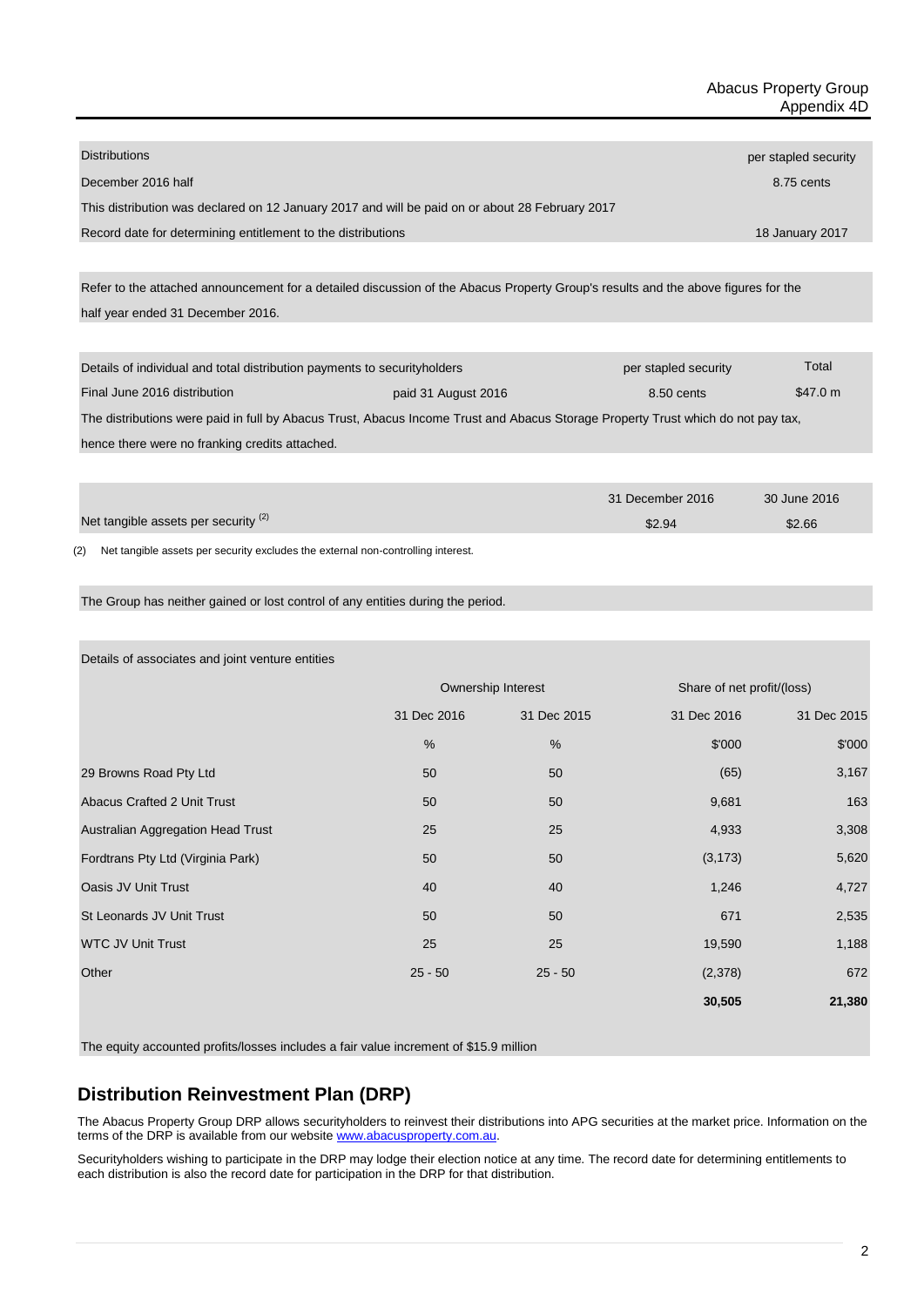| <b>Distributions</b>                                                                            | per stapled security |
|-------------------------------------------------------------------------------------------------|----------------------|
| December 2016 half                                                                              | 8.75 cents           |
| This distribution was declared on 12 January 2017 and will be paid on or about 28 February 2017 |                      |
| Record date for determining entitlement to the distributions                                    | 18 January 2017      |
|                                                                                                 |                      |

half year ended 31 December 2016. Refer to the attached announcement for a detailed discussion of the Abacus Property Group's results and the above figures for the

| Details of individual and total distribution payments to security holders                                                        |                     | per stapled security | Total    |  |
|----------------------------------------------------------------------------------------------------------------------------------|---------------------|----------------------|----------|--|
| Final June 2016 distribution                                                                                                     | paid 31 August 2016 | 8.50 cents           | \$47.0 m |  |
| The distributions were paid in full by Abacus Trust, Abacus Income Trust and Abacus Storage Property Trust which do not pay tax, |                     |                      |          |  |
| hence there were no franking credits attached.                                                                                   |                     |                      |          |  |
|                                                                                                                                  |                     |                      |          |  |

|                                                 | 31 December 2016 | 30 June 2016 |
|-------------------------------------------------|------------------|--------------|
| Net tangible assets per security <sup>(2)</sup> | \$2.94           | \$2.66       |
|                                                 |                  |              |

(2) Net tangible assets per security excludes the external non-controlling interest.

The Group has neither gained or lost control of any entities during the period.

Details of associates and joint venture entities

|                                    | Ownership Interest |             | Share of net profit/(loss) |             |
|------------------------------------|--------------------|-------------|----------------------------|-------------|
|                                    | 31 Dec 2016        | 31 Dec 2015 | 31 Dec 2016                | 31 Dec 2015 |
|                                    | $\frac{0}{0}$      | %           | \$'000                     | \$'000      |
| 29 Browns Road Pty Ltd             | 50                 | 50          | (65)                       | 3,167       |
| <b>Abacus Crafted 2 Unit Trust</b> | 50                 | 50          | 9,681                      | 163         |
| Australian Aggregation Head Trust  | 25                 | 25          | 4,933                      | 3,308       |
| Fordtrans Pty Ltd (Virginia Park)  | 50                 | 50          | (3, 173)                   | 5,620       |
| Oasis JV Unit Trust                | 40                 | 40          | 1,246                      | 4,727       |
| St Leonards JV Unit Trust          | 50                 | 50          | 671                        | 2,535       |
| <b>WTC JV Unit Trust</b>           | 25                 | 25          | 19,590                     | 1,188       |
| Other                              | $25 - 50$          | $25 - 50$   | (2,378)                    | 672         |
|                                    |                    |             | 30,505                     | 21,380      |

The equity accounted profits/losses includes a fair value increment of \$15.9 million

# **Distribution Reinvestment Plan (DRP)**

The Abacus Property Group DRP allows securityholders to reinvest their distributions into APG securities at the market price. Information on the terms of the DRP is available from our websit[e www.abacusproperty.com.au.](http://www.abacusproperty.com.au/)

Securityholders wishing to participate in the DRP may lodge their election notice at any time. The record date for determining entitlements to each distribution is also the record date for participation in the DRP for that distribution.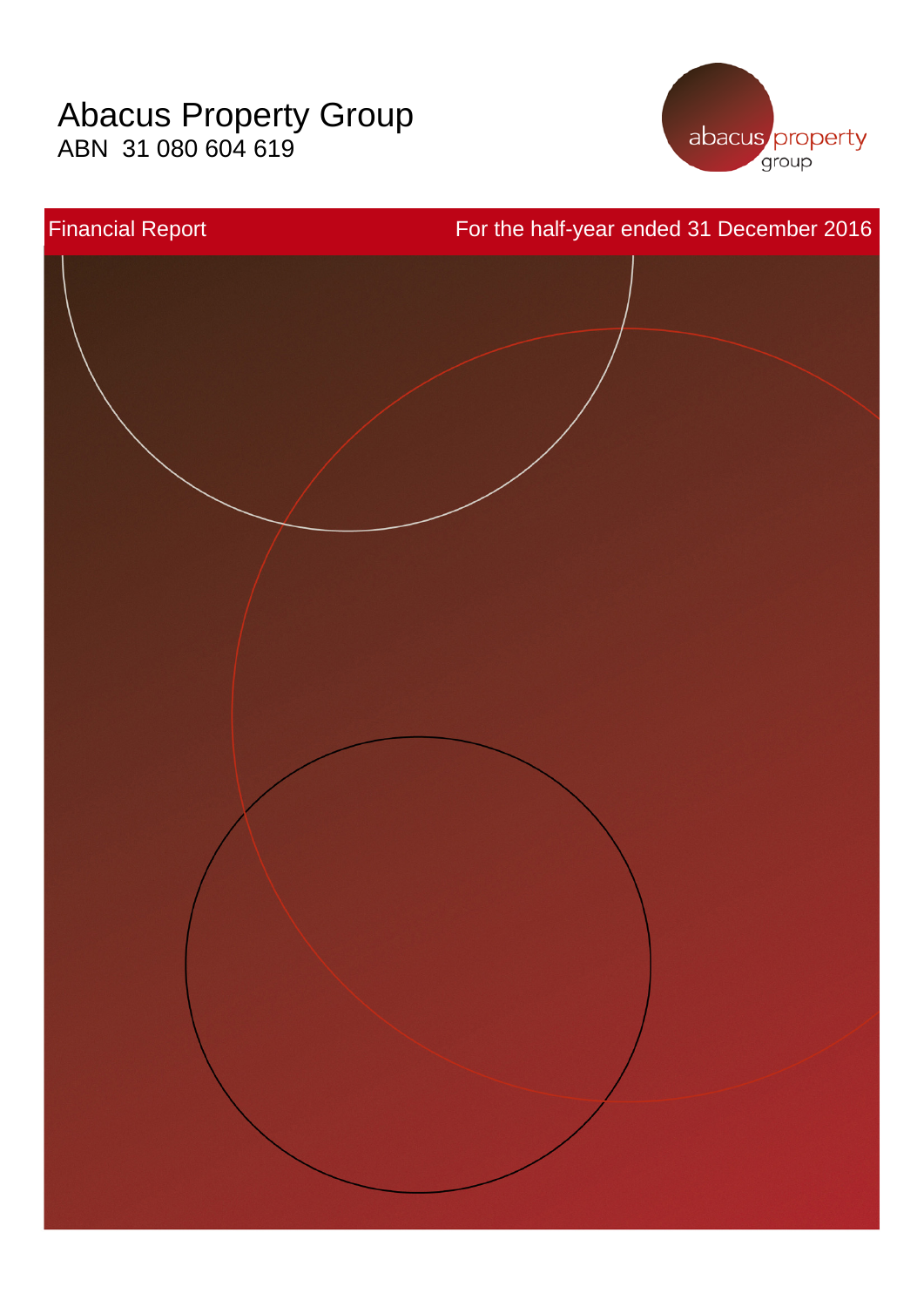# Abacus Property Group ABN 31 080 604 619



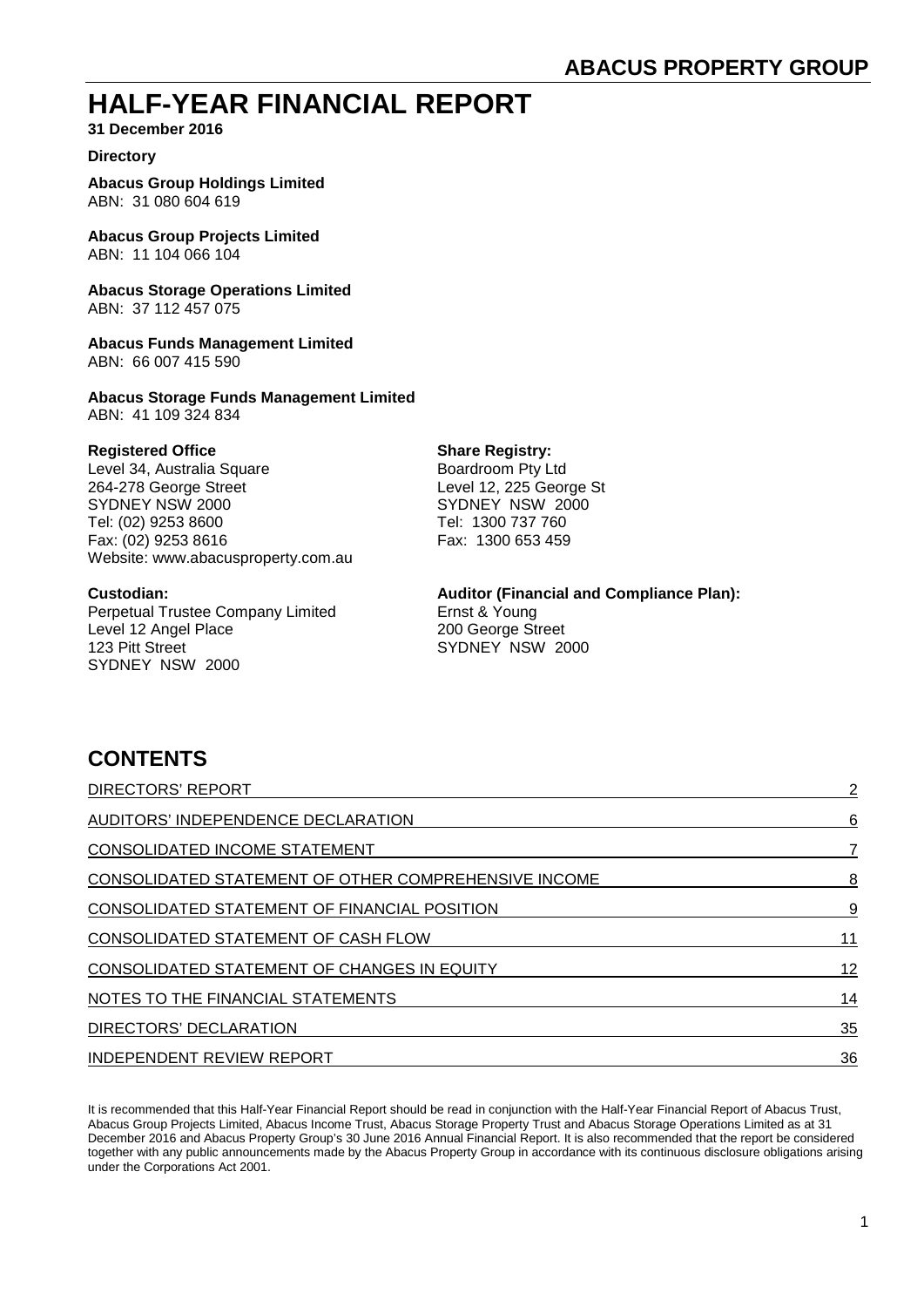# **HALF-YEAR FINANCIAL REPORT**

**31 December 2016**

#### **Directory**

**Abacus Group Holdings Limited** ABN: 31 080 604 619

**Abacus Group Projects Limited** ABN: 11 104 066 104

**Abacus Storage Operations Limited** ABN: 37 112 457 075

**Abacus Funds Management Limited** ABN: 66 007 415 590

**Abacus Storage Funds Management Limited** ABN: 41 109 324 834

**Registered Office**<br>
Level 34, Australia Square<br> **Share Registry:**<br>
Boardroom Pty Ltd Level 34, Australia Square<br>264-278 George Street 264-278 George Street Level 12, 225 George St<br>
SYDNEY NSW 2000 SYDNEY NSW 2000 Tel: (02) 9253 8600 Tel: 1300 737 760 Fax: (02) 9253 8616 Fax: 1300 653 459 Website: www.abacusproperty.com.au

**Custodian: Auditor (Financial and Compliance Plan):** Perpetual Trustee Company Limited<br>
Level 12 Angel Place<br>
200 George Street Level 12 Angel Place 123 Pitt Street Street SYDNEY NSW 2000 SYDNEY NSW 2000

 $SYDNEY$  NSW  $2000$ 

# **CONTENTS**

| <b>DIRECTORS' REPORT</b>                             | $\overline{2}$ |
|------------------------------------------------------|----------------|
| AUDITORS' INDEPENDENCE DECLARATION                   | 6              |
| <b>CONSOLIDATED INCOME STATEMENT</b>                 | 7              |
| CONSOLIDATED STATEMENT OF OTHER COMPREHENSIVE INCOME | 8              |
| CONSOLIDATED STATEMENT OF FINANCIAL POSITION         | 9              |
| CONSOLIDATED STATEMENT OF CASH FLOW                  | 11             |
| <b>CONSOLIDATED STATEMENT OF CHANGES IN EQUITY</b>   | 12             |
| NOTES TO THE FINANCIAL STATEMENTS                    | 14             |
| DIRECTORS' DECLARATION                               | 35             |
| INDEPENDENT REVIEW REPORT                            | 36             |

It is recommended that this Half-Year Financial Report should be read in conjunction with the Half-Year Financial Report of Abacus Trust, Abacus Group Projects Limited, Abacus Income Trust, Abacus Storage Property Trust and Abacus Storage Operations Limited as at 31 December 2016 and Abacus Property Group's 30 June 2016 Annual Financial Report. It is also recommended that the report be considered together with any public announcements made by the Abacus Property Group in accordance with its continuous disclosure obligations arising under the Corporations Act 2001.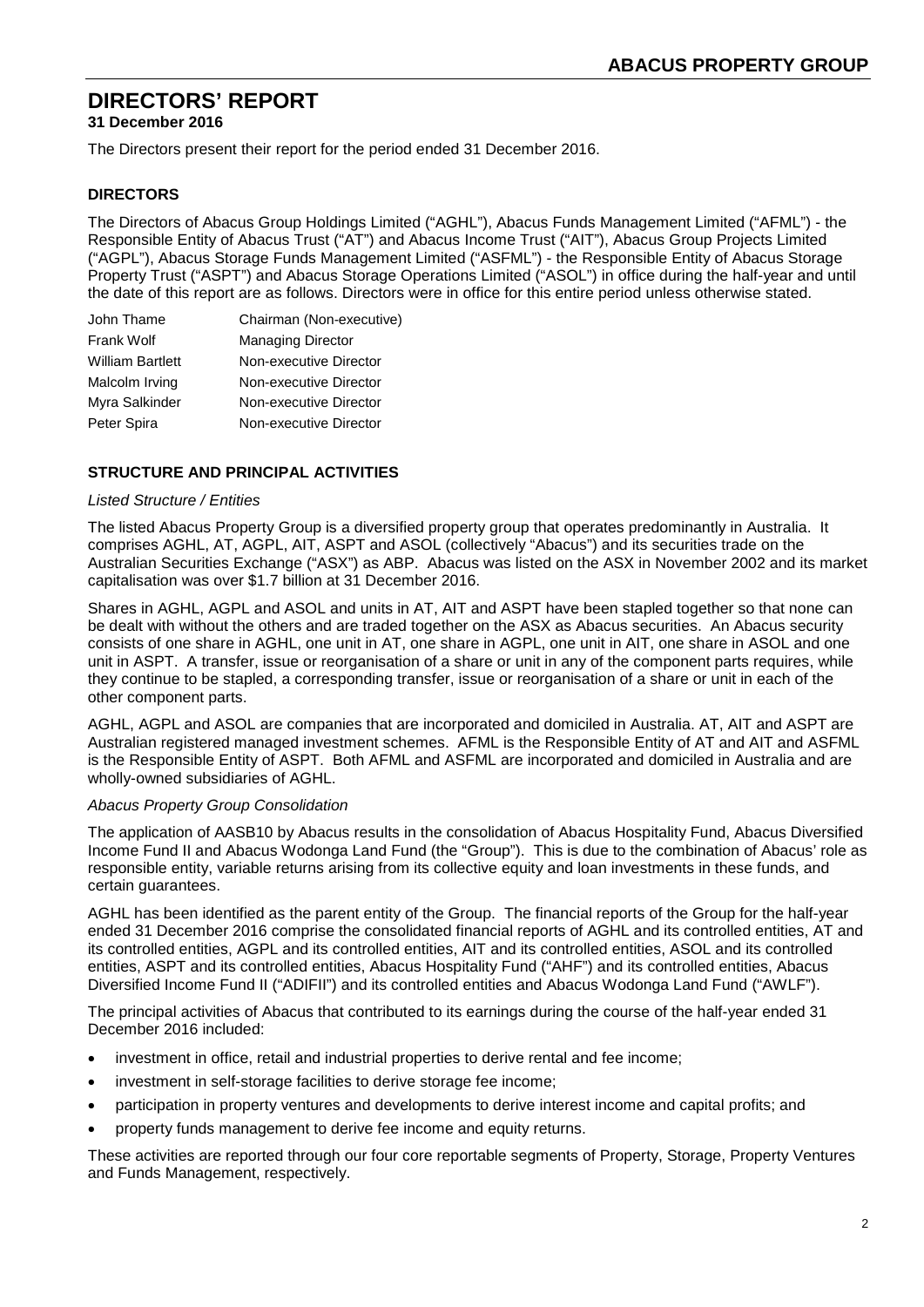**31 December 2016**

The Directors present their report for the period ended 31 December 2016.

#### **DIRECTORS**

The Directors of Abacus Group Holdings Limited ("AGHL"), Abacus Funds Management Limited ("AFML") - the Responsible Entity of Abacus Trust ("AT") and Abacus Income Trust ("AIT"), Abacus Group Projects Limited ("AGPL"), Abacus Storage Funds Management Limited ("ASFML") - the Responsible Entity of Abacus Storage Property Trust ("ASPT") and Abacus Storage Operations Limited ("ASOL") in office during the half-year and until the date of this report are as follows. Directors were in office for this entire period unless otherwise stated.

| John Thame              | Chairman (Non-executive) |
|-------------------------|--------------------------|
| <b>Frank Wolf</b>       | <b>Managing Director</b> |
| <b>William Bartlett</b> | Non-executive Director   |
| Malcolm Irving          | Non-executive Director   |
| Myra Salkinder          | Non-executive Director   |
| Peter Spira             | Non-executive Director   |

#### **STRUCTURE AND PRINCIPAL ACTIVITIES**

#### *Listed Structure / Entities*

The listed Abacus Property Group is a diversified property group that operates predominantly in Australia. It comprises AGHL, AT, AGPL, AIT, ASPT and ASOL (collectively "Abacus") and its securities trade on the Australian Securities Exchange ("ASX") as ABP. Abacus was listed on the ASX in November 2002 and its market capitalisation was over \$1.7 billion at 31 December 2016.

Shares in AGHL, AGPL and ASOL and units in AT, AIT and ASPT have been stapled together so that none can be dealt with without the others and are traded together on the ASX as Abacus securities. An Abacus security consists of one share in AGHL, one unit in AT, one share in AGPL, one unit in AIT, one share in ASOL and one unit in ASPT. A transfer, issue or reorganisation of a share or unit in any of the component parts requires, while they continue to be stapled, a corresponding transfer, issue or reorganisation of a share or unit in each of the other component parts.

AGHL, AGPL and ASOL are companies that are incorporated and domiciled in Australia. AT, AIT and ASPT are Australian registered managed investment schemes. AFML is the Responsible Entity of AT and AIT and ASFML is the Responsible Entity of ASPT. Both AFML and ASFML are incorporated and domiciled in Australia and are wholly-owned subsidiaries of AGHL.

#### *Abacus Property Group Consolidation*

The application of AASB10 by Abacus results in the consolidation of Abacus Hospitality Fund, Abacus Diversified Income Fund II and Abacus Wodonga Land Fund (the "Group"). This is due to the combination of Abacus' role as responsible entity, variable returns arising from its collective equity and loan investments in these funds, and certain guarantees.

AGHL has been identified as the parent entity of the Group. The financial reports of the Group for the half-year ended 31 December 2016 comprise the consolidated financial reports of AGHL and its controlled entities, AT and its controlled entities, AGPL and its controlled entities, AIT and its controlled entities, ASOL and its controlled entities, ASPT and its controlled entities, Abacus Hospitality Fund ("AHF") and its controlled entities, Abacus Diversified Income Fund II ("ADIFII") and its controlled entities and Abacus Wodonga Land Fund ("AWLF").

The principal activities of Abacus that contributed to its earnings during the course of the half-year ended 31 December 2016 included:

- investment in office, retail and industrial properties to derive rental and fee income;
- investment in self-storage facilities to derive storage fee income;
- participation in property ventures and developments to derive interest income and capital profits; and
- property funds management to derive fee income and equity returns.

These activities are reported through our four core reportable segments of Property, Storage, Property Ventures and Funds Management, respectively.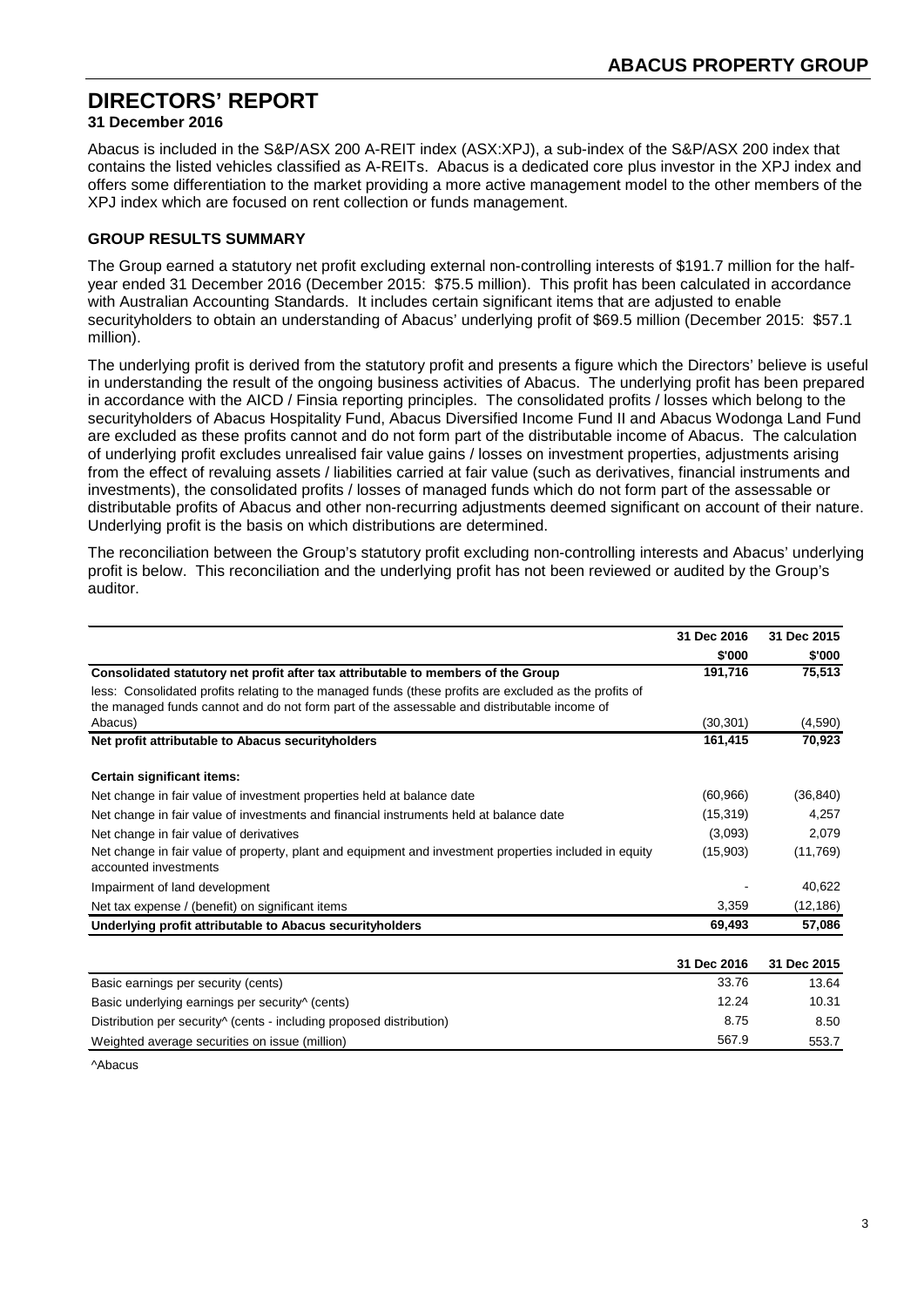## **31 December 2016**

Abacus is included in the S&P/ASX 200 A-REIT index (ASX:XPJ), a sub-index of the S&P/ASX 200 index that contains the listed vehicles classified as A-REITs. Abacus is a dedicated core plus investor in the XPJ index and offers some differentiation to the market providing a more active management model to the other members of the XPJ index which are focused on rent collection or funds management.

## **GROUP RESULTS SUMMARY**

The Group earned a statutory net profit excluding external non-controlling interests of \$191.7 million for the halfyear ended 31 December 2016 (December 2015: \$75.5 million). This profit has been calculated in accordance with Australian Accounting Standards. It includes certain significant items that are adjusted to enable securityholders to obtain an understanding of Abacus' underlying profit of \$69.5 million (December 2015: \$57.1 million).

The underlying profit is derived from the statutory profit and presents a figure which the Directors' believe is useful in understanding the result of the ongoing business activities of Abacus. The underlying profit has been prepared in accordance with the AICD / Finsia reporting principles. The consolidated profits / losses which belong to the securityholders of Abacus Hospitality Fund, Abacus Diversified Income Fund II and Abacus Wodonga Land Fund are excluded as these profits cannot and do not form part of the distributable income of Abacus. The calculation of underlying profit excludes unrealised fair value gains / losses on investment properties, adjustments arising from the effect of revaluing assets / liabilities carried at fair value (such as derivatives, financial instruments and investments), the consolidated profits / losses of managed funds which do not form part of the assessable or distributable profits of Abacus and other non-recurring adjustments deemed significant on account of their nature. Underlying profit is the basis on which distributions are determined.

The reconciliation between the Group's statutory profit excluding non-controlling interests and Abacus' underlying profit is below. This reconciliation and the underlying profit has not been reviewed or audited by the Group's auditor.

|                                                                                                                                 | 31 Dec 2016 | 31 Dec 2015 |
|---------------------------------------------------------------------------------------------------------------------------------|-------------|-------------|
|                                                                                                                                 | \$'000      | \$'000      |
| Consolidated statutory net profit after tax attributable to members of the Group                                                | 191,716     | 75,513      |
| less: Consolidated profits relating to the managed funds (these profits are excluded as the profits of                          |             |             |
| the managed funds cannot and do not form part of the assessable and distributable income of                                     |             |             |
| Abacus)                                                                                                                         | (30, 301)   | (4,590)     |
| Net profit attributable to Abacus securityholders                                                                               | 161,415     | 70,923      |
| Certain significant items:                                                                                                      |             |             |
| Net change in fair value of investment properties held at balance date                                                          | (60, 966)   | (36, 840)   |
| Net change in fair value of investments and financial instruments held at balance date                                          | (15, 319)   | 4,257       |
| Net change in fair value of derivatives                                                                                         | (3,093)     | 2,079       |
| Net change in fair value of property, plant and equipment and investment properties included in equity<br>accounted investments | (15,903)    | (11,769)    |
| Impairment of land development                                                                                                  |             | 40,622      |
| Net tax expense / (benefit) on significant items                                                                                | 3,359       | (12, 186)   |
| Underlying profit attributable to Abacus securityholders                                                                        | 69,493      | 57,086      |
|                                                                                                                                 | 31 Dec 2016 | 31 Dec 2015 |
| Basic earnings per security (cents)                                                                                             | 33.76       | 13.64       |
| Basic underlying earnings per security (cents)                                                                                  | 12.24       | 10.31       |

Distribution per security<sup>^</sup> (cents - including proposed distribution) 8.75 8.50 Weighted average securities on issue (million) 553.7  $\frac{553.7}{2}$  553.7

^Abacus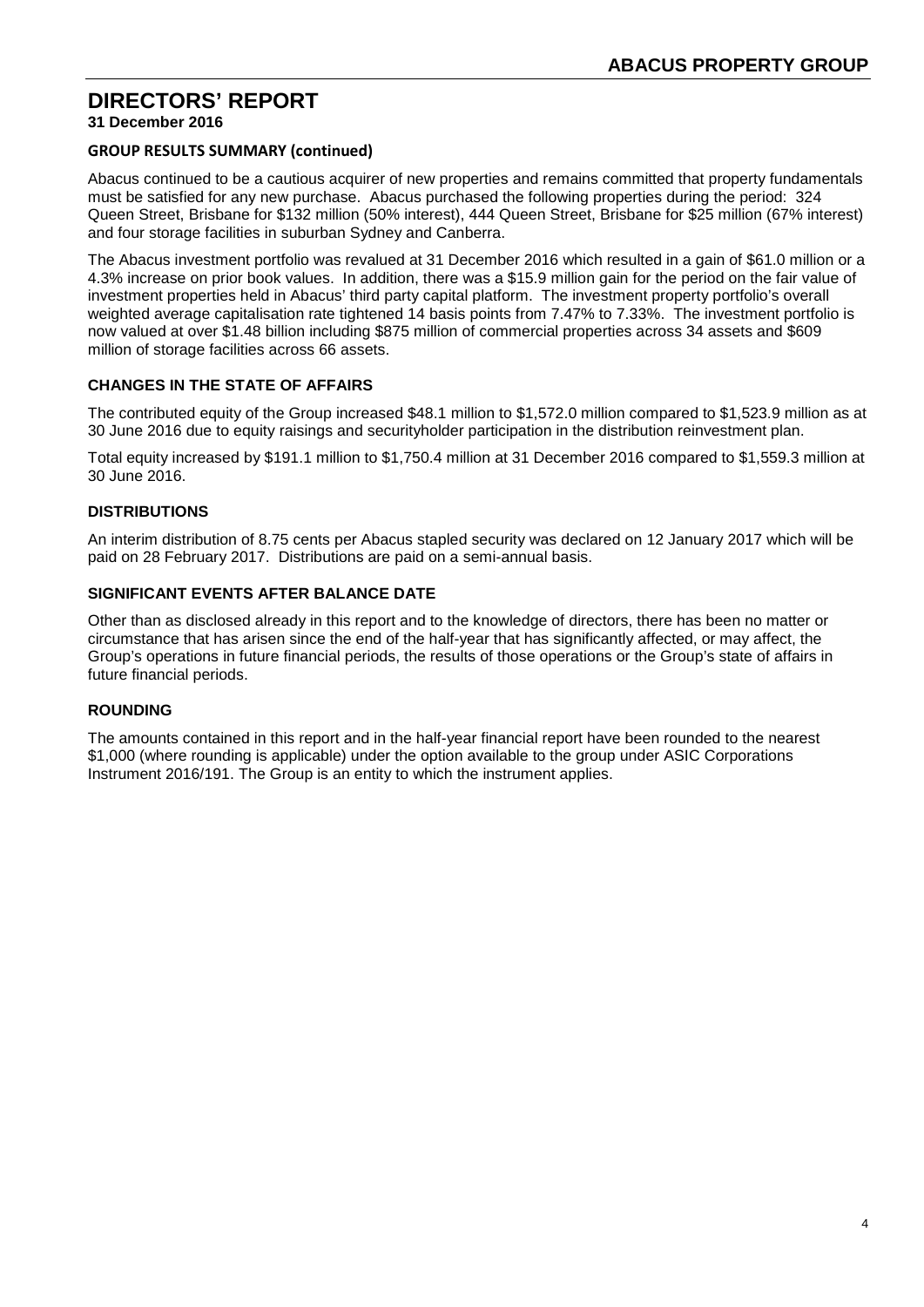**31 December 2016**

#### **GROUP RESULTS SUMMARY (continued)**

Abacus continued to be a cautious acquirer of new properties and remains committed that property fundamentals must be satisfied for any new purchase. Abacus purchased the following properties during the period: 324 Queen Street, Brisbane for \$132 million (50% interest), 444 Queen Street, Brisbane for \$25 million (67% interest) and four storage facilities in suburban Sydney and Canberra.

The Abacus investment portfolio was revalued at 31 December 2016 which resulted in a gain of \$61.0 million or a 4.3% increase on prior book values. In addition, there was a \$15.9 million gain for the period on the fair value of investment properties held in Abacus' third party capital platform. The investment property portfolio's overall weighted average capitalisation rate tightened 14 basis points from 7.47% to 7.33%. The investment portfolio is now valued at over \$1.48 billion including \$875 million of commercial properties across 34 assets and \$609 million of storage facilities across 66 assets.

## **CHANGES IN THE STATE OF AFFAIRS**

The contributed equity of the Group increased \$48.1 million to \$1,572.0 million compared to \$1,523.9 million as at 30 June 2016 due to equity raisings and securityholder participation in the distribution reinvestment plan.

Total equity increased by \$191.1 million to \$1,750.4 million at 31 December 2016 compared to \$1,559.3 million at 30 June 2016.

## **DISTRIBUTIONS**

An interim distribution of 8.75 cents per Abacus stapled security was declared on 12 January 2017 which will be paid on 28 February 2017. Distributions are paid on a semi-annual basis.

#### **SIGNIFICANT EVENTS AFTER BALANCE DATE**

Other than as disclosed already in this report and to the knowledge of directors, there has been no matter or circumstance that has arisen since the end of the half-year that has significantly affected, or may affect, the Group's operations in future financial periods, the results of those operations or the Group's state of affairs in future financial periods.

## **ROUNDING**

The amounts contained in this report and in the half-year financial report have been rounded to the nearest \$1,000 (where rounding is applicable) under the option available to the group under ASIC Corporations Instrument 2016/191. The Group is an entity to which the instrument applies.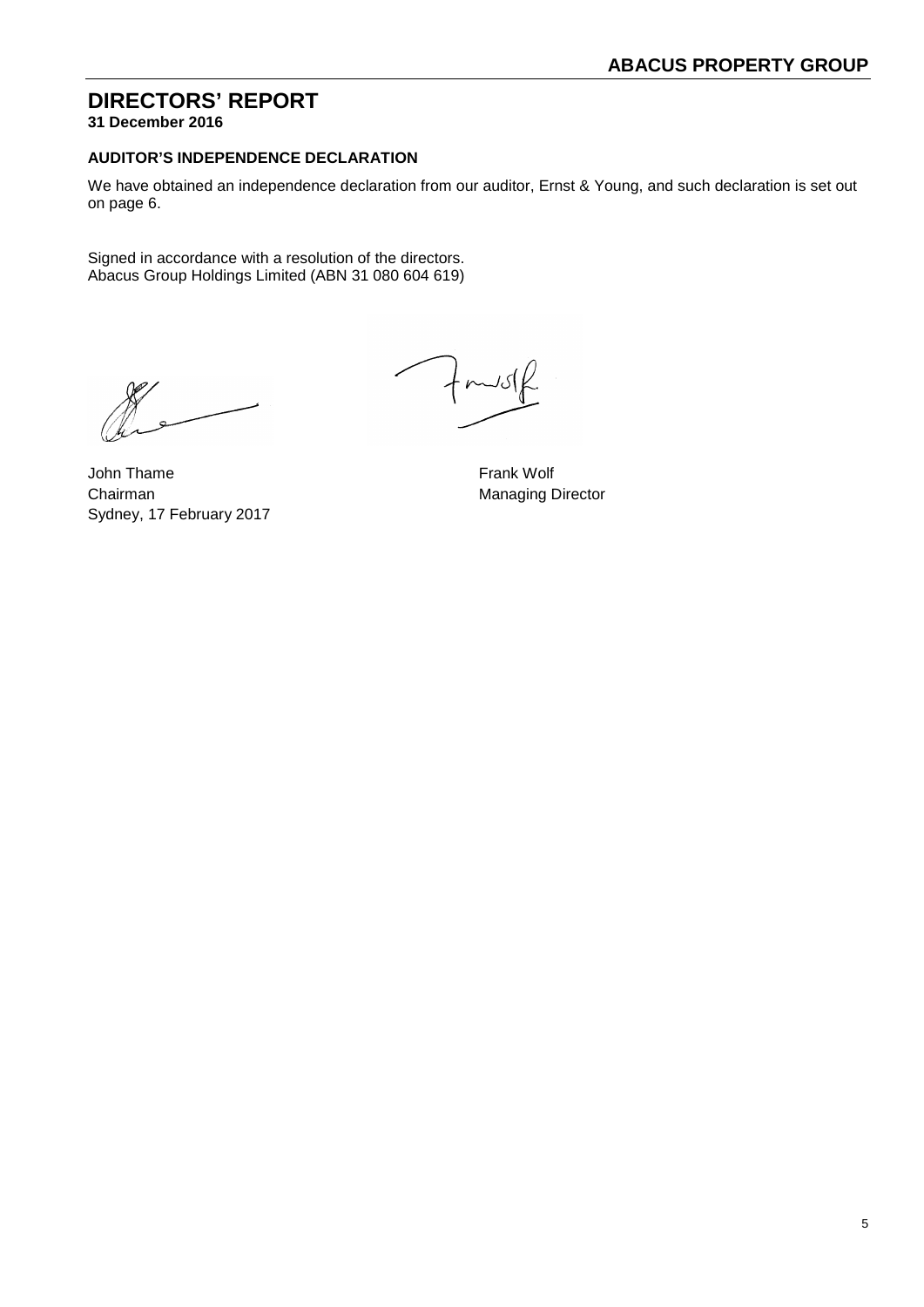**31 December 2016**

## **AUDITOR'S INDEPENDENCE DECLARATION**

We have obtained an independence declaration from our auditor, Ernst & Young, and such declaration is set out on page 6.

Signed in accordance with a resolution of the directors. Abacus Group Holdings Limited (ABN 31 080 604 619)

John Thame **Frank Wolf** Chairman Managing Director Sydney, 17 February 2017

 $f$ mus $f$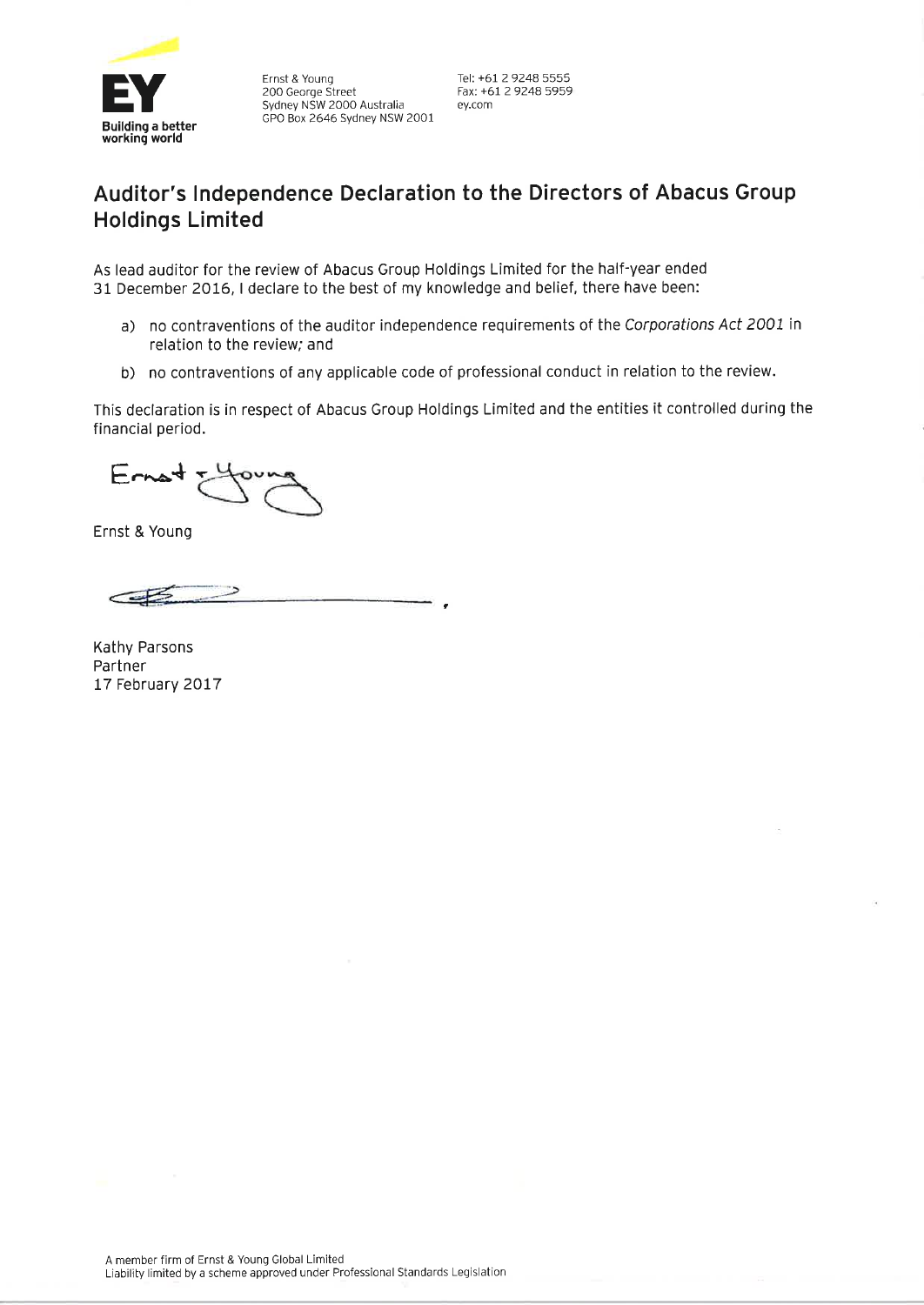

Ernst & Young 200 George Street Sydney NSW 2000 Australia GPO Box 2646 Sydney NSW 2001 Tel: +61 2 9248 5555 Fax: +61 2 9248 5959 ey.com

# Auditor's Independence Declaration to the Directors of Abacus Group **Holdings Limited**

As lead auditor for the review of Abacus Group Holdings Limited for the half-year ended 31 December 2016, I declare to the best of my knowledge and belief, there have been:

- a) no contraventions of the auditor independence requirements of the Corporations Act 2001 in relation to the review; and
- b) no contraventions of any applicable code of professional conduct in relation to the review.

This declaration is in respect of Abacus Group Holdings Limited and the entities it controlled during the financial period.

 $Erast$ 

Ernst & Young

Kathy Parsons Partner 17 February 2017

A member firm of Ernst & Young Global Limited Liability limited by a scheme approved under Professional Standards Legislation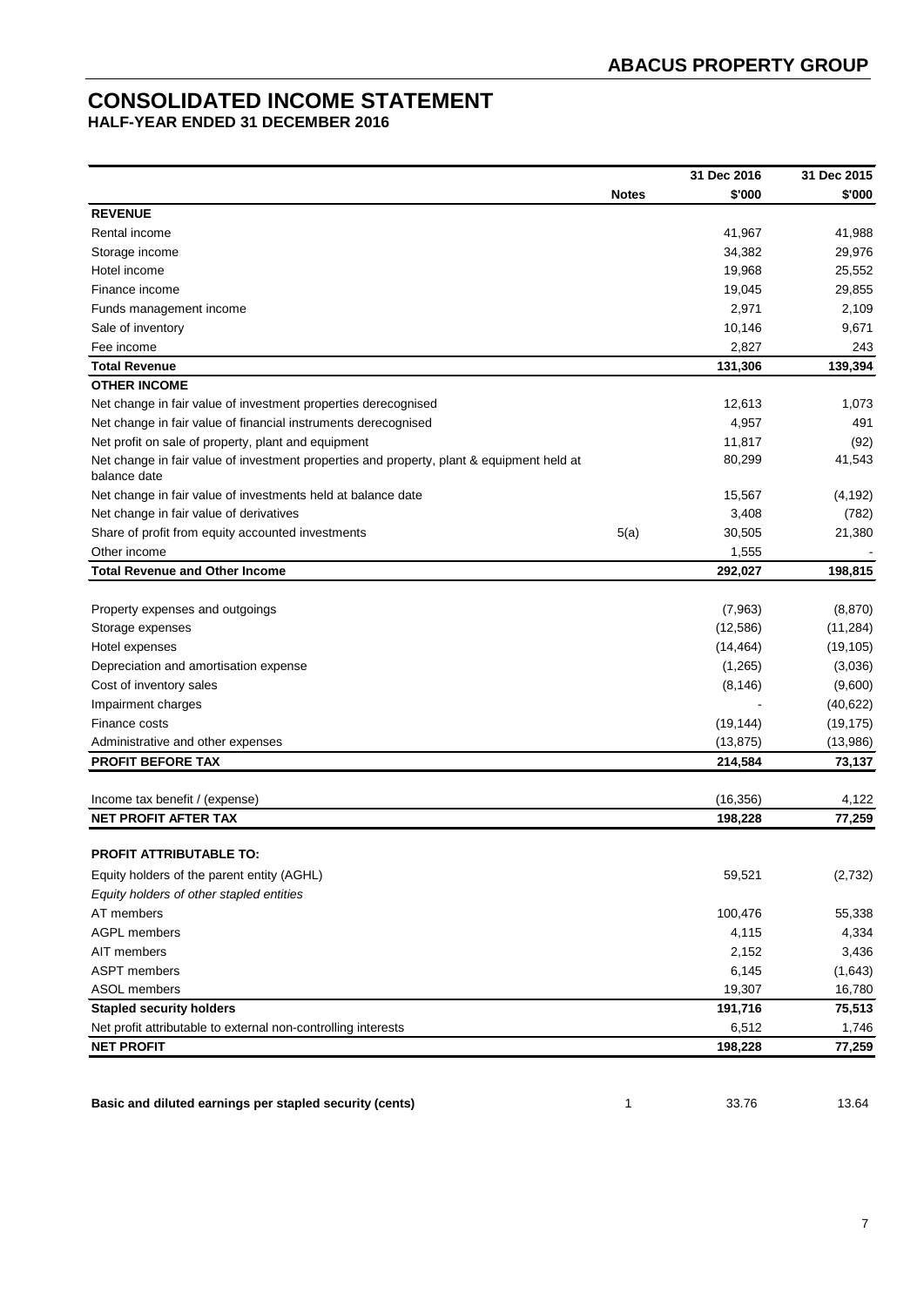# **CONSOLIDATED INCOME STATEMENT**

**HALF-YEAR ENDED 31 DECEMBER 2016**

|                                                                                           | <b>Notes</b> |           |           |
|-------------------------------------------------------------------------------------------|--------------|-----------|-----------|
|                                                                                           |              | \$'000    | \$'000    |
| <b>REVENUE</b>                                                                            |              |           |           |
| Rental income                                                                             |              | 41,967    | 41,988    |
| Storage income                                                                            |              | 34,382    | 29,976    |
| Hotel income                                                                              |              | 19,968    | 25,552    |
| Finance income                                                                            |              | 19,045    | 29,855    |
| Funds management income                                                                   |              | 2,971     | 2,109     |
| Sale of inventory                                                                         |              | 10,146    | 9,671     |
| Fee income                                                                                |              | 2,827     | 243       |
| <b>Total Revenue</b>                                                                      |              | 131,306   | 139,394   |
| <b>OTHER INCOME</b>                                                                       |              |           |           |
| Net change in fair value of investment properties derecognised                            |              | 12,613    | 1,073     |
| Net change in fair value of financial instruments derecognised                            |              | 4,957     | 491       |
| Net profit on sale of property, plant and equipment                                       |              | 11,817    | (92)      |
| Net change in fair value of investment properties and property, plant & equipment held at |              | 80,299    | 41,543    |
| balance date                                                                              |              |           |           |
| Net change in fair value of investments held at balance date                              |              | 15,567    | (4, 192)  |
| Net change in fair value of derivatives                                                   |              | 3,408     | (782)     |
| Share of profit from equity accounted investments                                         | 5(a)         | 30,505    | 21,380    |
| Other income                                                                              |              | 1,555     |           |
| <b>Total Revenue and Other Income</b>                                                     |              | 292,027   | 198,815   |
|                                                                                           |              |           |           |
| Property expenses and outgoings                                                           |              | (7,963)   | (8,870)   |
| Storage expenses                                                                          |              | (12, 586) | (11, 284) |
| Hotel expenses                                                                            |              | (14, 464) | (19, 105) |
| Depreciation and amortisation expense                                                     |              | (1,265)   | (3,036)   |
| Cost of inventory sales                                                                   |              | (8, 146)  | (9,600)   |
| Impairment charges                                                                        |              |           | (40, 622) |
| Finance costs                                                                             |              | (19, 144) | (19, 175) |
| Administrative and other expenses                                                         |              | (13, 875) | (13,986)  |
| <b>PROFIT BEFORE TAX</b>                                                                  |              | 214,584   | 73,137    |
|                                                                                           |              |           |           |
| Income tax benefit / (expense)                                                            |              | (16, 356) | 4,122     |
| <b>NET PROFIT AFTER TAX</b>                                                               |              | 198,228   | 77,259    |
|                                                                                           |              |           |           |
| <b>PROFIT ATTRIBUTABLE TO:</b>                                                            |              |           |           |
| Equity holders of the parent entity (AGHL)                                                |              | 59,521    | (2, 732)  |
| Equity holders of other stapled entities                                                  |              |           |           |
| AT members                                                                                |              | 100,476   | 55,338    |
| <b>AGPL members</b>                                                                       |              | 4,115     | 4,334     |
| AIT members                                                                               |              | 2,152     | 3,436     |
| <b>ASPT</b> members                                                                       |              | 6,145     | (1,643)   |
| ASOL members                                                                              |              | 19,307    | 16,780    |
| <b>Stapled security holders</b>                                                           |              | 191,716   | 75,513    |
| Net profit attributable to external non-controlling interests                             |              | 6,512     | 1,746     |
| <b>NET PROFIT</b>                                                                         |              | 198,228   | 77,259    |

**Basic and diluted earnings per stapled security (cents)** 1 1 33.76 33.76 13.64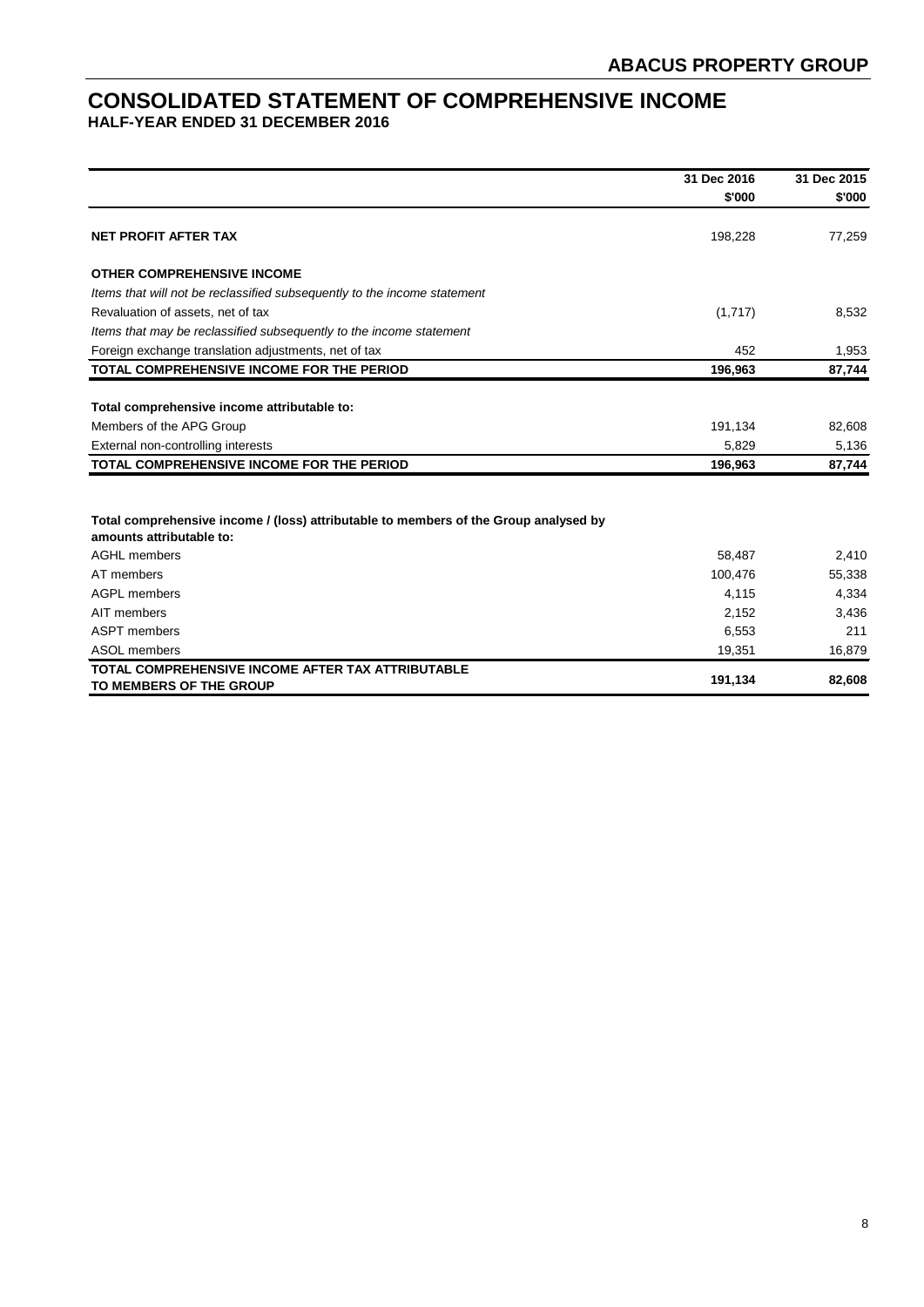# **CONSOLIDATED STATEMENT OF COMPREHENSIVE INCOME HALF-YEAR ENDED 31 DECEMBER 2016**

|                                                                                                                  | 31 Dec 2016 | 31 Dec 2015 |
|------------------------------------------------------------------------------------------------------------------|-------------|-------------|
|                                                                                                                  | \$'000      | \$'000      |
| <b>NET PROFIT AFTER TAX</b>                                                                                      | 198,228     | 77,259      |
| <b>OTHER COMPREHENSIVE INCOME</b>                                                                                |             |             |
| Items that will not be reclassified subsequently to the income statement                                         |             |             |
| Revaluation of assets, net of tax                                                                                | (1,717)     | 8,532       |
| Items that may be reclassified subsequently to the income statement                                              |             |             |
| Foreign exchange translation adjustments, net of tax                                                             | 452         | 1,953       |
| TOTAL COMPREHENSIVE INCOME FOR THE PERIOD                                                                        | 196,963     | 87,744      |
|                                                                                                                  |             |             |
| Total comprehensive income attributable to:                                                                      |             |             |
| Members of the APG Group                                                                                         | 191,134     | 82,608      |
| External non-controlling interests                                                                               | 5,829       | 5,136       |
| <b>TOTAL COMPREHENSIVE INCOME FOR THE PERIOD</b>                                                                 | 196,963     | 87,744      |
|                                                                                                                  |             |             |
| Total comprehensive income / (loss) attributable to members of the Group analysed by<br>amounts attributable to: |             |             |
| <b>AGHL</b> members                                                                                              | 58,487      | 2,410       |
| AT members                                                                                                       | 100,476     | 55,338      |
| <b>AGPL members</b>                                                                                              | 4,115       | 4,334       |
| AIT members                                                                                                      | 2,152       | 3,436       |
| <b>ASPT</b> members                                                                                              | 6,553       | 211         |
| ASOL members                                                                                                     | 19,351      | 16,879      |
| TOTAL COMPREHENSIVE INCOME AFTER TAX ATTRIBUTABLE<br>TO MEMBERS OF THE GROUP                                     | 191,134     | 82,608      |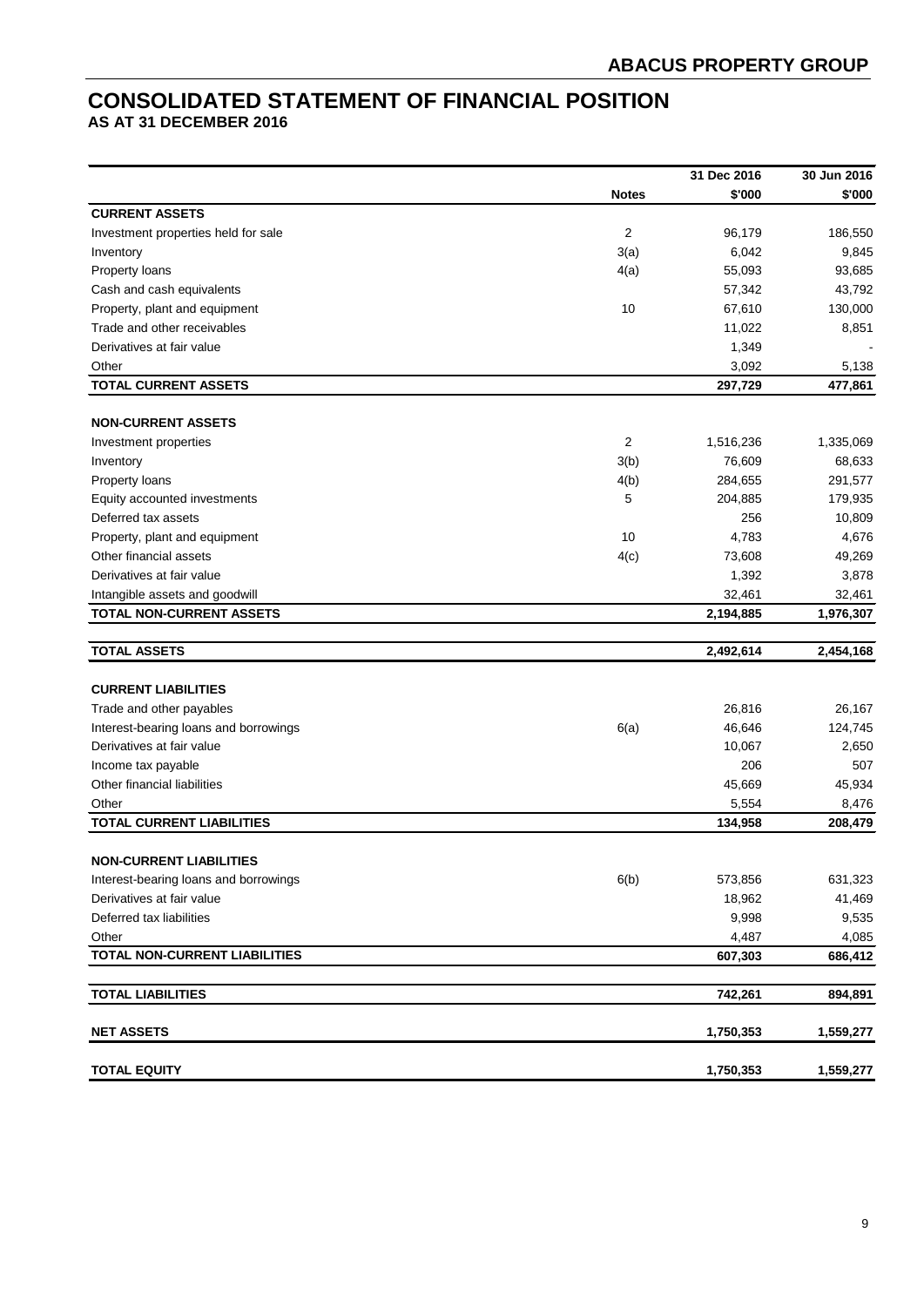# **CONSOLIDATED STATEMENT OF FINANCIAL POSITION**

**AS AT 31 DECEMBER 2016**

|                                       |              | 31 Dec 2016 | 30 Jun 2016 |
|---------------------------------------|--------------|-------------|-------------|
|                                       | <b>Notes</b> | \$'000      | \$'000      |
| <b>CURRENT ASSETS</b>                 |              |             |             |
| Investment properties held for sale   | $\sqrt{2}$   | 96,179      | 186,550     |
| Inventory                             | 3(a)         | 6,042       | 9,845       |
| Property loans                        | 4(a)         | 55,093      | 93,685      |
| Cash and cash equivalents             |              | 57,342      | 43,792      |
| Property, plant and equipment         | 10           | 67,610      | 130,000     |
| Trade and other receivables           |              | 11,022      | 8,851       |
| Derivatives at fair value             |              | 1,349       |             |
| Other                                 |              | 3,092       | 5,138       |
| <b>TOTAL CURRENT ASSETS</b>           |              | 297,729     | 477,861     |
|                                       |              |             |             |
| <b>NON-CURRENT ASSETS</b>             |              |             |             |
| Investment properties                 | 2            | 1,516,236   | 1,335,069   |
| Inventory                             | 3(b)         | 76,609      | 68,633      |
| Property loans                        | 4(b)         | 284,655     | 291,577     |
| Equity accounted investments          | 5            | 204,885     | 179,935     |
| Deferred tax assets                   |              | 256         | 10,809      |
| Property, plant and equipment         | 10           | 4,783       | 4,676       |
| Other financial assets                | 4(c)         | 73,608      | 49,269      |
| Derivatives at fair value             |              | 1,392       | 3,878       |
| Intangible assets and goodwill        |              | 32,461      | 32,461      |
| <b>TOTAL NON-CURRENT ASSETS</b>       |              | 2,194,885   | 1,976,307   |
| <b>TOTAL ASSETS</b>                   |              | 2,492,614   | 2,454,168   |
|                                       |              |             |             |
| <b>CURRENT LIABILITIES</b>            |              |             |             |
| Trade and other payables              |              | 26,816      | 26,167      |
| Interest-bearing loans and borrowings | 6(a)         | 46,646      | 124,745     |
| Derivatives at fair value             |              | 10,067      | 2,650       |
| Income tax payable                    |              | 206         | 507         |
| Other financial liabilities           |              | 45,669      | 45,934      |
| Other                                 |              | 5,554       | 8,476       |
| <b>TOTAL CURRENT LIABILITIES</b>      |              | 134,958     | 208,479     |
|                                       |              |             |             |
| <b>NON-CURRENT LIABILITIES</b>        |              |             |             |
| Interest-bearing loans and borrowings | 6(b)         | 573,856     | 631,323     |
| Derivatives at fair value             |              | 18,962      | 41,469      |
| Deferred tax liabilities              |              | 9,998       | 9,535       |
| Other                                 |              | 4,487       | 4,085       |
| TOTAL NON-CURRENT LIABILITIES         |              | 607,303     | 686,412     |
| <b>TOTAL LIABILITIES</b>              |              | 742,261     | 894,891     |
| <b>NET ASSETS</b>                     |              | 1,750,353   | 1,559,277   |
|                                       |              |             |             |
| <b>TOTAL EQUITY</b>                   |              | 1,750,353   | 1,559,277   |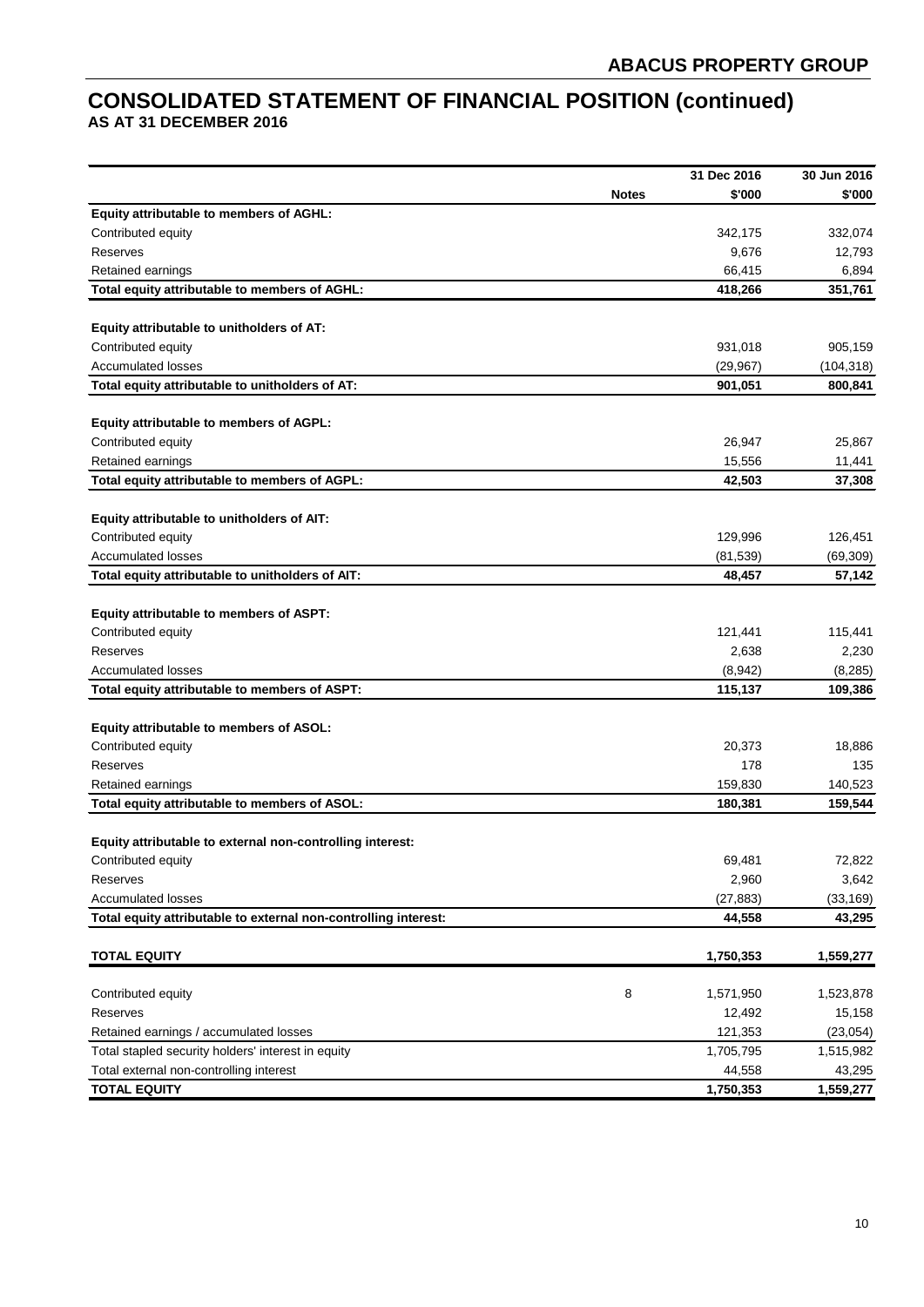# **CONSOLIDATED STATEMENT OF FINANCIAL POSITION (continued) AS AT 31 DECEMBER 2016**

| <b>Notes</b><br>\$'000<br>\$'000<br>Equity attributable to members of AGHL:<br>Contributed equity<br>342,175<br>332,074<br>9,676<br>Reserves<br>12,793<br>66,415<br>Retained earnings<br>6,894<br>Total equity attributable to members of AGHL:<br>418,266<br>351,761<br>Equity attributable to unitholders of AT:<br>Contributed equity<br>931,018<br>905,159<br><b>Accumulated losses</b><br>(29, 967)<br>(104, 318)<br>Total equity attributable to unitholders of AT:<br>901,051<br>800,841<br>Equity attributable to members of AGPL:<br>Contributed equity<br>26,947<br>25,867<br>Retained earnings<br>15,556<br>11,441<br>Total equity attributable to members of AGPL:<br>42,503<br>37,308<br>Equity attributable to unitholders of AIT:<br>Contributed equity<br>129,996<br>126,451<br><b>Accumulated losses</b><br>(81, 539)<br>(69, 309)<br>Total equity attributable to unitholders of AIT:<br>48,457<br>57,142<br>Equity attributable to members of ASPT:<br>Contributed equity<br>121,441<br>115,441<br>2,638<br>Reserves<br>2,230<br><b>Accumulated losses</b><br>(8,942)<br>(8, 285)<br>Total equity attributable to members of ASPT:<br>115,137<br>109,386<br>Equity attributable to members of ASOL:<br>Contributed equity<br>20,373<br>18,886<br>178<br>135<br>Reserves<br>159,830<br>140,523<br>Retained earnings<br>Total equity attributable to members of ASOL:<br>180,381<br>159,544<br>Equity attributable to external non-controlling interest:<br>72,822<br>69,481<br>Contributed equity<br>2,960<br>3,642<br>Reserves<br><b>Accumulated losses</b><br>(27, 883)<br>(33, 169)<br>44,558<br>Total equity attributable to external non-controlling interest:<br>43,295<br><b>TOTAL EQUITY</b><br>1,750,353<br>1,559,277<br>8<br>Contributed equity<br>1,571,950<br>1,523,878<br>Reserves<br>12,492<br>15,158<br>Retained earnings / accumulated losses<br>121,353<br>(23, 054)<br>Total stapled security holders' interest in equity<br>1,705,795<br>1,515,982<br>Total external non-controlling interest<br>44,558<br>43,295<br><b>TOTAL EQUITY</b><br>1,750,353<br>1,559,277 |  | 31 Dec 2016 | 30 Jun 2016 |
|---------------------------------------------------------------------------------------------------------------------------------------------------------------------------------------------------------------------------------------------------------------------------------------------------------------------------------------------------------------------------------------------------------------------------------------------------------------------------------------------------------------------------------------------------------------------------------------------------------------------------------------------------------------------------------------------------------------------------------------------------------------------------------------------------------------------------------------------------------------------------------------------------------------------------------------------------------------------------------------------------------------------------------------------------------------------------------------------------------------------------------------------------------------------------------------------------------------------------------------------------------------------------------------------------------------------------------------------------------------------------------------------------------------------------------------------------------------------------------------------------------------------------------------------------------------------------------------------------------------------------------------------------------------------------------------------------------------------------------------------------------------------------------------------------------------------------------------------------------------------------------------------------------------------------------------------------------------------------------------------------------------------------------------------------------------------------------------------------------|--|-------------|-------------|
|                                                                                                                                                                                                                                                                                                                                                                                                                                                                                                                                                                                                                                                                                                                                                                                                                                                                                                                                                                                                                                                                                                                                                                                                                                                                                                                                                                                                                                                                                                                                                                                                                                                                                                                                                                                                                                                                                                                                                                                                                                                                                                         |  |             |             |
|                                                                                                                                                                                                                                                                                                                                                                                                                                                                                                                                                                                                                                                                                                                                                                                                                                                                                                                                                                                                                                                                                                                                                                                                                                                                                                                                                                                                                                                                                                                                                                                                                                                                                                                                                                                                                                                                                                                                                                                                                                                                                                         |  |             |             |
|                                                                                                                                                                                                                                                                                                                                                                                                                                                                                                                                                                                                                                                                                                                                                                                                                                                                                                                                                                                                                                                                                                                                                                                                                                                                                                                                                                                                                                                                                                                                                                                                                                                                                                                                                                                                                                                                                                                                                                                                                                                                                                         |  |             |             |
|                                                                                                                                                                                                                                                                                                                                                                                                                                                                                                                                                                                                                                                                                                                                                                                                                                                                                                                                                                                                                                                                                                                                                                                                                                                                                                                                                                                                                                                                                                                                                                                                                                                                                                                                                                                                                                                                                                                                                                                                                                                                                                         |  |             |             |
|                                                                                                                                                                                                                                                                                                                                                                                                                                                                                                                                                                                                                                                                                                                                                                                                                                                                                                                                                                                                                                                                                                                                                                                                                                                                                                                                                                                                                                                                                                                                                                                                                                                                                                                                                                                                                                                                                                                                                                                                                                                                                                         |  |             |             |
|                                                                                                                                                                                                                                                                                                                                                                                                                                                                                                                                                                                                                                                                                                                                                                                                                                                                                                                                                                                                                                                                                                                                                                                                                                                                                                                                                                                                                                                                                                                                                                                                                                                                                                                                                                                                                                                                                                                                                                                                                                                                                                         |  |             |             |
|                                                                                                                                                                                                                                                                                                                                                                                                                                                                                                                                                                                                                                                                                                                                                                                                                                                                                                                                                                                                                                                                                                                                                                                                                                                                                                                                                                                                                                                                                                                                                                                                                                                                                                                                                                                                                                                                                                                                                                                                                                                                                                         |  |             |             |
|                                                                                                                                                                                                                                                                                                                                                                                                                                                                                                                                                                                                                                                                                                                                                                                                                                                                                                                                                                                                                                                                                                                                                                                                                                                                                                                                                                                                                                                                                                                                                                                                                                                                                                                                                                                                                                                                                                                                                                                                                                                                                                         |  |             |             |
|                                                                                                                                                                                                                                                                                                                                                                                                                                                                                                                                                                                                                                                                                                                                                                                                                                                                                                                                                                                                                                                                                                                                                                                                                                                                                                                                                                                                                                                                                                                                                                                                                                                                                                                                                                                                                                                                                                                                                                                                                                                                                                         |  |             |             |
|                                                                                                                                                                                                                                                                                                                                                                                                                                                                                                                                                                                                                                                                                                                                                                                                                                                                                                                                                                                                                                                                                                                                                                                                                                                                                                                                                                                                                                                                                                                                                                                                                                                                                                                                                                                                                                                                                                                                                                                                                                                                                                         |  |             |             |
|                                                                                                                                                                                                                                                                                                                                                                                                                                                                                                                                                                                                                                                                                                                                                                                                                                                                                                                                                                                                                                                                                                                                                                                                                                                                                                                                                                                                                                                                                                                                                                                                                                                                                                                                                                                                                                                                                                                                                                                                                                                                                                         |  |             |             |
|                                                                                                                                                                                                                                                                                                                                                                                                                                                                                                                                                                                                                                                                                                                                                                                                                                                                                                                                                                                                                                                                                                                                                                                                                                                                                                                                                                                                                                                                                                                                                                                                                                                                                                                                                                                                                                                                                                                                                                                                                                                                                                         |  |             |             |
|                                                                                                                                                                                                                                                                                                                                                                                                                                                                                                                                                                                                                                                                                                                                                                                                                                                                                                                                                                                                                                                                                                                                                                                                                                                                                                                                                                                                                                                                                                                                                                                                                                                                                                                                                                                                                                                                                                                                                                                                                                                                                                         |  |             |             |
|                                                                                                                                                                                                                                                                                                                                                                                                                                                                                                                                                                                                                                                                                                                                                                                                                                                                                                                                                                                                                                                                                                                                                                                                                                                                                                                                                                                                                                                                                                                                                                                                                                                                                                                                                                                                                                                                                                                                                                                                                                                                                                         |  |             |             |
|                                                                                                                                                                                                                                                                                                                                                                                                                                                                                                                                                                                                                                                                                                                                                                                                                                                                                                                                                                                                                                                                                                                                                                                                                                                                                                                                                                                                                                                                                                                                                                                                                                                                                                                                                                                                                                                                                                                                                                                                                                                                                                         |  |             |             |
|                                                                                                                                                                                                                                                                                                                                                                                                                                                                                                                                                                                                                                                                                                                                                                                                                                                                                                                                                                                                                                                                                                                                                                                                                                                                                                                                                                                                                                                                                                                                                                                                                                                                                                                                                                                                                                                                                                                                                                                                                                                                                                         |  |             |             |
|                                                                                                                                                                                                                                                                                                                                                                                                                                                                                                                                                                                                                                                                                                                                                                                                                                                                                                                                                                                                                                                                                                                                                                                                                                                                                                                                                                                                                                                                                                                                                                                                                                                                                                                                                                                                                                                                                                                                                                                                                                                                                                         |  |             |             |
|                                                                                                                                                                                                                                                                                                                                                                                                                                                                                                                                                                                                                                                                                                                                                                                                                                                                                                                                                                                                                                                                                                                                                                                                                                                                                                                                                                                                                                                                                                                                                                                                                                                                                                                                                                                                                                                                                                                                                                                                                                                                                                         |  |             |             |
|                                                                                                                                                                                                                                                                                                                                                                                                                                                                                                                                                                                                                                                                                                                                                                                                                                                                                                                                                                                                                                                                                                                                                                                                                                                                                                                                                                                                                                                                                                                                                                                                                                                                                                                                                                                                                                                                                                                                                                                                                                                                                                         |  |             |             |
|                                                                                                                                                                                                                                                                                                                                                                                                                                                                                                                                                                                                                                                                                                                                                                                                                                                                                                                                                                                                                                                                                                                                                                                                                                                                                                                                                                                                                                                                                                                                                                                                                                                                                                                                                                                                                                                                                                                                                                                                                                                                                                         |  |             |             |
|                                                                                                                                                                                                                                                                                                                                                                                                                                                                                                                                                                                                                                                                                                                                                                                                                                                                                                                                                                                                                                                                                                                                                                                                                                                                                                                                                                                                                                                                                                                                                                                                                                                                                                                                                                                                                                                                                                                                                                                                                                                                                                         |  |             |             |
|                                                                                                                                                                                                                                                                                                                                                                                                                                                                                                                                                                                                                                                                                                                                                                                                                                                                                                                                                                                                                                                                                                                                                                                                                                                                                                                                                                                                                                                                                                                                                                                                                                                                                                                                                                                                                                                                                                                                                                                                                                                                                                         |  |             |             |
|                                                                                                                                                                                                                                                                                                                                                                                                                                                                                                                                                                                                                                                                                                                                                                                                                                                                                                                                                                                                                                                                                                                                                                                                                                                                                                                                                                                                                                                                                                                                                                                                                                                                                                                                                                                                                                                                                                                                                                                                                                                                                                         |  |             |             |
|                                                                                                                                                                                                                                                                                                                                                                                                                                                                                                                                                                                                                                                                                                                                                                                                                                                                                                                                                                                                                                                                                                                                                                                                                                                                                                                                                                                                                                                                                                                                                                                                                                                                                                                                                                                                                                                                                                                                                                                                                                                                                                         |  |             |             |
|                                                                                                                                                                                                                                                                                                                                                                                                                                                                                                                                                                                                                                                                                                                                                                                                                                                                                                                                                                                                                                                                                                                                                                                                                                                                                                                                                                                                                                                                                                                                                                                                                                                                                                                                                                                                                                                                                                                                                                                                                                                                                                         |  |             |             |
|                                                                                                                                                                                                                                                                                                                                                                                                                                                                                                                                                                                                                                                                                                                                                                                                                                                                                                                                                                                                                                                                                                                                                                                                                                                                                                                                                                                                                                                                                                                                                                                                                                                                                                                                                                                                                                                                                                                                                                                                                                                                                                         |  |             |             |
|                                                                                                                                                                                                                                                                                                                                                                                                                                                                                                                                                                                                                                                                                                                                                                                                                                                                                                                                                                                                                                                                                                                                                                                                                                                                                                                                                                                                                                                                                                                                                                                                                                                                                                                                                                                                                                                                                                                                                                                                                                                                                                         |  |             |             |
|                                                                                                                                                                                                                                                                                                                                                                                                                                                                                                                                                                                                                                                                                                                                                                                                                                                                                                                                                                                                                                                                                                                                                                                                                                                                                                                                                                                                                                                                                                                                                                                                                                                                                                                                                                                                                                                                                                                                                                                                                                                                                                         |  |             |             |
|                                                                                                                                                                                                                                                                                                                                                                                                                                                                                                                                                                                                                                                                                                                                                                                                                                                                                                                                                                                                                                                                                                                                                                                                                                                                                                                                                                                                                                                                                                                                                                                                                                                                                                                                                                                                                                                                                                                                                                                                                                                                                                         |  |             |             |
|                                                                                                                                                                                                                                                                                                                                                                                                                                                                                                                                                                                                                                                                                                                                                                                                                                                                                                                                                                                                                                                                                                                                                                                                                                                                                                                                                                                                                                                                                                                                                                                                                                                                                                                                                                                                                                                                                                                                                                                                                                                                                                         |  |             |             |
|                                                                                                                                                                                                                                                                                                                                                                                                                                                                                                                                                                                                                                                                                                                                                                                                                                                                                                                                                                                                                                                                                                                                                                                                                                                                                                                                                                                                                                                                                                                                                                                                                                                                                                                                                                                                                                                                                                                                                                                                                                                                                                         |  |             |             |
|                                                                                                                                                                                                                                                                                                                                                                                                                                                                                                                                                                                                                                                                                                                                                                                                                                                                                                                                                                                                                                                                                                                                                                                                                                                                                                                                                                                                                                                                                                                                                                                                                                                                                                                                                                                                                                                                                                                                                                                                                                                                                                         |  |             |             |
|                                                                                                                                                                                                                                                                                                                                                                                                                                                                                                                                                                                                                                                                                                                                                                                                                                                                                                                                                                                                                                                                                                                                                                                                                                                                                                                                                                                                                                                                                                                                                                                                                                                                                                                                                                                                                                                                                                                                                                                                                                                                                                         |  |             |             |
|                                                                                                                                                                                                                                                                                                                                                                                                                                                                                                                                                                                                                                                                                                                                                                                                                                                                                                                                                                                                                                                                                                                                                                                                                                                                                                                                                                                                                                                                                                                                                                                                                                                                                                                                                                                                                                                                                                                                                                                                                                                                                                         |  |             |             |
|                                                                                                                                                                                                                                                                                                                                                                                                                                                                                                                                                                                                                                                                                                                                                                                                                                                                                                                                                                                                                                                                                                                                                                                                                                                                                                                                                                                                                                                                                                                                                                                                                                                                                                                                                                                                                                                                                                                                                                                                                                                                                                         |  |             |             |
|                                                                                                                                                                                                                                                                                                                                                                                                                                                                                                                                                                                                                                                                                                                                                                                                                                                                                                                                                                                                                                                                                                                                                                                                                                                                                                                                                                                                                                                                                                                                                                                                                                                                                                                                                                                                                                                                                                                                                                                                                                                                                                         |  |             |             |
|                                                                                                                                                                                                                                                                                                                                                                                                                                                                                                                                                                                                                                                                                                                                                                                                                                                                                                                                                                                                                                                                                                                                                                                                                                                                                                                                                                                                                                                                                                                                                                                                                                                                                                                                                                                                                                                                                                                                                                                                                                                                                                         |  |             |             |
|                                                                                                                                                                                                                                                                                                                                                                                                                                                                                                                                                                                                                                                                                                                                                                                                                                                                                                                                                                                                                                                                                                                                                                                                                                                                                                                                                                                                                                                                                                                                                                                                                                                                                                                                                                                                                                                                                                                                                                                                                                                                                                         |  |             |             |
|                                                                                                                                                                                                                                                                                                                                                                                                                                                                                                                                                                                                                                                                                                                                                                                                                                                                                                                                                                                                                                                                                                                                                                                                                                                                                                                                                                                                                                                                                                                                                                                                                                                                                                                                                                                                                                                                                                                                                                                                                                                                                                         |  |             |             |
|                                                                                                                                                                                                                                                                                                                                                                                                                                                                                                                                                                                                                                                                                                                                                                                                                                                                                                                                                                                                                                                                                                                                                                                                                                                                                                                                                                                                                                                                                                                                                                                                                                                                                                                                                                                                                                                                                                                                                                                                                                                                                                         |  |             |             |
|                                                                                                                                                                                                                                                                                                                                                                                                                                                                                                                                                                                                                                                                                                                                                                                                                                                                                                                                                                                                                                                                                                                                                                                                                                                                                                                                                                                                                                                                                                                                                                                                                                                                                                                                                                                                                                                                                                                                                                                                                                                                                                         |  |             |             |
|                                                                                                                                                                                                                                                                                                                                                                                                                                                                                                                                                                                                                                                                                                                                                                                                                                                                                                                                                                                                                                                                                                                                                                                                                                                                                                                                                                                                                                                                                                                                                                                                                                                                                                                                                                                                                                                                                                                                                                                                                                                                                                         |  |             |             |
|                                                                                                                                                                                                                                                                                                                                                                                                                                                                                                                                                                                                                                                                                                                                                                                                                                                                                                                                                                                                                                                                                                                                                                                                                                                                                                                                                                                                                                                                                                                                                                                                                                                                                                                                                                                                                                                                                                                                                                                                                                                                                                         |  |             |             |
|                                                                                                                                                                                                                                                                                                                                                                                                                                                                                                                                                                                                                                                                                                                                                                                                                                                                                                                                                                                                                                                                                                                                                                                                                                                                                                                                                                                                                                                                                                                                                                                                                                                                                                                                                                                                                                                                                                                                                                                                                                                                                                         |  |             |             |
|                                                                                                                                                                                                                                                                                                                                                                                                                                                                                                                                                                                                                                                                                                                                                                                                                                                                                                                                                                                                                                                                                                                                                                                                                                                                                                                                                                                                                                                                                                                                                                                                                                                                                                                                                                                                                                                                                                                                                                                                                                                                                                         |  |             |             |
|                                                                                                                                                                                                                                                                                                                                                                                                                                                                                                                                                                                                                                                                                                                                                                                                                                                                                                                                                                                                                                                                                                                                                                                                                                                                                                                                                                                                                                                                                                                                                                                                                                                                                                                                                                                                                                                                                                                                                                                                                                                                                                         |  |             |             |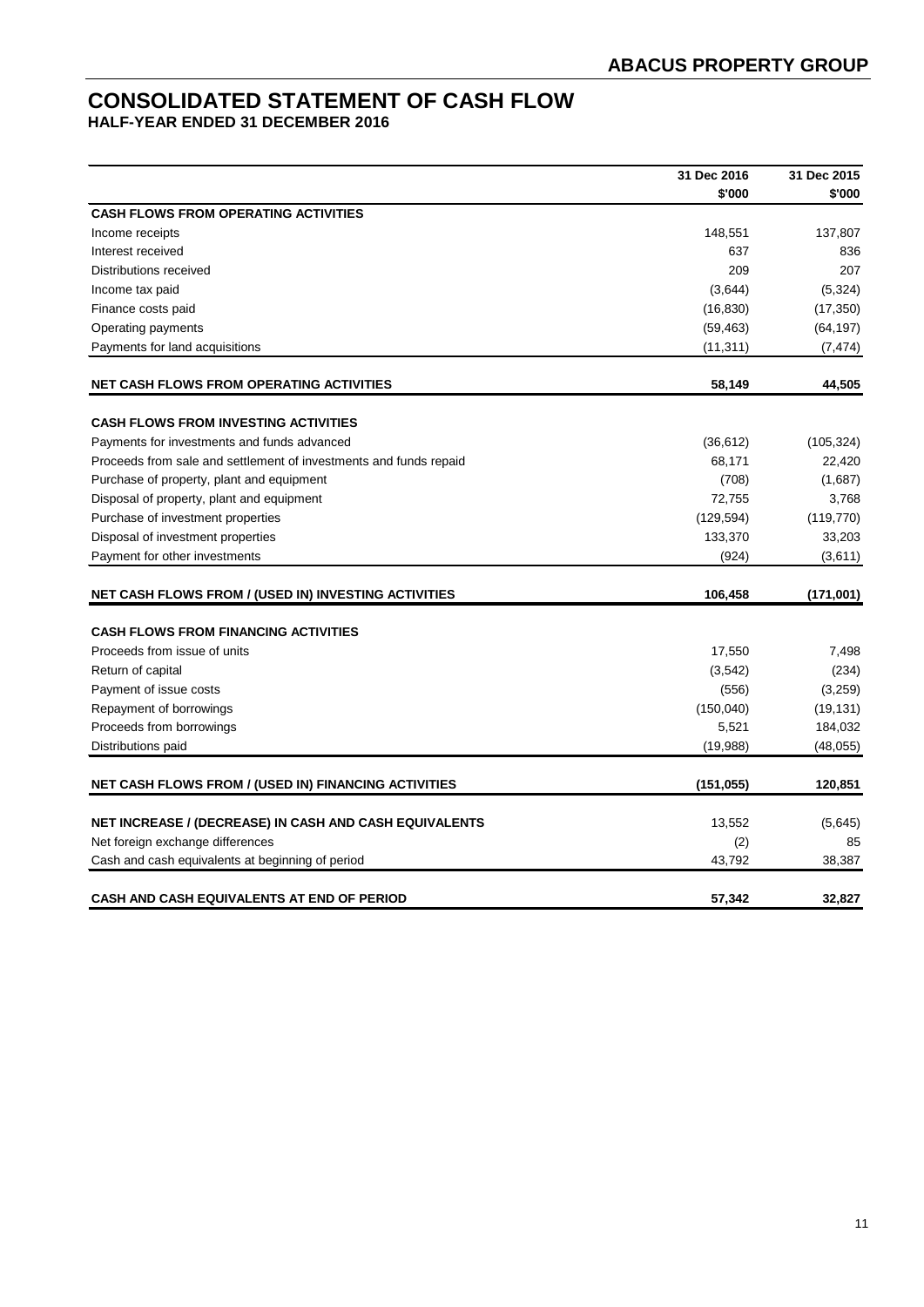# **CONSOLIDATED STATEMENT OF CASH FLOW**

**HALF-YEAR ENDED 31 DECEMBER 2016**

|                                                                   | 31 Dec 2016 | 31 Dec 2015 |
|-------------------------------------------------------------------|-------------|-------------|
|                                                                   | \$'000      | \$'000      |
| <b>CASH FLOWS FROM OPERATING ACTIVITIES</b>                       |             |             |
| Income receipts                                                   | 148,551     | 137,807     |
| Interest received                                                 | 637         | 836         |
| Distributions received                                            | 209         | 207         |
| Income tax paid                                                   | (3,644)     | (5, 324)    |
| Finance costs paid                                                | (16, 830)   | (17, 350)   |
| Operating payments                                                | (59, 463)   | (64, 197)   |
| Payments for land acquisitions                                    | (11, 311)   | (7, 474)    |
| <b>NET CASH FLOWS FROM OPERATING ACTIVITIES</b>                   | 58,149      | 44,505      |
| <b>CASH FLOWS FROM INVESTING ACTIVITIES</b>                       |             |             |
| Payments for investments and funds advanced                       | (36, 612)   | (105, 324)  |
| Proceeds from sale and settlement of investments and funds repaid | 68,171      | 22,420      |
| Purchase of property, plant and equipment                         | (708)       | (1,687)     |
| Disposal of property, plant and equipment                         | 72,755      | 3,768       |
| Purchase of investment properties                                 | (129, 594)  | (119, 770)  |
| Disposal of investment properties                                 | 133,370     | 33,203      |
| Payment for other investments                                     | (924)       | (3,611)     |
| <b>NET CASH FLOWS FROM / (USED IN) INVESTING ACTIVITIES</b>       | 106,458     | (171,001)   |
| <b>CASH FLOWS FROM FINANCING ACTIVITIES</b>                       |             |             |
| Proceeds from issue of units                                      | 17,550      | 7,498       |
| Return of capital                                                 | (3,542)     | (234)       |
| Payment of issue costs                                            | (556)       | (3,259)     |
| Repayment of borrowings                                           | (150,040)   | (19, 131)   |
| Proceeds from borrowings                                          | 5,521       | 184,032     |
| Distributions paid                                                | (19,988)    | (48, 055)   |
| <b>NET CASH FLOWS FROM / (USED IN) FINANCING ACTIVITIES</b>       | (151, 055)  | 120,851     |
|                                                                   |             |             |
| NET INCREASE / (DECREASE) IN CASH AND CASH EQUIVALENTS            | 13,552      | (5,645)     |
| Net foreign exchange differences                                  | (2)         | 85          |
| Cash and cash equivalents at beginning of period                  | 43,792      | 38,387      |
| <b>CASH AND CASH EQUIVALENTS AT END OF PERIOD</b>                 | 57.342      | 32,827      |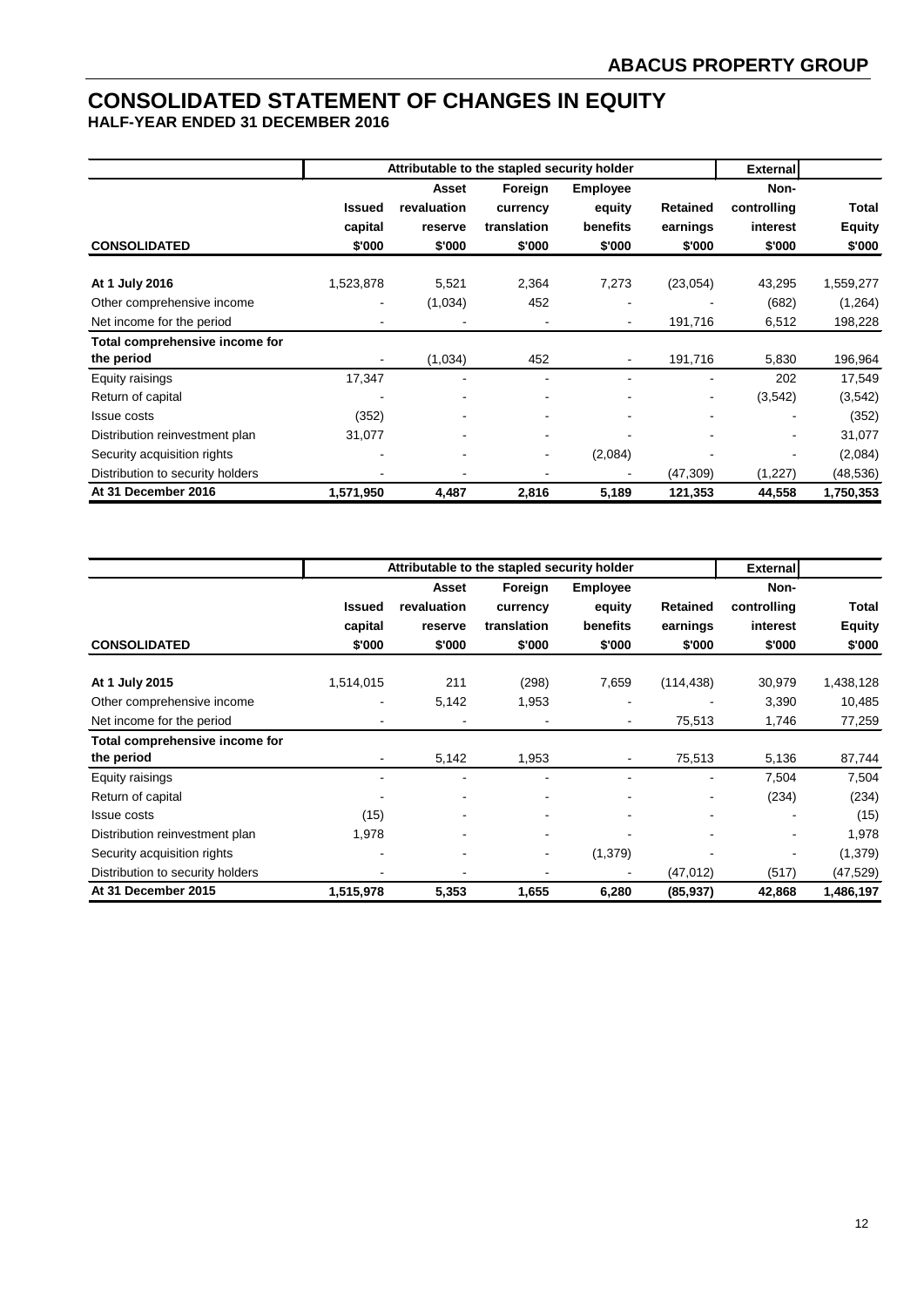# **CONSOLIDATED STATEMENT OF CHANGES IN EQUITY HALF-YEAR ENDED 31 DECEMBER 2016**

|                                              |                                    |                                           | Attributable to the stapled security holder  |                                                 |                                       | <b>External</b>                           |                                  |
|----------------------------------------------|------------------------------------|-------------------------------------------|----------------------------------------------|-------------------------------------------------|---------------------------------------|-------------------------------------------|----------------------------------|
| <b>CONSOLIDATED</b>                          | <b>Issued</b><br>capital<br>\$'000 | Asset<br>revaluation<br>reserve<br>\$'000 | Foreign<br>currency<br>translation<br>\$'000 | <b>Employee</b><br>equity<br>benefits<br>\$'000 | <b>Retained</b><br>earnings<br>\$'000 | Non-<br>controlling<br>interest<br>\$'000 | Total<br><b>Equity</b><br>\$'000 |
| At 1 July 2016                               | 1,523,878                          | 5,521                                     | 2,364                                        | 7,273                                           | (23,054)                              | 43,295                                    | 1,559,277                        |
| Other comprehensive income                   |                                    | (1,034)                                   | 452                                          | $\overline{\phantom{0}}$                        |                                       | (682)                                     | (1,264)                          |
| Net income for the period                    |                                    |                                           |                                              |                                                 | 191,716                               | 6,512                                     | 198,228                          |
| Total comprehensive income for<br>the period |                                    | (1,034)                                   | 452                                          |                                                 | 191,716                               | 5,830                                     | 196,964                          |
| Equity raisings                              | 17,347                             |                                           | $\overline{\phantom{a}}$                     | ٠                                               | ۰                                     | 202                                       | 17,549                           |
| Return of capital                            |                                    | $\blacksquare$                            | $\overline{\phantom{a}}$                     |                                                 |                                       | (3,542)                                   | (3, 542)                         |
| Issue costs                                  | (352)                              |                                           |                                              |                                                 |                                       |                                           | (352)                            |
| Distribution reinvestment plan               | 31,077                             |                                           | $\overline{\phantom{a}}$                     |                                                 |                                       |                                           | 31,077                           |
| Security acquisition rights                  |                                    |                                           | $\sim$                                       | (2,084)                                         |                                       |                                           | (2,084)                          |
| Distribution to security holders             |                                    |                                           |                                              |                                                 | (47, 309)                             | (1,227)                                   | (48,536)                         |

|                                  |               |             | Attributable to the stapled security holder |                 |                 | <b>External</b> |               |
|----------------------------------|---------------|-------------|---------------------------------------------|-----------------|-----------------|-----------------|---------------|
|                                  |               | Asset       | Foreign                                     | <b>Employee</b> |                 | Non-            |               |
|                                  | <b>Issued</b> | revaluation | currency                                    | equity          | <b>Retained</b> | controlling     | Total         |
|                                  | capital       | reserve     | translation                                 | benefits        | earnings        | interest        | <b>Equity</b> |
| <b>CONSOLIDATED</b>              | \$'000        | \$'000      | \$'000                                      | \$'000          | \$'000          | \$'000          | \$'000        |
| At 1 July 2015                   | 1,514,015     | 211         | (298)                                       | 7,659           | (114, 438)      | 30,979          | 1,438,128     |
| Other comprehensive income       |               | 5,142       | 1,953                                       |                 |                 | 3,390           | 10,485        |
| Net income for the period        |               |             |                                             |                 | 75,513          | 1,746           | 77,259        |
| Total comprehensive income for   |               |             |                                             |                 |                 |                 |               |
| the period                       |               | 5,142       | 1,953                                       |                 | 75,513          | 5,136           | 87,744        |
| Equity raisings                  |               |             |                                             |                 |                 | 7,504           | 7,504         |
| Return of capital                |               |             | $\blacksquare$                              |                 |                 | (234)           | (234)         |
| <b>Issue costs</b>               | (15)          |             | $\overline{\phantom{a}}$                    |                 |                 |                 | (15)          |
| Distribution reinvestment plan   | 1,978         |             |                                             |                 |                 |                 | 1,978         |
| Security acquisition rights      |               |             | $\sim$                                      | (1,379)         |                 |                 | (1,379)       |
| Distribution to security holders |               |             |                                             |                 | (47, 012)       | (517)           | (47, 529)     |
| At 31 December 2015              | 1,515,978     | 5,353       | 1,655                                       | 6,280           | (85, 937)       | 42,868          | 1,486,197     |

**At 31 December 2016 1,571,950 4,487 2,816 5,189 121,353 44,558 1,750,353**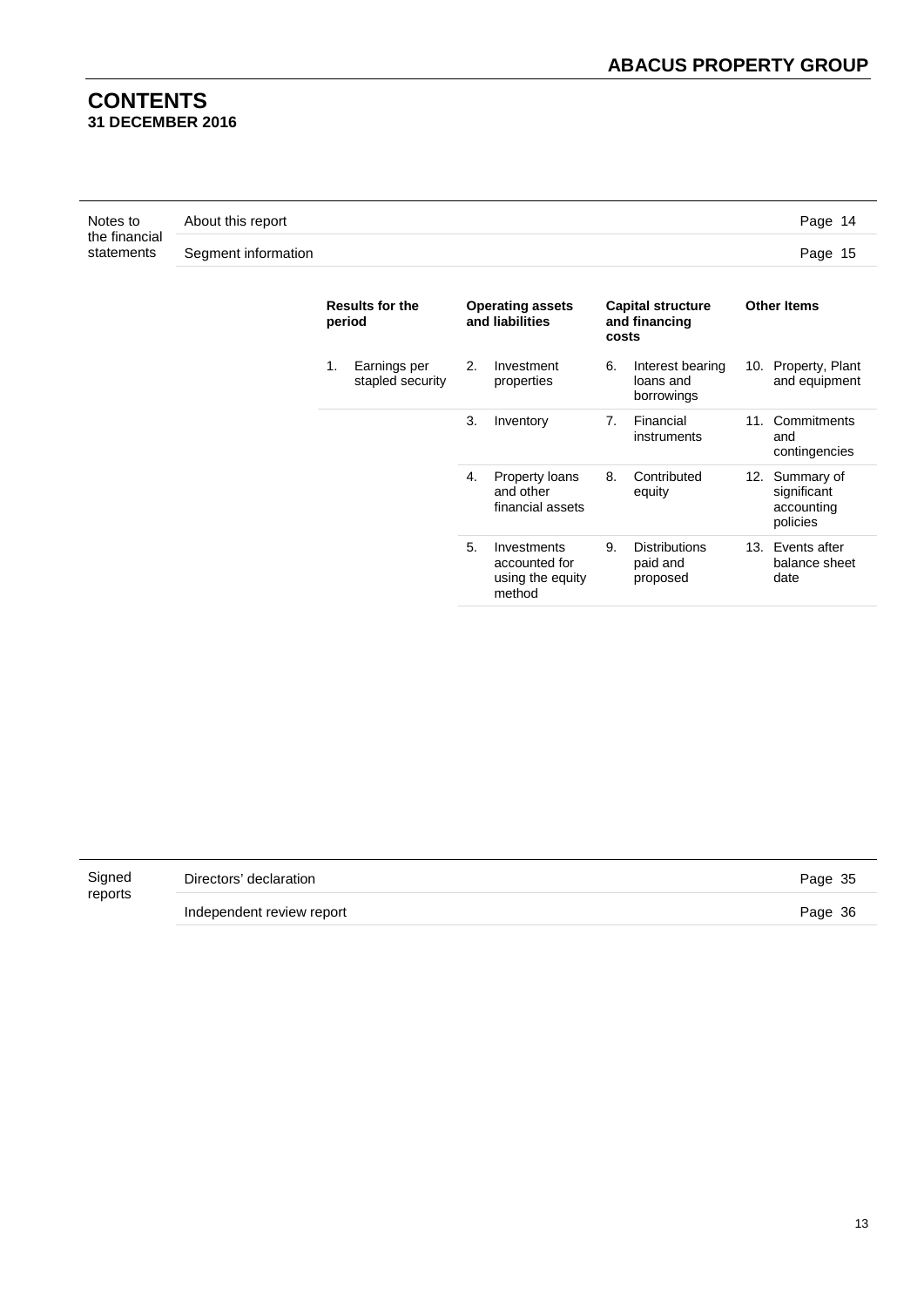# **CONTENTS 31 DECEMBER 2016**

| Notes to                    | About this report   | Page 14 |
|-----------------------------|---------------------|---------|
| the financial<br>statements | Segment information | Page 15 |

| <b>Results for the</b><br>period       | <b>Operating assets</b><br>and liabilities                       | <b>Capital structure</b><br>and financing<br>costs         | <b>Other Items</b>                                      |  |  |
|----------------------------------------|------------------------------------------------------------------|------------------------------------------------------------|---------------------------------------------------------|--|--|
| 1.<br>Earnings per<br>stapled security | 2.<br>Investment<br>properties                                   | 6.<br>Interest bearing<br>loans and<br>borrowings          | 10. Property, Plant<br>and equipment                    |  |  |
|                                        | 3.<br>Inventory                                                  | Financial<br>$7_{\scriptscriptstyle{\sim}}$<br>instruments | 11. Commitments<br>and<br>contingencies                 |  |  |
|                                        | Property loans<br>4.<br>and other<br>financial assets            | Contributed<br>8.<br>equity                                | 12. Summary of<br>significant<br>accounting<br>policies |  |  |
|                                        | 5.<br>Investments<br>accounted for<br>using the equity<br>method | <b>Distributions</b><br>9.<br>paid and<br>proposed         | 13. Events after<br>balance sheet<br>date               |  |  |

| Signed  | Directors' declaration    | Page 35 |
|---------|---------------------------|---------|
| reports | Independent review report | Page 36 |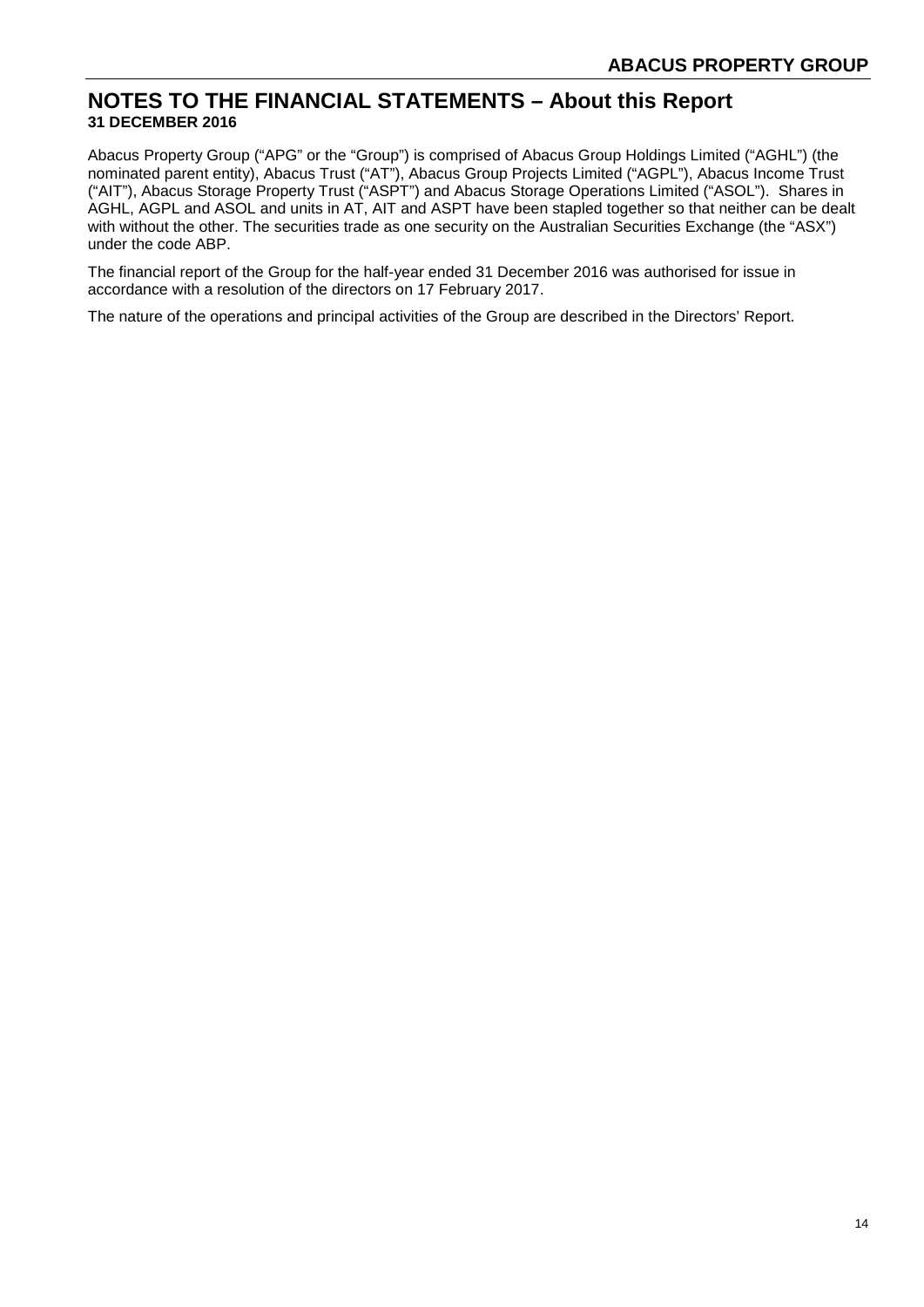# **NOTES TO THE FINANCIAL STATEMENTS – About this Report 31 DECEMBER 2016**

Abacus Property Group ("APG" or the "Group") is comprised of Abacus Group Holdings Limited ("AGHL") (the nominated parent entity), Abacus Trust ("AT"), Abacus Group Projects Limited ("AGPL"), Abacus Income Trust ("AIT"), Abacus Storage Property Trust ("ASPT") and Abacus Storage Operations Limited ("ASOL"). Shares in AGHL, AGPL and ASOL and units in AT, AIT and ASPT have been stapled together so that neither can be dealt with without the other. The securities trade as one security on the Australian Securities Exchange (the "ASX") under the code ABP.

The financial report of the Group for the half-year ended 31 December 2016 was authorised for issue in accordance with a resolution of the directors on 17 February 2017.

The nature of the operations and principal activities of the Group are described in the Directors' Report.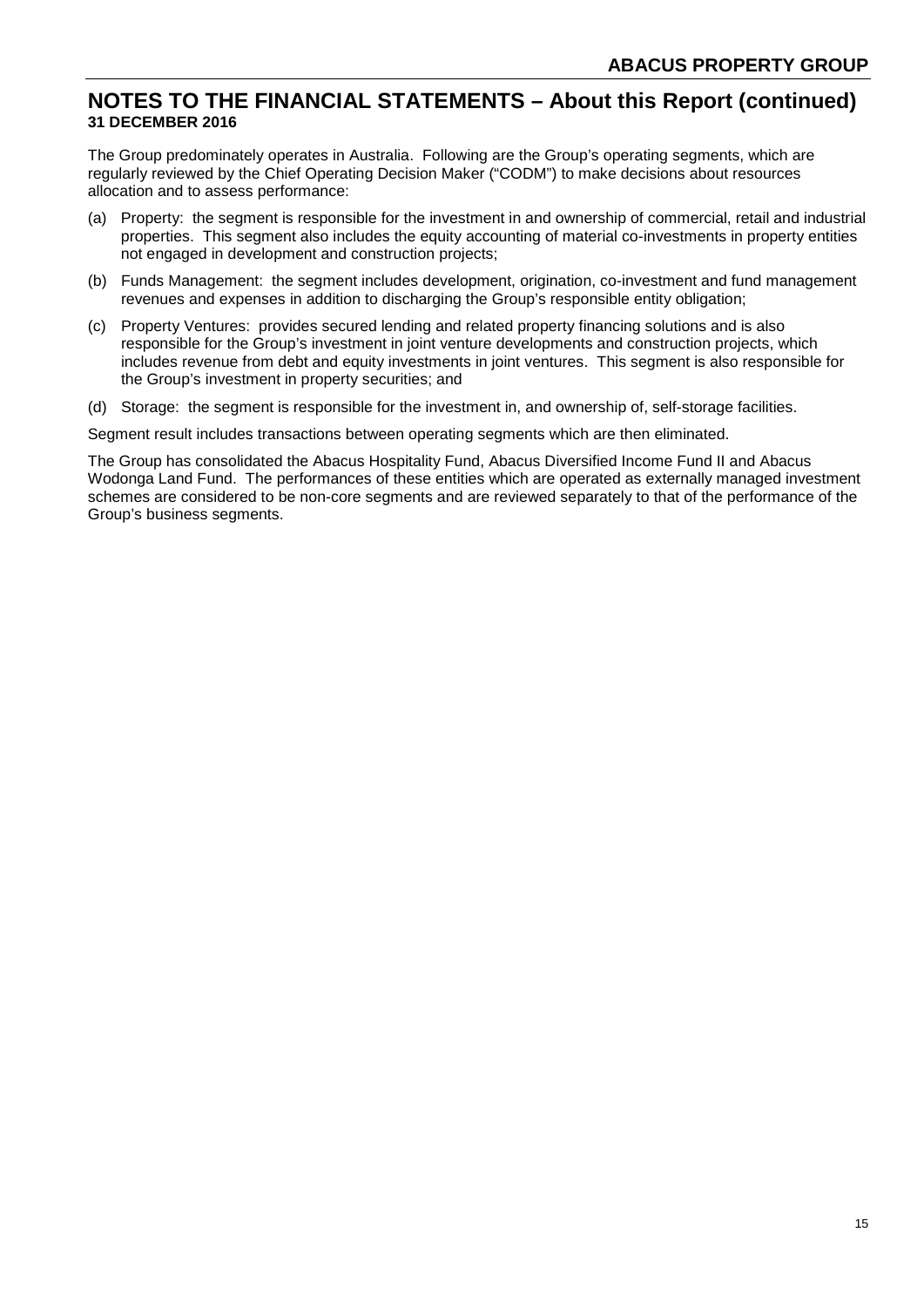# **NOTES TO THE FINANCIAL STATEMENTS – About this Report (continued) 31 DECEMBER 2016**

The Group predominately operates in Australia. Following are the Group's operating segments, which are regularly reviewed by the Chief Operating Decision Maker ("CODM") to make decisions about resources allocation and to assess performance:

- (a) Property: the segment is responsible for the investment in and ownership of commercial, retail and industrial properties. This segment also includes the equity accounting of material co-investments in property entities not engaged in development and construction projects;
- (b) Funds Management: the segment includes development, origination, co-investment and fund management revenues and expenses in addition to discharging the Group's responsible entity obligation;
- (c) Property Ventures: provides secured lending and related property financing solutions and is also responsible for the Group's investment in joint venture developments and construction projects, which includes revenue from debt and equity investments in joint ventures. This segment is also responsible for the Group's investment in property securities; and
- (d) Storage: the segment is responsible for the investment in, and ownership of, self-storage facilities.

Segment result includes transactions between operating segments which are then eliminated.

The Group has consolidated the Abacus Hospitality Fund, Abacus Diversified Income Fund II and Abacus Wodonga Land Fund. The performances of these entities which are operated as externally managed investment schemes are considered to be non-core segments and are reviewed separately to that of the performance of the Group's business segments.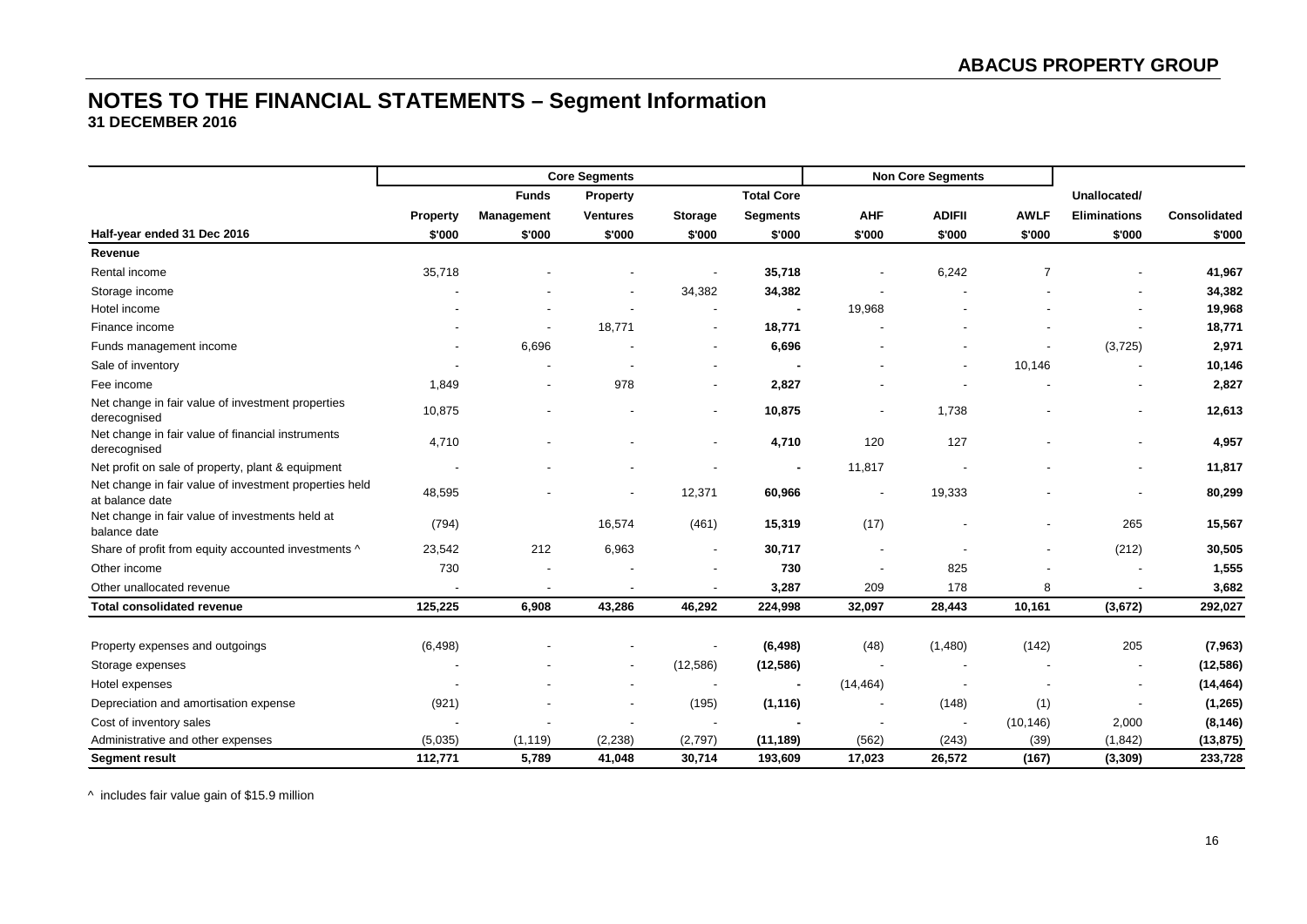|                                                                           |          |                          | <b>Core Segments</b>     |                          |                   |                          | <b>Non Core Segments</b> |             |                          |              |
|---------------------------------------------------------------------------|----------|--------------------------|--------------------------|--------------------------|-------------------|--------------------------|--------------------------|-------------|--------------------------|--------------|
|                                                                           |          | <b>Funds</b>             | Property                 |                          | <b>Total Core</b> |                          |                          |             | Unallocated/             |              |
|                                                                           | Property | Management               | <b>Ventures</b>          | <b>Storage</b>           | <b>Segments</b>   | <b>AHF</b>               | <b>ADIFII</b>            | <b>AWLF</b> | <b>Eliminations</b>      | Consolidated |
| Half-year ended 31 Dec 2016                                               | \$'000   | \$'000                   | \$'000                   | \$'000                   | \$'000            | \$'000                   | \$'000                   | \$'000      | \$'000                   | \$'000       |
| Revenue                                                                   |          |                          |                          |                          |                   |                          |                          |             |                          |              |
| Rental income                                                             | 35,718   |                          |                          | $\overline{\phantom{a}}$ | 35,718            |                          | 6,242                    |             |                          | 41,967       |
| Storage income                                                            |          |                          |                          | 34,382                   | 34,382            |                          |                          |             |                          | 34,382       |
| Hotel income                                                              |          |                          |                          |                          |                   | 19,968                   |                          |             |                          | 19,968       |
| Finance income                                                            |          |                          | 18,771                   | $\overline{\phantom{a}}$ | 18,771            |                          |                          |             |                          | 18,771       |
| Funds management income                                                   |          | 6,696                    |                          | $\overline{\phantom{a}}$ | 6,696             |                          |                          |             | (3, 725)                 | 2,971        |
| Sale of inventory                                                         |          |                          |                          |                          |                   |                          |                          | 10,146      |                          | 10,146       |
| Fee income                                                                | 1,849    | $\overline{\phantom{a}}$ | 978                      | $\overline{\phantom{a}}$ | 2,827             |                          |                          |             |                          | 2,827        |
| Net change in fair value of investment properties<br>derecognised         | 10,875   |                          |                          | $\overline{\phantom{a}}$ | 10,875            | $\blacksquare$           | 1,738                    |             | $\overline{\phantom{a}}$ | 12,613       |
| Net change in fair value of financial instruments<br>derecognised         | 4,710    |                          |                          | $\overline{\phantom{a}}$ | 4,710             | 120                      | 127                      |             |                          | 4,957        |
| Net profit on sale of property, plant & equipment                         |          |                          |                          |                          |                   | 11,817                   |                          |             |                          | 11,817       |
| Net change in fair value of investment properties held<br>at balance date | 48,595   |                          | $\blacksquare$           | 12,371                   | 60,966            | $\overline{\phantom{a}}$ | 19,333                   |             | $\overline{\phantom{a}}$ | 80,299       |
| Net change in fair value of investments held at<br>balance date           | (794)    |                          | 16,574                   | (461)                    | 15,319            | (17)                     |                          |             | 265                      | 15,567       |
| Share of profit from equity accounted investments ^                       | 23,542   | 212                      | 6,963                    | $\overline{\phantom{a}}$ | 30,717            |                          |                          |             | (212)                    | 30,505       |
| Other income                                                              | 730      |                          |                          | $\overline{\phantom{a}}$ | 730               |                          | 825                      |             |                          | 1,555        |
| Other unallocated revenue                                                 |          |                          | $\overline{\phantom{a}}$ |                          | 3,287             | 209                      | 178                      | 8           | $\overline{\phantom{a}}$ | 3,682        |
| <b>Total consolidated revenue</b>                                         | 125,225  | 6,908                    | 43,286                   | 46,292                   | 224,998           | 32,097                   | 28,443                   | 10,161      | (3,672)                  | 292,027      |
|                                                                           |          |                          |                          |                          |                   |                          |                          |             |                          |              |
| Property expenses and outgoings                                           | (6, 498) |                          |                          | $\overline{\phantom{a}}$ | (6, 498)          | (48)                     | (1,480)                  | (142)       | 205                      | (7, 963)     |
| Storage expenses                                                          |          |                          | $\overline{\phantom{a}}$ | (12, 586)                | (12, 586)         |                          |                          |             |                          | (12, 586)    |
| Hotel expenses                                                            |          |                          |                          | $\overline{\phantom{a}}$ |                   | (14, 464)                | $\overline{\phantom{a}}$ |             |                          | (14, 464)    |
| Depreciation and amortisation expense                                     | (921)    |                          |                          | (195)                    | (1, 116)          |                          | (148)                    | (1)         |                          | (1, 265)     |
| Cost of inventory sales                                                   |          |                          |                          |                          |                   |                          |                          | (10, 146)   | 2,000                    | (8, 146)     |
| Administrative and other expenses                                         | (5,035)  | (1, 119)                 | (2, 238)                 | (2,797)                  | (11, 189)         | (562)                    | (243)                    | (39)        | (1, 842)                 | (13, 875)    |
| <b>Segment result</b>                                                     | 112,771  | 5,789                    | 41,048                   | 30,714                   | 193,609           | 17,023                   | 26,572                   | (167)       | (3, 309)                 | 233,728      |

^ includes fair value gain of \$15.9 million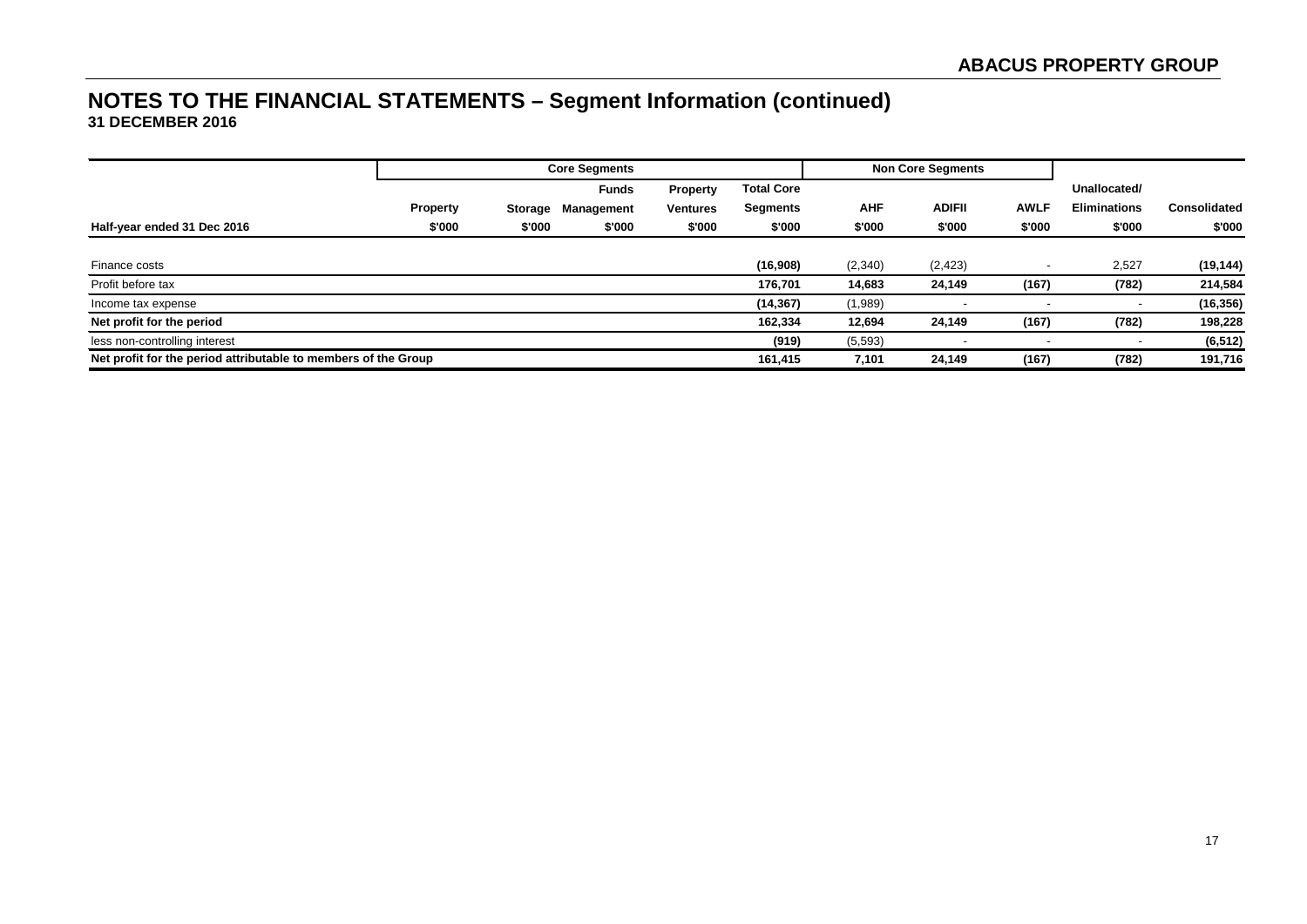|                                                                |                 |         | <b>Core Segments</b> |                 |                   |            | <b>Non Core Segments</b> |             |                     |              |
|----------------------------------------------------------------|-----------------|---------|----------------------|-----------------|-------------------|------------|--------------------------|-------------|---------------------|--------------|
|                                                                |                 |         | <b>Funds</b>         | <b>Property</b> | <b>Total Core</b> |            |                          |             | Unallocated/        |              |
|                                                                | <b>Property</b> | Storage | Management           | <b>Ventures</b> | Segments          | <b>AHF</b> | <b>ADIFII</b>            | <b>AWLF</b> | <b>Eliminations</b> | Consolidated |
| Half-year ended 31 Dec 2016                                    | \$'000          | \$'000  | \$'000               | \$'000          | \$'000            | \$'000     | \$'000                   | \$'000      | \$'000              | \$'000       |
|                                                                |                 |         |                      |                 |                   |            |                          |             |                     |              |
| Finance costs                                                  |                 |         |                      |                 | (16,908)          | (2,340)    | (2, 423)                 |             | 2,527               | (19, 144)    |
| Profit before tax                                              |                 |         |                      |                 | 176.701           | 14,683     | 24,149                   | (167)       | (782)               | 214,584      |
| Income tax expense                                             |                 |         |                      |                 | (14, 367)         | (1,989)    |                          |             | $\,$                | (16, 356)    |
| Net profit for the period                                      |                 |         |                      |                 | 162,334           | 12,694     | 24,149                   | (167)       | (782)               | 198,228      |
| less non-controlling interest                                  |                 |         |                      |                 | (919)             | (5, 593)   |                          |             |                     | (6, 512)     |
| Net profit for the period attributable to members of the Group |                 |         |                      |                 | 161,415           | 7,101      | 24,149                   | (167)       | (782)               | 191,716      |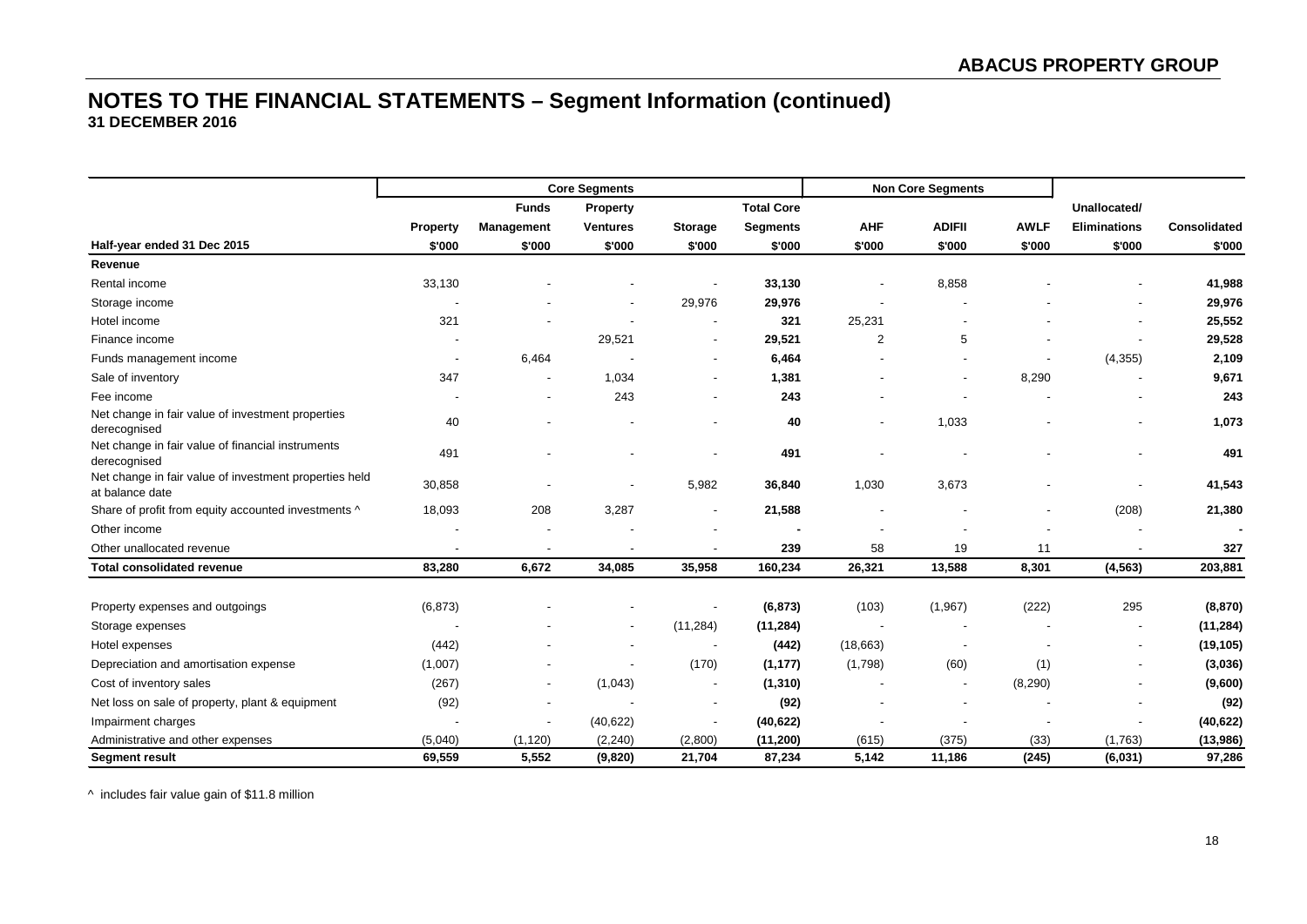|                                                                           |          |                   | <b>Core Segments</b>     |                          |                   |                          | <b>Non Core Segments</b> |             |                          |                     |
|---------------------------------------------------------------------------|----------|-------------------|--------------------------|--------------------------|-------------------|--------------------------|--------------------------|-------------|--------------------------|---------------------|
|                                                                           |          | <b>Funds</b>      | <b>Property</b>          |                          | <b>Total Core</b> |                          |                          |             | Unallocated/             |                     |
|                                                                           | Property | <b>Management</b> | <b>Ventures</b>          | <b>Storage</b>           | <b>Segments</b>   | <b>AHF</b>               | <b>ADIFII</b>            | <b>AWLF</b> | <b>Eliminations</b>      | <b>Consolidated</b> |
| Half-year ended 31 Dec 2015                                               | \$'000   | \$'000            | \$'000                   | \$'000                   | \$'000            | \$'000                   | \$'000                   | \$'000      | \$'000                   | \$'000              |
| Revenue                                                                   |          |                   |                          |                          |                   |                          |                          |             |                          |                     |
| Rental income                                                             | 33,130   |                   |                          |                          | 33,130            |                          | 8,858                    |             |                          | 41,988              |
| Storage income                                                            |          |                   |                          | 29,976                   | 29,976            |                          |                          |             |                          | 29,976              |
| Hotel income                                                              | 321      |                   |                          |                          | 321               | 25,231                   |                          |             |                          | 25,552              |
| Finance income                                                            |          |                   | 29,521                   | $\overline{\phantom{a}}$ | 29,521            | 2                        | 5                        |             |                          | 29,528              |
| Funds management income                                                   |          | 6,464             |                          | $\overline{\phantom{a}}$ | 6,464             |                          |                          |             | (4, 355)                 | 2,109               |
| Sale of inventory                                                         | 347      |                   | 1,034                    | $\overline{\phantom{a}}$ | 1,381             |                          |                          | 8,290       |                          | 9,671               |
| Fee income                                                                |          |                   | 243                      |                          | 243               |                          |                          |             |                          | 243                 |
| Net change in fair value of investment properties<br>derecognised         | 40       |                   |                          |                          | 40                |                          | 1,033                    |             |                          | 1,073               |
| Net change in fair value of financial instruments<br>derecognised         | 491      |                   |                          |                          | 491               |                          |                          |             |                          | 491                 |
| Net change in fair value of investment properties held<br>at balance date | 30,858   |                   |                          | 5,982                    | 36,840            | 1,030                    | 3,673                    |             |                          | 41,543              |
| Share of profit from equity accounted investments ^                       | 18,093   | 208               | 3,287                    | $\overline{\phantom{a}}$ | 21,588            | $\overline{\phantom{a}}$ |                          |             | (208)                    | 21,380              |
| Other income                                                              |          |                   |                          |                          |                   | $\blacksquare$           |                          |             |                          |                     |
| Other unallocated revenue                                                 |          |                   |                          |                          | 239               | 58                       | 19                       | 11          |                          | 327                 |
| <b>Total consolidated revenue</b>                                         | 83,280   | 6,672             | 34,085                   | 35,958                   | 160,234           | 26,321                   | 13,588                   | 8,301       | (4, 563)                 | 203,881             |
|                                                                           |          |                   |                          |                          |                   |                          |                          |             |                          |                     |
| Property expenses and outgoings                                           | (6, 873) |                   |                          | $\overline{\phantom{a}}$ | (6, 873)          | (103)                    | (1,967)                  | (222)       | 295                      | (8, 870)            |
| Storage expenses                                                          |          |                   | $\overline{\phantom{a}}$ | (11, 284)                | (11, 284)         | $\blacksquare$           | $\overline{\phantom{a}}$ |             |                          | (11, 284)           |
| Hotel expenses                                                            | (442)    |                   | $\blacksquare$           | $\overline{\phantom{a}}$ | (442)             | (18,663)                 | $\overline{\phantom{a}}$ |             | $\overline{\phantom{a}}$ | (19, 105)           |
| Depreciation and amortisation expense                                     | (1,007)  |                   |                          | (170)                    | (1, 177)          | (1,798)                  | (60)                     | (1)         | $\overline{\phantom{a}}$ | (3,036)             |
| Cost of inventory sales                                                   | (267)    |                   | (1,043)                  | $\overline{\phantom{a}}$ | (1, 310)          |                          | $\overline{\phantom{a}}$ | (8, 290)    |                          | (9,600)             |
| Net loss on sale of property, plant & equipment                           | (92)     |                   |                          | $\overline{\phantom{a}}$ | (92)              |                          |                          |             |                          | (92)                |
| Impairment charges                                                        |          |                   | (40, 622)                |                          | (40, 622)         |                          |                          |             |                          | (40, 622)           |
| Administrative and other expenses                                         | (5,040)  | (1, 120)          | (2, 240)                 | (2,800)                  | (11, 200)         | (615)                    | (375)                    | (33)        | (1,763)                  | (13,986)            |
| <b>Segment result</b>                                                     | 69,559   | 5,552             | (9,820)                  | 21,704                   | 87,234            | 5,142                    | 11,186                   | (245)       | (6,031)                  | 97,286              |

^ includes fair value gain of \$11.8 million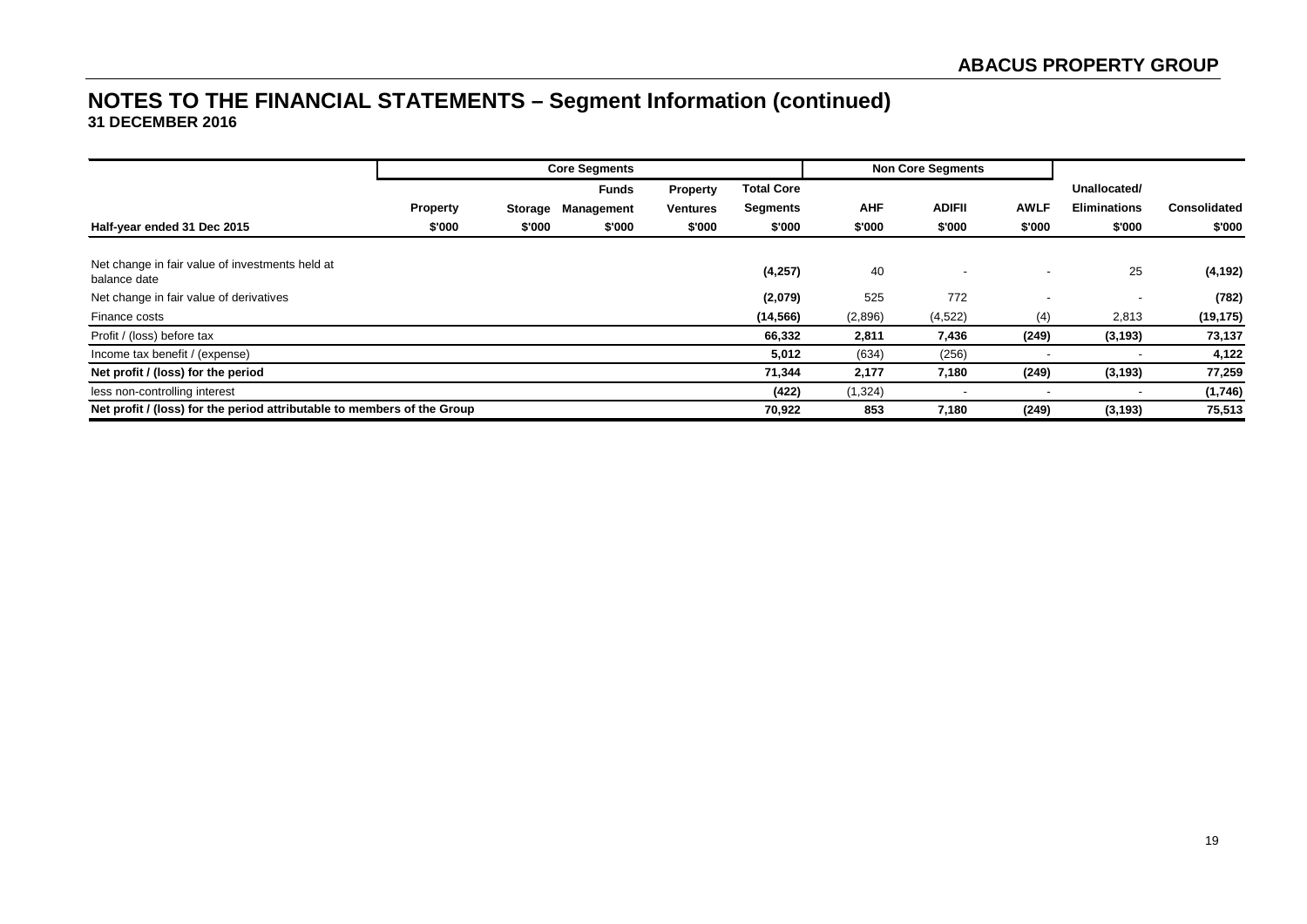|                                                                         |                 |         | <b>Core Segments</b> |                 |                   |            | <b>Non Core Segments</b> |             |                     |                     |
|-------------------------------------------------------------------------|-----------------|---------|----------------------|-----------------|-------------------|------------|--------------------------|-------------|---------------------|---------------------|
|                                                                         |                 |         | <b>Funds</b>         | <b>Property</b> | <b>Total Core</b> |            |                          |             | Unallocated/        |                     |
|                                                                         | <b>Property</b> | Storage | Management           | <b>Ventures</b> | <b>Segments</b>   | <b>AHF</b> | <b>ADIFII</b>            | <b>AWLF</b> | <b>Eliminations</b> | <b>Consolidated</b> |
| Half-year ended 31 Dec 2015                                             | \$'000          | \$'000  | \$'000               | \$'000          | \$'000            | \$'000     | \$'000                   | \$'000      | \$'000              | \$'000              |
|                                                                         |                 |         |                      |                 |                   |            |                          |             |                     |                     |
| Net change in fair value of investments held at<br>balance date         |                 |         |                      |                 | (4,257)           | 40         |                          |             | 25                  | (4, 192)            |
| Net change in fair value of derivatives                                 |                 |         |                      |                 | (2,079)           | 525        | 772                      |             |                     | (782)               |
| Finance costs                                                           |                 |         |                      |                 | (14, 566)         | (2,896)    | (4, 522)                 | (4)         | 2,813               | (19, 175)           |
| Profit / (loss) before tax                                              |                 |         |                      |                 | 66,332            | 2,811      | 7,436                    | (249)       | (3, 193)            | 73,137              |
| Income tax benefit / (expense)                                          |                 |         |                      |                 | 5,012             | (634)      | (256)                    |             |                     | 4,122               |
| Net profit / (loss) for the period                                      |                 |         |                      |                 | 71,344            | 2,177      | 7,180                    | (249)       | (3, 193)            | 77,259              |
| less non-controlling interest                                           |                 |         |                      |                 | (422)             | (1, 324)   |                          |             |                     | (1,746)             |
| Net profit / (loss) for the period attributable to members of the Group |                 |         |                      |                 | 70,922            | 853        | 7,180                    | (249)       | (3, 193)            | 75,513              |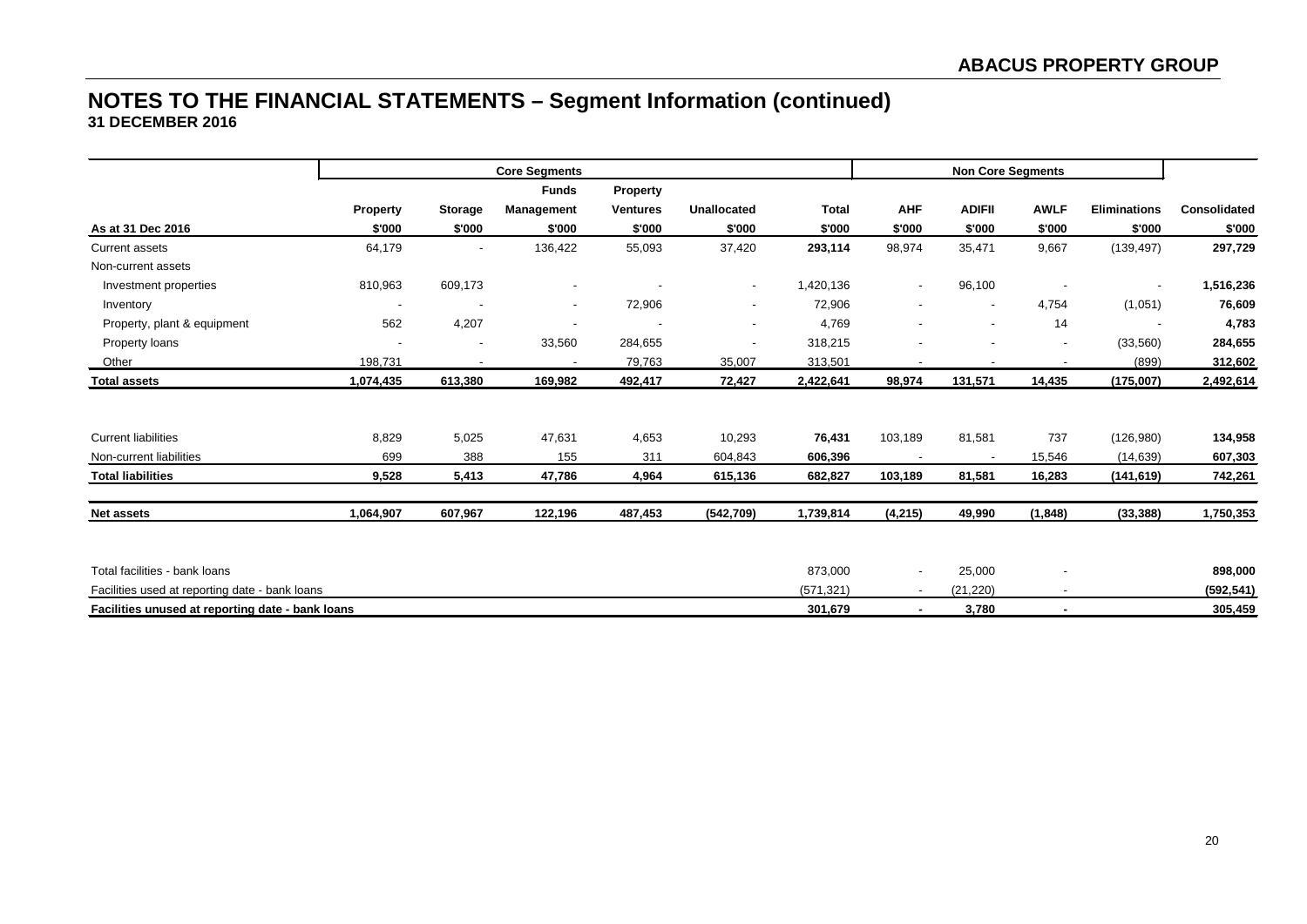|                                                  |           |                          | <b>Core Segments</b>     |                 |                          |              |                          |                          | <b>Non Core Segments</b> |                          |                     |
|--------------------------------------------------|-----------|--------------------------|--------------------------|-----------------|--------------------------|--------------|--------------------------|--------------------------|--------------------------|--------------------------|---------------------|
|                                                  |           |                          | <b>Funds</b>             | <b>Property</b> |                          |              |                          |                          |                          |                          |                     |
|                                                  | Property  | <b>Storage</b>           | Management               | <b>Ventures</b> | <b>Unallocated</b>       | <b>Total</b> | <b>AHF</b>               | <b>ADIFII</b>            | <b>AWLF</b>              | <b>Eliminations</b>      | <b>Consolidated</b> |
| As at 31 Dec 2016                                | \$'000    | \$'000                   | \$'000                   | \$'000          | \$'000                   | \$'000       | \$'000                   | \$'000                   | \$'000                   | \$'000                   | \$'000              |
| Current assets                                   | 64,179    | $\overline{\phantom{a}}$ | 136,422                  | 55,093          | 37,420                   | 293,114      | 98,974                   | 35,471                   | 9,667                    | (139, 497)               | 297,729             |
| Non-current assets                               |           |                          |                          |                 |                          |              |                          |                          |                          |                          |                     |
| Investment properties                            | 810,963   | 609,173                  | $\overline{\phantom{a}}$ |                 | $\overline{\phantom{a}}$ | 1,420,136    | $\overline{\phantom{a}}$ | 96,100                   |                          | $\overline{\phantom{a}}$ | 1,516,236           |
| Inventory                                        |           |                          | $\overline{\phantom{a}}$ | 72,906          | $\overline{\phantom{a}}$ | 72,906       | $\overline{\phantom{a}}$ | $\overline{\phantom{a}}$ | 4,754                    | (1,051)                  | 76,609              |
| Property, plant & equipment                      | 562       | 4,207                    | $\overline{\phantom{a}}$ |                 |                          | 4,769        | $\overline{\phantom{a}}$ | $\overline{\phantom{a}}$ | 14                       |                          | 4,783               |
| Property loans                                   |           |                          | 33,560                   | 284,655         |                          | 318,215      |                          |                          | $\overline{\phantom{a}}$ | (33, 560)                | 284,655             |
| Other                                            | 198,731   |                          |                          | 79,763          | 35,007                   | 313,501      |                          |                          |                          | (899)                    | 312,602             |
| <b>Total assets</b>                              | 1,074,435 | 613,380                  | 169,982                  | 492,417         | 72,427                   | 2,422,641    | 98,974                   | 131,571                  | 14,435                   | (175,007)                | 2,492,614           |
|                                                  |           |                          |                          |                 |                          |              |                          |                          |                          |                          |                     |
| <b>Current liabilities</b>                       | 8,829     | 5,025                    | 47,631                   | 4,653           | 10,293                   | 76,431       | 103,189                  | 81,581                   | 737                      | (126,980)                | 134,958             |
| Non-current liabilities                          | 699       | 388                      | 155                      | 311             | 604,843                  | 606,396      |                          |                          | 15,546                   | (14, 639)                | 607,303             |
| <b>Total liabilities</b>                         | 9,528     | 5,413                    | 47,786                   | 4,964           | 615,136                  | 682,827      | 103,189                  | 81,581                   | 16,283                   | (141, 619)               | 742,261             |
| <b>Net assets</b>                                | 1,064,907 | 607,967                  | 122,196                  | 487,453         | (542, 709)               | 1,739,814    | (4, 215)                 | 49,990                   | (1, 848)                 | (33, 388)                | 1,750,353           |
|                                                  |           |                          |                          |                 |                          |              |                          |                          |                          |                          |                     |
| Total facilities - bank loans                    |           |                          |                          |                 |                          | 873,000      | $\overline{\phantom{a}}$ | 25,000                   |                          |                          | 898,000             |
| Facilities used at reporting date - bank loans   |           |                          |                          |                 |                          | (571, 321)   | $\sim$                   | (21, 220)                | $\overline{\phantom{a}}$ |                          | (592, 541)          |
| Facilities unused at reporting date - bank loans |           |                          |                          |                 |                          | 301,679      | $\sim$                   | 3,780                    | $\blacksquare$           |                          | 305,459             |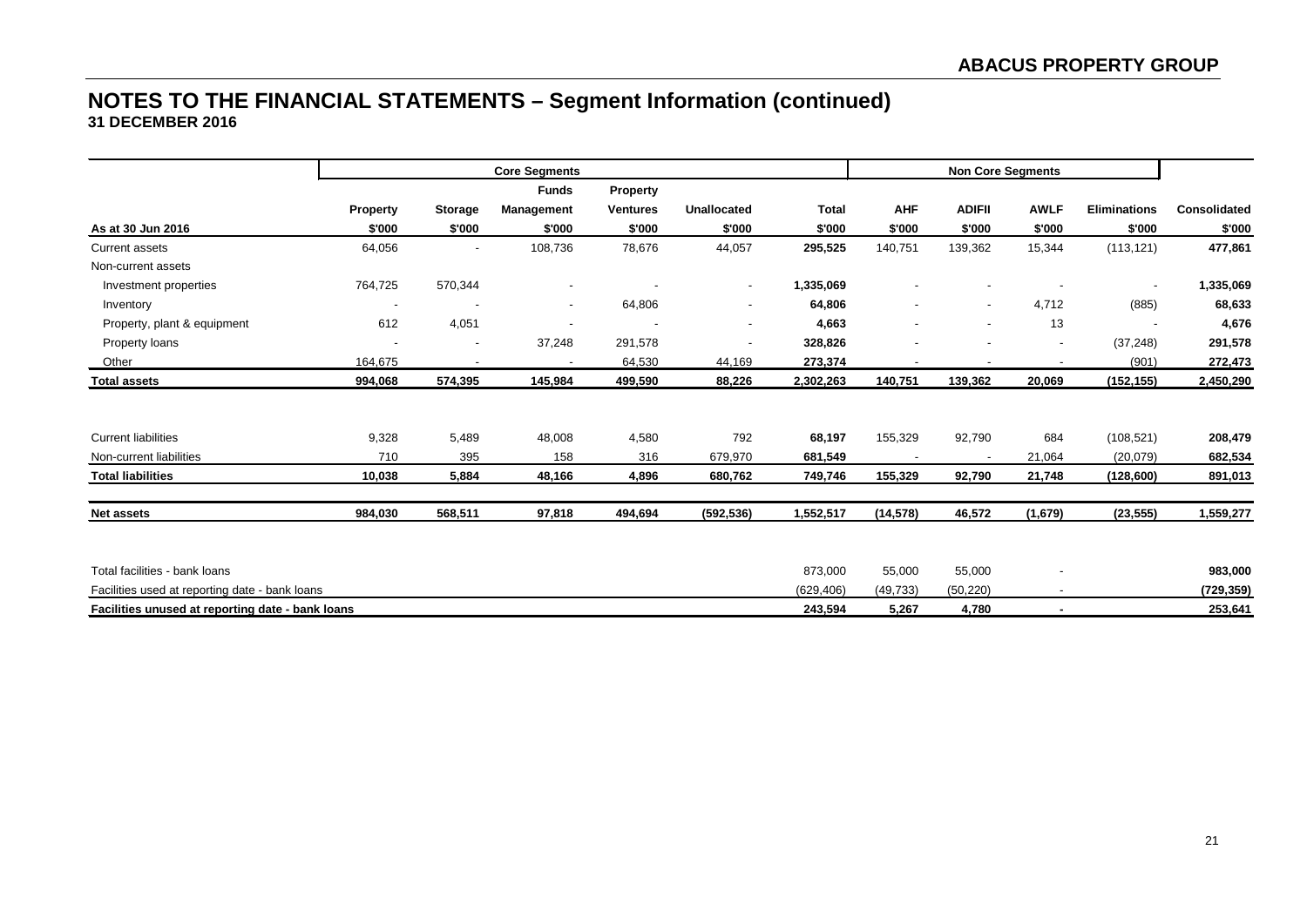|                                                  | <b>Core Segments</b> |                |              |                 |                          |              |                          |                          | <b>Non Core Segments</b> |                     |              |
|--------------------------------------------------|----------------------|----------------|--------------|-----------------|--------------------------|--------------|--------------------------|--------------------------|--------------------------|---------------------|--------------|
|                                                  |                      |                | <b>Funds</b> | Property        |                          |              |                          |                          |                          |                     |              |
|                                                  | Property             | <b>Storage</b> | Management   | <b>Ventures</b> | <b>Unallocated</b>       | <b>Total</b> | <b>AHF</b>               | <b>ADIFII</b>            | <b>AWLF</b>              | <b>Eliminations</b> | Consolidated |
| As at 30 Jun 2016                                | \$'000               | \$'000         | \$'000       | \$'000          | \$'000                   | \$'000       | \$'000                   | \$'000                   | \$'000                   | \$'000              | \$'000       |
| <b>Current assets</b>                            | 64,056               |                | 108,736      | 78,676          | 44,057                   | 295,525      | 140,751                  | 139,362                  | 15,344                   | (113, 121)          | 477,861      |
| Non-current assets                               |                      |                |              |                 |                          |              |                          |                          |                          |                     |              |
| Investment properties                            | 764,725              | 570,344        |              |                 | $\overline{\phantom{a}}$ | 1,335,069    |                          |                          |                          |                     | 1,335,069    |
| Inventory                                        |                      |                | $\sim$       | 64,806          | $\overline{\phantom{a}}$ | 64,806       | $\overline{\phantom{a}}$ | $\overline{\phantom{a}}$ | 4,712                    | (885)               | 68,633       |
| Property, plant & equipment                      | 612                  | 4,051          |              |                 | $\overline{\phantom{a}}$ | 4,663        | $\overline{\phantom{a}}$ | $\overline{\phantom{a}}$ | 13                       |                     | 4,676        |
| Property loans                                   |                      |                | 37,248       | 291,578         |                          | 328,826      |                          |                          | $\overline{\phantom{a}}$ | (37, 248)           | 291,578      |
| Other                                            | 164,675              |                |              | 64,530          | 44,169                   | 273,374      |                          |                          |                          | (901)               | 272,473      |
| <b>Total assets</b>                              | 994,068              | 574,395        | 145,984      | 499,590         | 88,226                   | 2,302,263    | 140,751                  | 139,362                  | 20,069                   | (152, 155)          | 2,450,290    |
|                                                  |                      |                |              |                 |                          |              |                          |                          |                          |                     |              |
| <b>Current liabilities</b>                       | 9,328                | 5,489          | 48,008       | 4,580           | 792                      | 68,197       | 155,329                  | 92,790                   | 684                      | (108, 521)          | 208,479      |
| Non-current liabilities                          | 710                  | 395            | 158          | 316             | 679,970                  | 681,549      |                          |                          | 21,064                   | (20,079)            | 682,534      |
| <b>Total liabilities</b>                         | 10,038               | 5,884          | 48,166       | 4,896           | 680,762                  | 749,746      | 155,329                  | 92,790                   | 21,748                   | (128, 600)          | 891,013      |
|                                                  |                      |                |              |                 |                          |              |                          |                          |                          |                     |              |
| <b>Net assets</b>                                | 984,030              | 568,511        | 97,818       | 494,694         | (592, 536)               | 1,552,517    | (14, 578)                | 46,572                   | (1,679)                  | (23, 555)           | 1,559,277    |
|                                                  |                      |                |              |                 |                          |              |                          |                          |                          |                     |              |
| Total facilities - bank loans                    |                      |                |              |                 |                          | 873,000      | 55,000                   | 55,000                   |                          |                     | 983,000      |
| Facilities used at reporting date - bank loans   |                      |                |              |                 |                          | (629, 406)   | (49, 733)                | (50, 220)                | $\overline{a}$           |                     | (729,359)    |
| Facilities unused at reporting date - bank loans |                      |                |              |                 |                          | 243,594      | 5,267                    | 4,780                    | $\sim$                   |                     | 253,641      |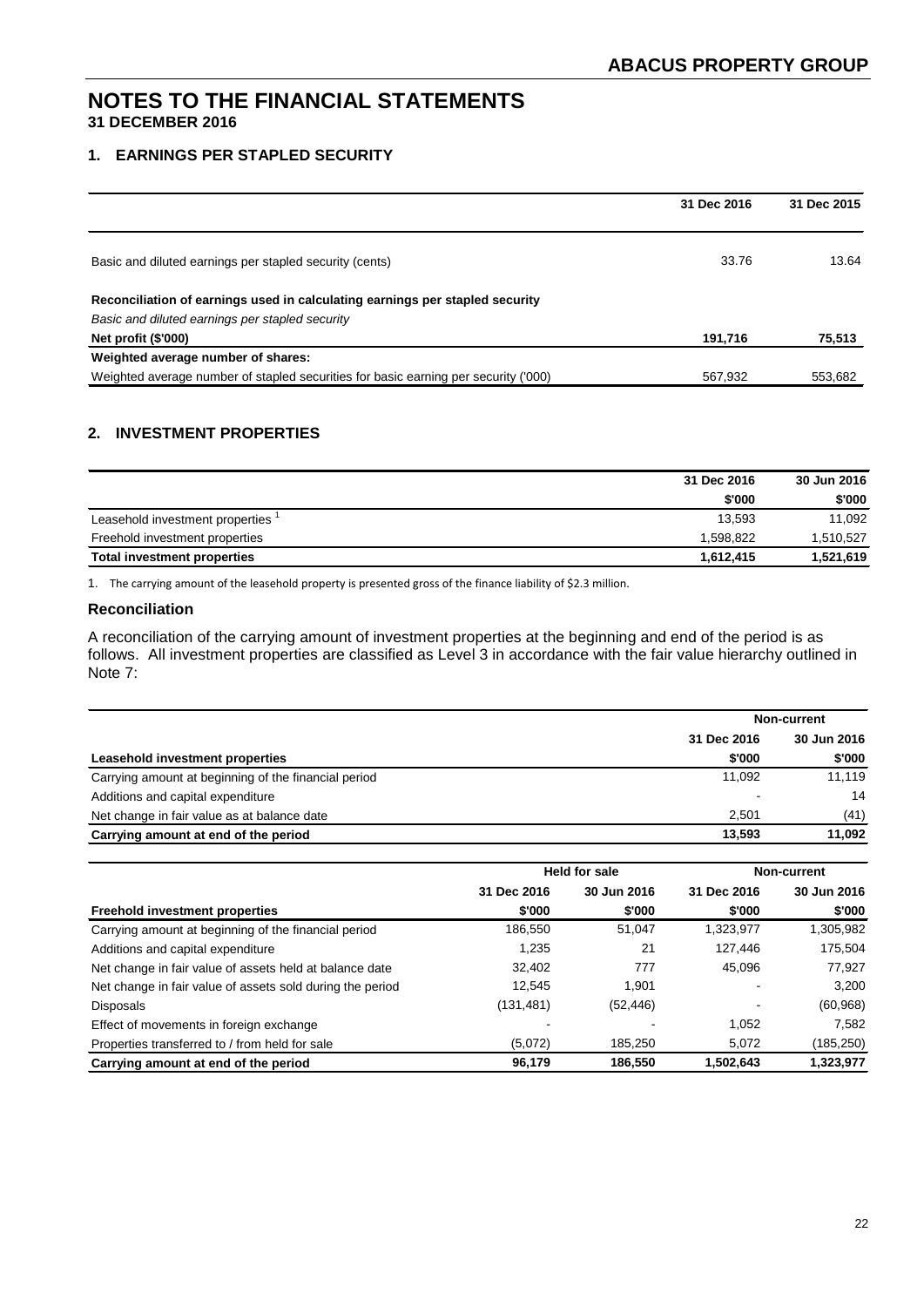# **1. EARNINGS PER STAPLED SECURITY**

|                                                                                     | 31 Dec 2016 | 31 Dec 2015 |
|-------------------------------------------------------------------------------------|-------------|-------------|
|                                                                                     |             |             |
| Basic and diluted earnings per stapled security (cents)                             | 33.76       | 13.64       |
| Reconciliation of earnings used in calculating earnings per stapled security        |             |             |
| Basic and diluted earnings per stapled security                                     |             |             |
| Net profit (\$'000)                                                                 | 191.716     | 75,513      |
| Weighted average number of shares:                                                  |             |             |
| Weighted average number of stapled securities for basic earning per security ('000) | 567,932     | 553,682     |

# **2. INVESTMENT PROPERTIES**

|                                    | 31 Dec 2016 | 30 Jun 2016 |
|------------------------------------|-------------|-------------|
|                                    | \$'000      | \$'000      |
| Leasehold investment properties    | 13.593      | 11.092      |
| Freehold investment properties     | 1,598,822   | 1,510,527   |
| <b>Total investment properties</b> | 1.612.415   | 1,521,619   |

1. The carrying amount of the leasehold property is presented gross of the finance liability of \$2.3 million.

#### **Reconciliation**

A reconciliation of the carrying amount of investment properties at the beginning and end of the period is as follows. All investment properties are classified as Level 3 in accordance with the fair value hierarchy outlined in Note 7:

|                                                      |             | Non-current |  |
|------------------------------------------------------|-------------|-------------|--|
|                                                      | 31 Dec 2016 | 30 Jun 2016 |  |
| Leasehold investment properties                      | \$'000      | \$'000      |  |
| Carrying amount at beginning of the financial period | 11.092      | 11.119      |  |
| Additions and capital expenditure                    |             | 14          |  |
| Net change in fair value as at balance date          | 2.501       | (41)        |  |
| Carrying amount at end of the period                 | 13.593      | 11.092      |  |

|                                                           | <b>Held for sale</b> |             | <b>Non-current</b>       |             |  |
|-----------------------------------------------------------|----------------------|-------------|--------------------------|-------------|--|
|                                                           | 31 Dec 2016          | 30 Jun 2016 | 31 Dec 2016              | 30 Jun 2016 |  |
| <b>Freehold investment properties</b>                     | \$'000               | \$'000      | \$'000                   | \$'000      |  |
| Carrying amount at beginning of the financial period      | 186,550              | 51.047      | 1,323,977                | 1,305,982   |  |
| Additions and capital expenditure                         | 1.235                | 21          | 127,446                  | 175,504     |  |
| Net change in fair value of assets held at balance date   | 32.402               | 777         | 45.096                   | 77,927      |  |
| Net change in fair value of assets sold during the period | 12.545               | 1.901       | $\overline{\phantom{0}}$ | 3,200       |  |
| <b>Disposals</b>                                          | (131, 481)           | (52, 446)   |                          | (60, 968)   |  |
| Effect of movements in foreign exchange                   |                      |             | 1.052                    | 7,582       |  |
| Properties transferred to / from held for sale            | (5,072)              | 185,250     | 5.072                    | (185,250)   |  |
| Carrying amount at end of the period                      | 96.179               | 186.550     | 1,502,643                | 1,323,977   |  |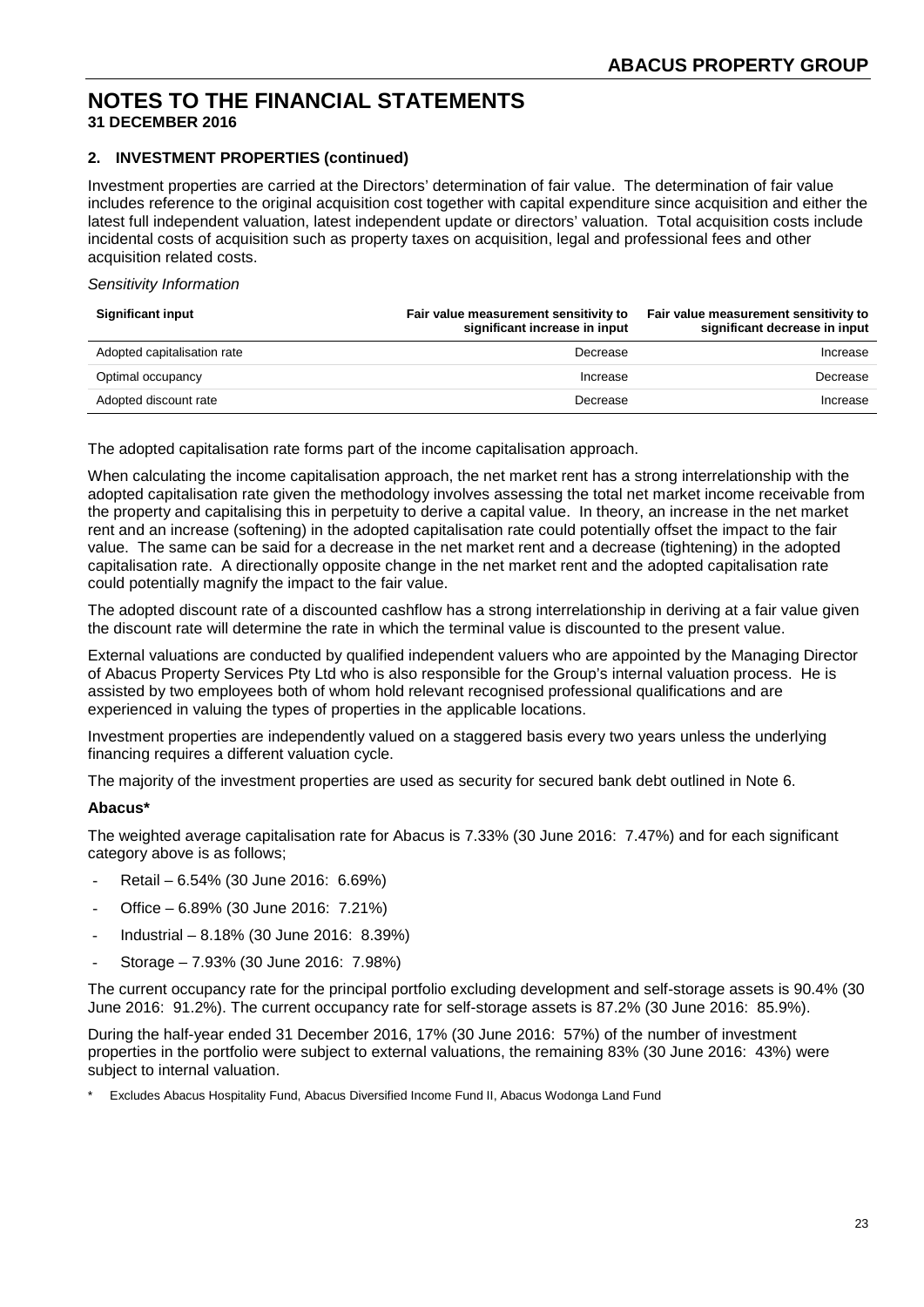## **2. INVESTMENT PROPERTIES (continued)**

Investment properties are carried at the Directors' determination of fair value. The determination of fair value includes reference to the original acquisition cost together with capital expenditure since acquisition and either the latest full independent valuation, latest independent update or directors' valuation. Total acquisition costs include incidental costs of acquisition such as property taxes on acquisition, legal and professional fees and other acquisition related costs.

#### *Sensitivity Information*

| <b>Significant input</b>    | Fair value measurement sensitivity to<br>significant increase in input | Fair value measurement sensitivity to<br>significant decrease in input |
|-----------------------------|------------------------------------------------------------------------|------------------------------------------------------------------------|
| Adopted capitalisation rate | Decrease                                                               | Increase                                                               |
| Optimal occupancy           | Increase                                                               | Decrease                                                               |
| Adopted discount rate       | Decrease                                                               | Increase                                                               |

The adopted capitalisation rate forms part of the income capitalisation approach.

When calculating the income capitalisation approach, the net market rent has a strong interrelationship with the adopted capitalisation rate given the methodology involves assessing the total net market income receivable from the property and capitalising this in perpetuity to derive a capital value. In theory, an increase in the net market rent and an increase (softening) in the adopted capitalisation rate could potentially offset the impact to the fair value. The same can be said for a decrease in the net market rent and a decrease (tightening) in the adopted capitalisation rate. A directionally opposite change in the net market rent and the adopted capitalisation rate could potentially magnify the impact to the fair value.

The adopted discount rate of a discounted cashflow has a strong interrelationship in deriving at a fair value given the discount rate will determine the rate in which the terminal value is discounted to the present value.

External valuations are conducted by qualified independent valuers who are appointed by the Managing Director of Abacus Property Services Pty Ltd who is also responsible for the Group's internal valuation process. He is assisted by two employees both of whom hold relevant recognised professional qualifications and are experienced in valuing the types of properties in the applicable locations.

Investment properties are independently valued on a staggered basis every two years unless the underlying financing requires a different valuation cycle.

The majority of the investment properties are used as security for secured bank debt outlined in Note 6.

#### **Abacus\***

The weighted average capitalisation rate for Abacus is 7.33% (30 June 2016: 7.47%) and for each significant category above is as follows;

- Retail 6.54% (30 June 2016: 6.69%)
- Office 6.89% (30 June 2016: 7.21%)
- Industrial 8.18% (30 June 2016: 8.39%)
- Storage 7.93% (30 June 2016: 7.98%)

The current occupancy rate for the principal portfolio excluding development and self-storage assets is 90.4% (30 June 2016: 91.2%). The current occupancy rate for self-storage assets is 87.2% (30 June 2016: 85.9%).

During the half-year ended 31 December 2016, 17% (30 June 2016: 57%) of the number of investment properties in the portfolio were subject to external valuations, the remaining 83% (30 June 2016: 43%) were subject to internal valuation.

Excludes Abacus Hospitality Fund, Abacus Diversified Income Fund II, Abacus Wodonga Land Fund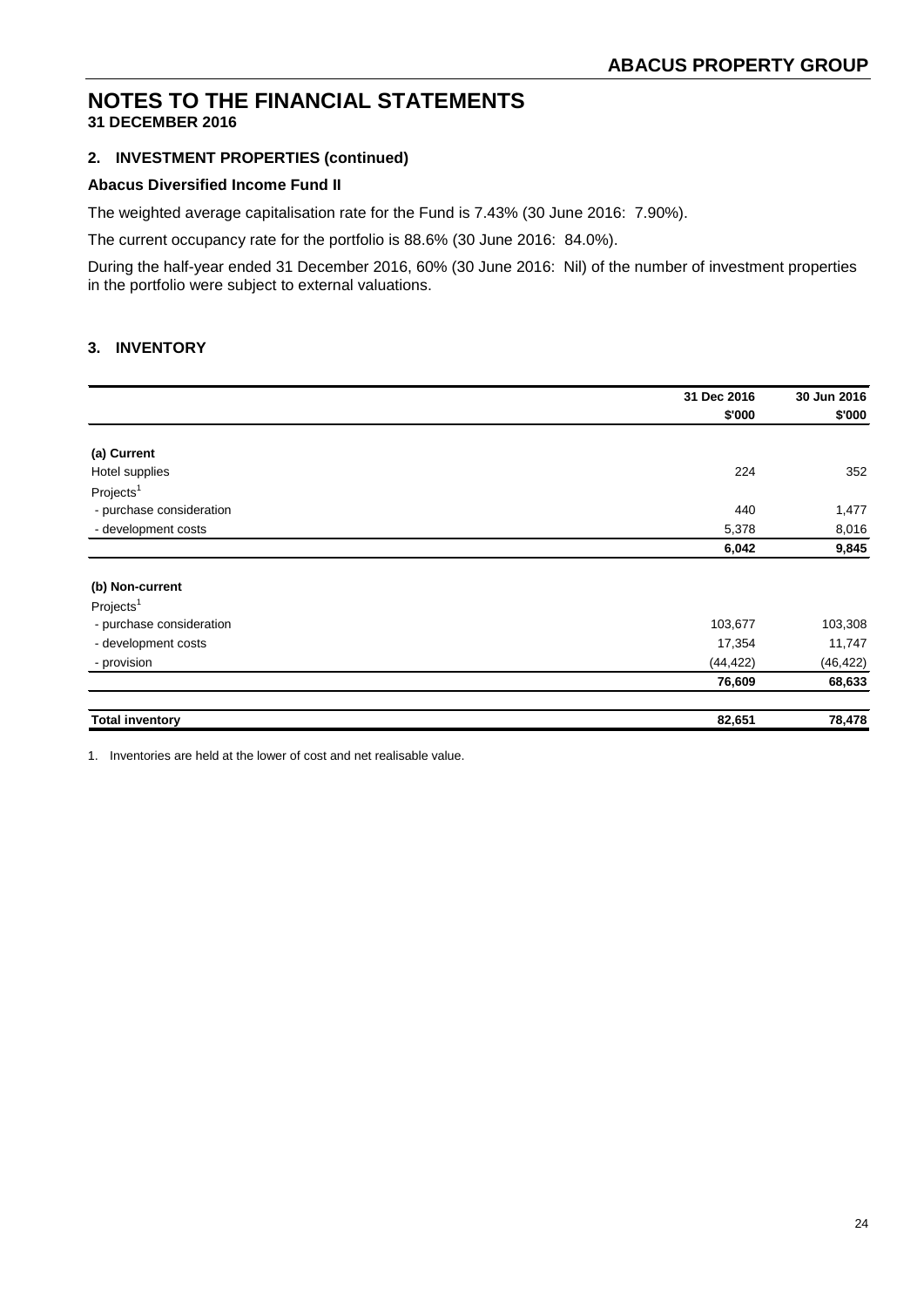# **2. INVESTMENT PROPERTIES (continued)**

#### **Abacus Diversified Income Fund II**

The weighted average capitalisation rate for the Fund is 7.43% (30 June 2016: 7.90%).

The current occupancy rate for the portfolio is 88.6% (30 June 2016: 84.0%).

During the half-year ended 31 December 2016, 60% (30 June 2016: Nil) of the number of investment properties in the portfolio were subject to external valuations.

## **3. INVENTORY**

|                          | 31 Dec 2016 | 30 Jun 2016 |
|--------------------------|-------------|-------------|
|                          | \$'000      | \$'000      |
|                          |             |             |
| (a) Current              |             |             |
| Hotel supplies           | 224         | 352         |
| Projects <sup>1</sup>    |             |             |
| - purchase consideration | 440         | 1,477       |
| - development costs      | 5,378       | 8,016       |
|                          | 6,042       | 9,845       |
|                          |             |             |
| (b) Non-current          |             |             |
| Projects <sup>1</sup>    |             |             |
| - purchase consideration | 103,677     | 103,308     |
| - development costs      | 17,354      | 11,747      |
| - provision              | (44, 422)   | (46, 422)   |
|                          | 76,609      | 68,633      |
| <b>Total inventory</b>   | 82,651      | 78,478      |

1. Inventories are held at the lower of cost and net realisable value.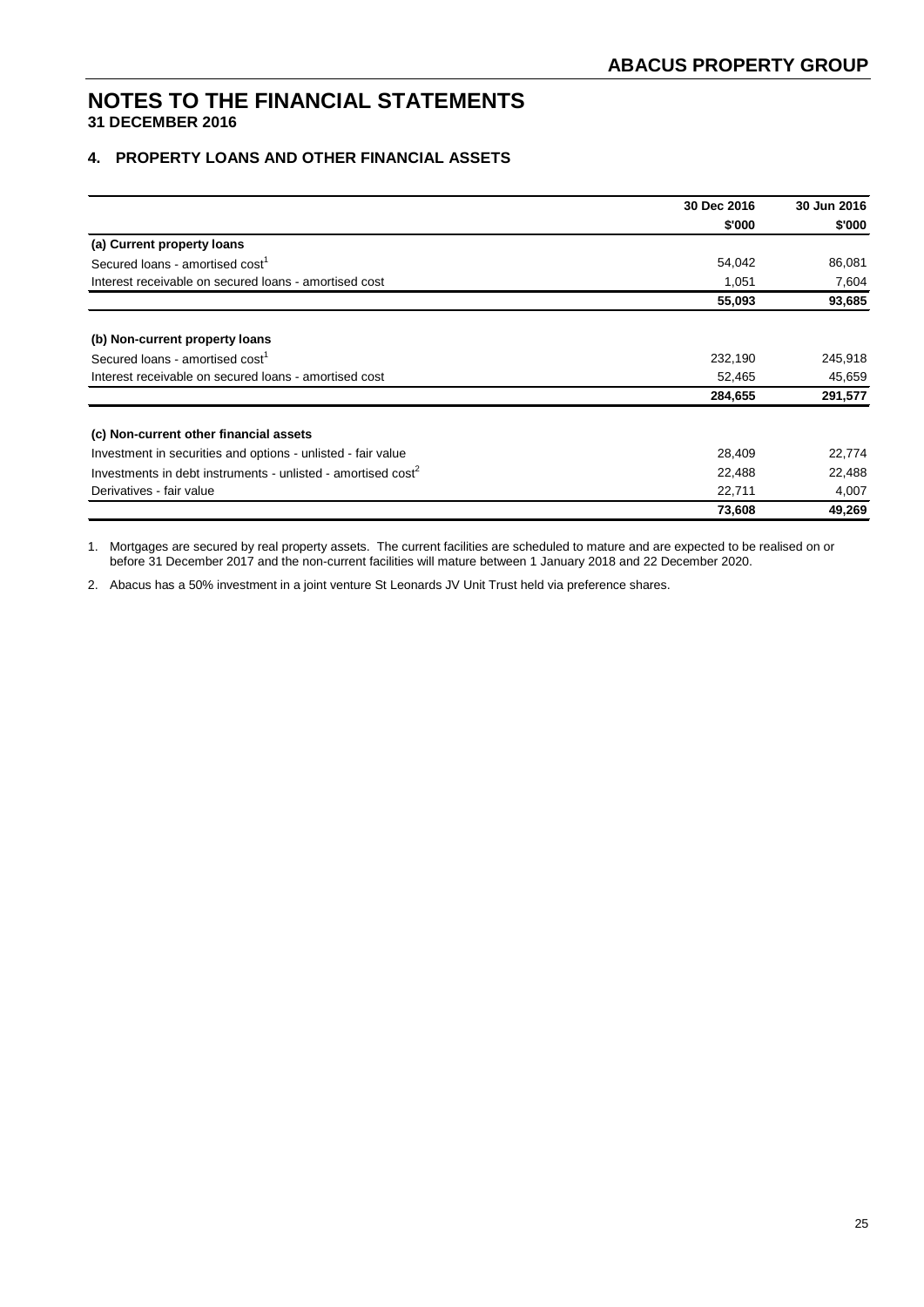## **4. PROPERTY LOANS AND OTHER FINANCIAL ASSETS**

|                                                                          | 30 Dec 2016 | 30 Jun 2016 |
|--------------------------------------------------------------------------|-------------|-------------|
|                                                                          | \$'000      | \$'000      |
| (a) Current property loans                                               |             |             |
| Secured loans - amortised cost <sup>1</sup>                              | 54,042      | 86,081      |
| Interest receivable on secured loans - amortised cost                    | 1,051       | 7,604       |
|                                                                          | 55,093      | 93,685      |
| (b) Non-current property loans                                           |             |             |
| Secured loans - amortised cost <sup>1</sup>                              | 232,190     | 245,918     |
| Interest receivable on secured loans - amortised cost                    | 52,465      | 45,659      |
|                                                                          | 284,655     | 291,577     |
| (c) Non-current other financial assets                                   |             |             |
| Investment in securities and options - unlisted - fair value             | 28,409      | 22,774      |
| Investments in debt instruments - unlisted - amortised cost <sup>2</sup> | 22,488      | 22,488      |
| Derivatives - fair value                                                 | 22,711      | 4,007       |
|                                                                          | 73,608      | 49,269      |

1. Mortgages are secured by real property assets. The current facilities are scheduled to mature and are expected to be realised on or before 31 December 2017 and the non-current facilities will mature between 1 January 2018 and 22 December 2020.

2. Abacus has a 50% investment in a joint venture St Leonards JV Unit Trust held via preference shares.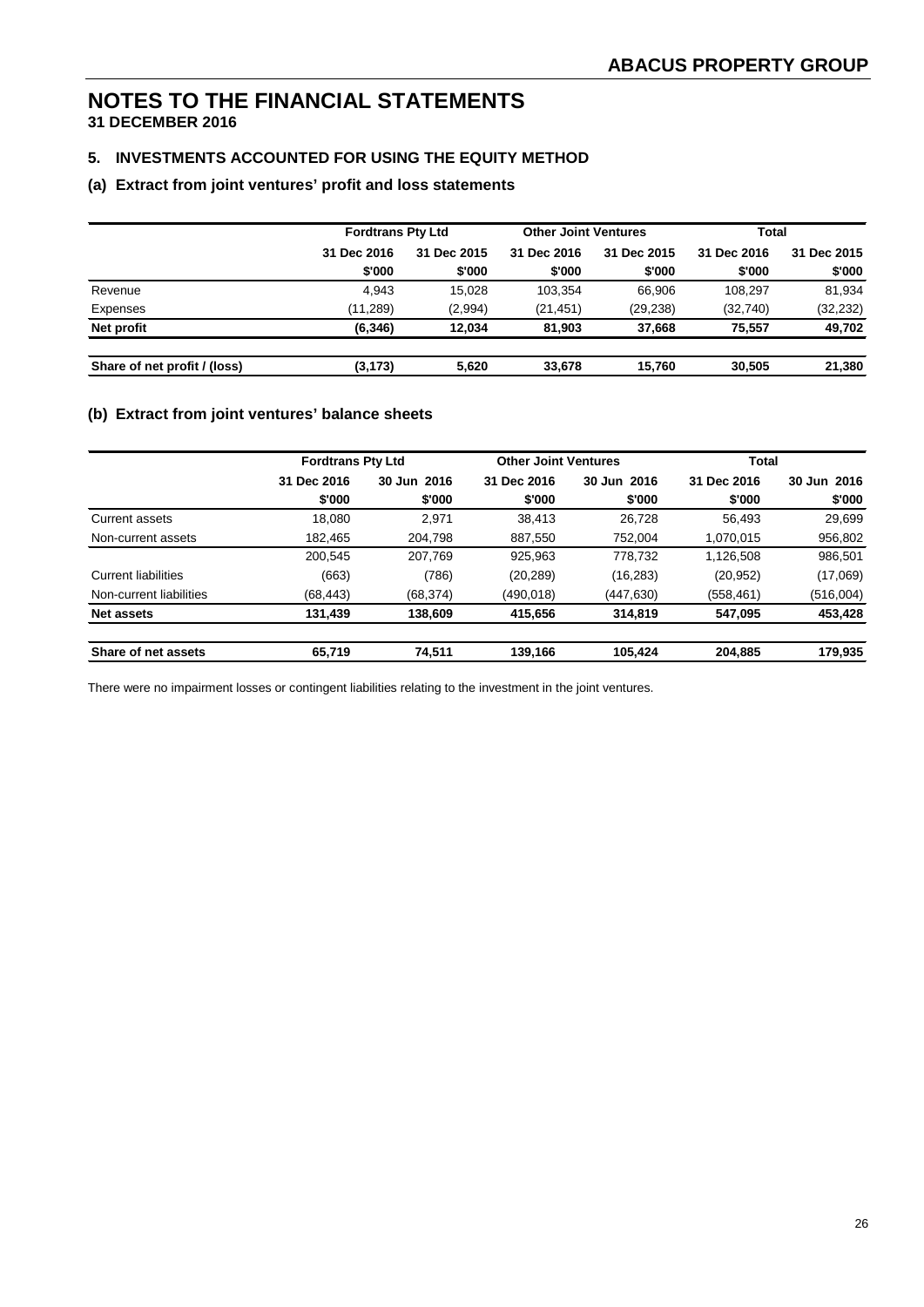# **5. INVESTMENTS ACCOUNTED FOR USING THE EQUITY METHOD**

#### **(a) Extract from joint ventures' profit and loss statements**

|                              | <b>Fordtrans Pty Ltd</b> |             | <b>Other Joint Ventures</b> |             | Total       |             |
|------------------------------|--------------------------|-------------|-----------------------------|-------------|-------------|-------------|
|                              | 31 Dec 2016              | 31 Dec 2015 | 31 Dec 2016                 | 31 Dec 2015 | 31 Dec 2016 | 31 Dec 2015 |
|                              | \$'000                   | \$'000      | \$'000                      | \$'000      | \$'000      | \$'000      |
| Revenue                      | 4.943                    | 15.028      | 103.354                     | 66.906      | 108.297     | 81,934      |
| Expenses                     | (11, 289)                | (2,994)     | (21, 451)                   | (29,238)    | (32,740)    | (32, 232)   |
| Net profit                   | (6, 346)                 | 12.034      | 81.903                      | 37.668      | 75.557      | 49.702      |
| Share of net profit / (loss) | (3, 173)                 | 5,620       | 33.678                      | 15.760      | 30.505      | 21,380      |

#### **(b) Extract from joint ventures' balance sheets**

|                            | <b>Fordtrans Pty Ltd</b> |             | <b>Other Joint Ventures</b> |                | Total       |             |
|----------------------------|--------------------------|-------------|-----------------------------|----------------|-------------|-------------|
|                            | 31 Dec 2016              | 30 Jun 2016 | 31 Dec 2016                 | 2016<br>30 Jun | 31 Dec 2016 | 30 Jun 2016 |
|                            | \$'000                   | \$'000      | \$'000                      | \$'000         | \$'000      | \$'000      |
| Current assets             | 18.080                   | 2.971       | 38.413                      | 26.728         | 56.493      | 29,699      |
| Non-current assets         | 182,465                  | 204,798     | 887.550                     | 752.004        | 1,070,015   | 956,802     |
|                            | 200.545                  | 207.769     | 925.963                     | 778.732        | 1,126,508   | 986,501     |
| <b>Current liabilities</b> | (663)                    | (786)       | (20, 289)                   | (16, 283)      | (20, 952)   | (17,069)    |
| Non-current liabilities    | (68, 443)                | (68, 374)   | (490,018)                   | (447,630)      | (558, 461)  | (516,004)   |
| <b>Net assets</b>          | 131,439                  | 138,609     | 415,656                     | 314,819        | 547,095     | 453,428     |
| Share of net assets        | 65,719                   | 74,511      | 139,166                     | 105,424        | 204,885     | 179,935     |

There were no impairment losses or contingent liabilities relating to the investment in the joint ventures.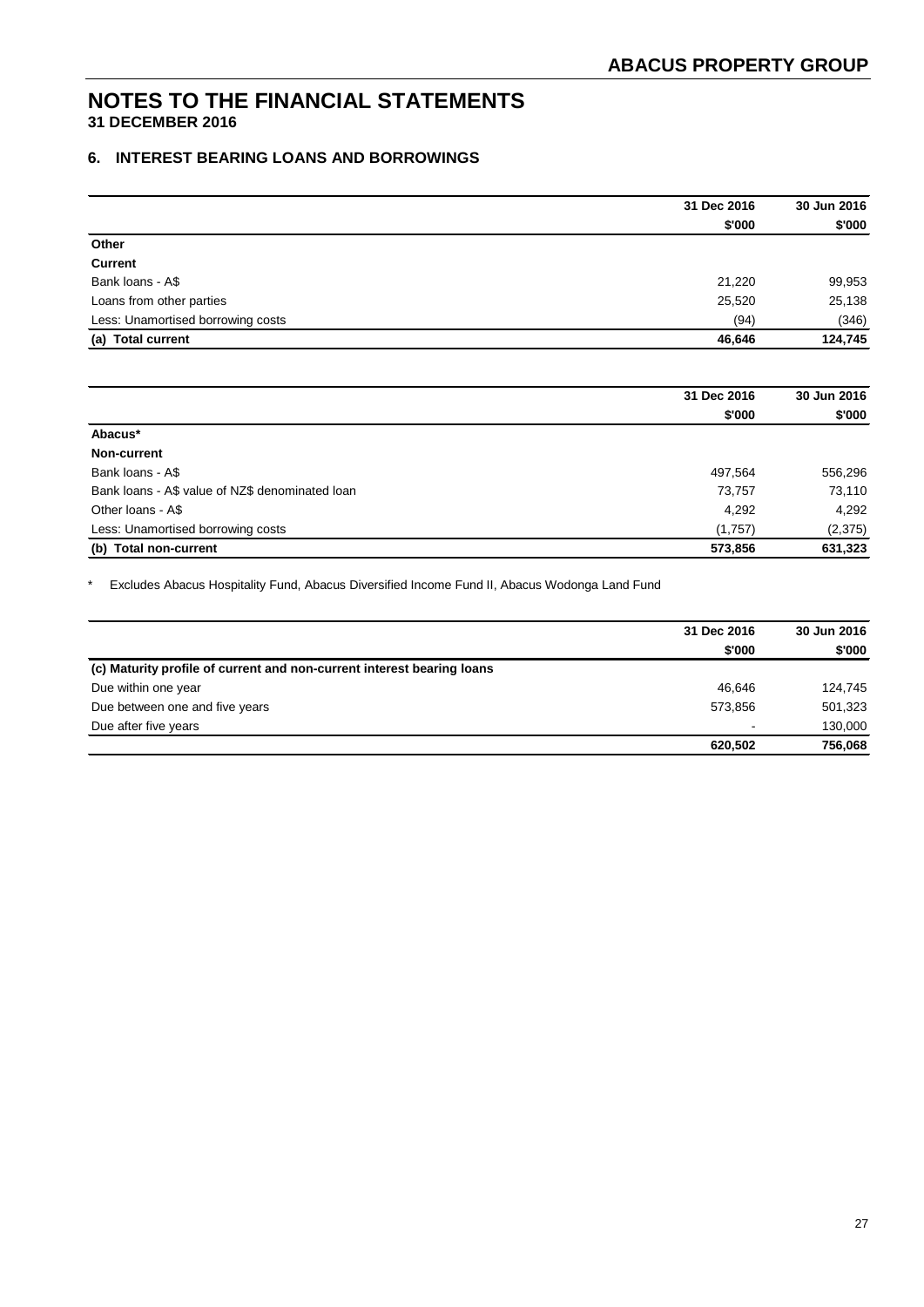# **6. INTEREST BEARING LOANS AND BORROWINGS**

|                                   | 31 Dec 2016 | 30 Jun 2016 |
|-----------------------------------|-------------|-------------|
|                                   | \$'000      | \$'000      |
| Other                             |             |             |
| <b>Current</b>                    |             |             |
| Bank loans - A\$                  | 21,220      | 99,953      |
| Loans from other parties          | 25,520      | 25,138      |
| Less: Unamortised borrowing costs | (94)        | (346)       |
| (a)<br><b>Total current</b>       | 46.646      | 124,745     |
|                                   |             |             |

|                                                 | 31 Dec 2016 | 30 Jun 2016 |
|-------------------------------------------------|-------------|-------------|
|                                                 | \$'000      | \$'000      |
| Abacus*                                         |             |             |
| Non-current                                     |             |             |
| Bank loans - A\$                                | 497,564     | 556,296     |
| Bank loans - A\$ value of NZ\$ denominated loan | 73,757      | 73,110      |
| Other Ioans - A\$                               | 4,292       | 4,292       |
| Less: Unamortised borrowing costs               | (1,757)     | (2,375)     |
| <b>Total non-current</b><br>(b)                 | 573,856     | 631,323     |

\* Excludes Abacus Hospitality Fund, Abacus Diversified Income Fund II, Abacus Wodonga Land Fund

|                                                                        | 31 Dec 2016              | 30 Jun 2016 |
|------------------------------------------------------------------------|--------------------------|-------------|
|                                                                        | \$'000                   | \$'000      |
| (c) Maturity profile of current and non-current interest bearing loans |                          |             |
| Due within one year                                                    | 46.646                   | 124.745     |
| Due between one and five years                                         | 573,856                  | 501,323     |
| Due after five years                                                   | $\overline{\phantom{a}}$ | 130,000     |
|                                                                        | 620,502                  | 756,068     |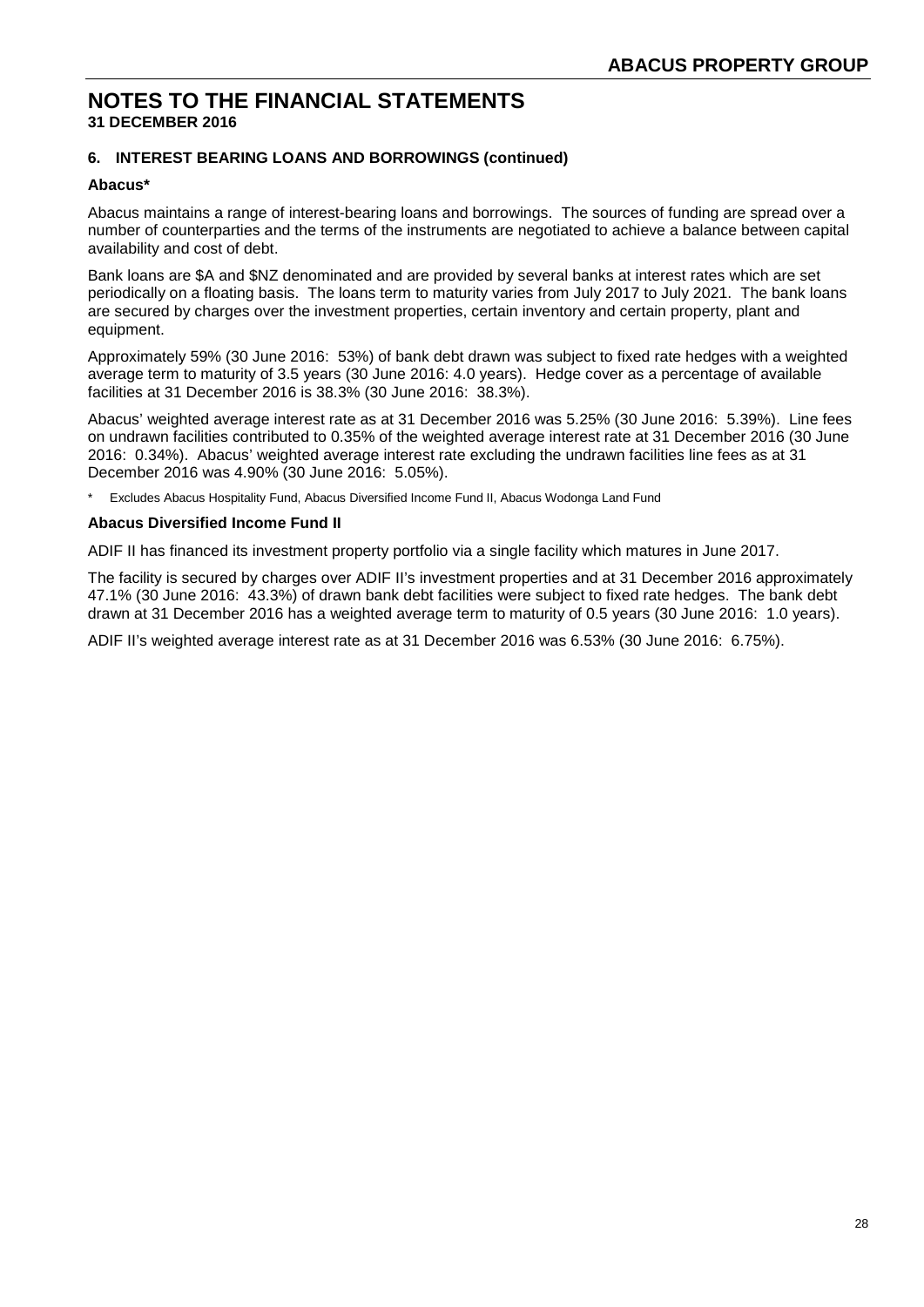# **6. INTEREST BEARING LOANS AND BORROWINGS (continued)**

#### **Abacus\***

Abacus maintains a range of interest-bearing loans and borrowings. The sources of funding are spread over a number of counterparties and the terms of the instruments are negotiated to achieve a balance between capital availability and cost of debt.

Bank loans are \$A and \$NZ denominated and are provided by several banks at interest rates which are set periodically on a floating basis. The loans term to maturity varies from July 2017 to July 2021. The bank loans are secured by charges over the investment properties, certain inventory and certain property, plant and equipment.

Approximately 59% (30 June 2016: 53%) of bank debt drawn was subject to fixed rate hedges with a weighted average term to maturity of 3.5 years (30 June 2016: 4.0 years). Hedge cover as a percentage of available facilities at 31 December 2016 is 38.3% (30 June 2016: 38.3%).

Abacus' weighted average interest rate as at 31 December 2016 was 5.25% (30 June 2016: 5.39%). Line fees on undrawn facilities contributed to 0.35% of the weighted average interest rate at 31 December 2016 (30 June 2016: 0.34%). Abacus' weighted average interest rate excluding the undrawn facilities line fees as at 31 December 2016 was 4.90% (30 June 2016: 5.05%).

Excludes Abacus Hospitality Fund, Abacus Diversified Income Fund II, Abacus Wodonga Land Fund

#### **Abacus Diversified Income Fund II**

ADIF II has financed its investment property portfolio via a single facility which matures in June 2017.

The facility is secured by charges over ADIF II's investment properties and at 31 December 2016 approximately 47.1% (30 June 2016: 43.3%) of drawn bank debt facilities were subject to fixed rate hedges. The bank debt drawn at 31 December 2016 has a weighted average term to maturity of 0.5 years (30 June 2016: 1.0 years).

ADIF II's weighted average interest rate as at 31 December 2016 was 6.53% (30 June 2016: 6.75%).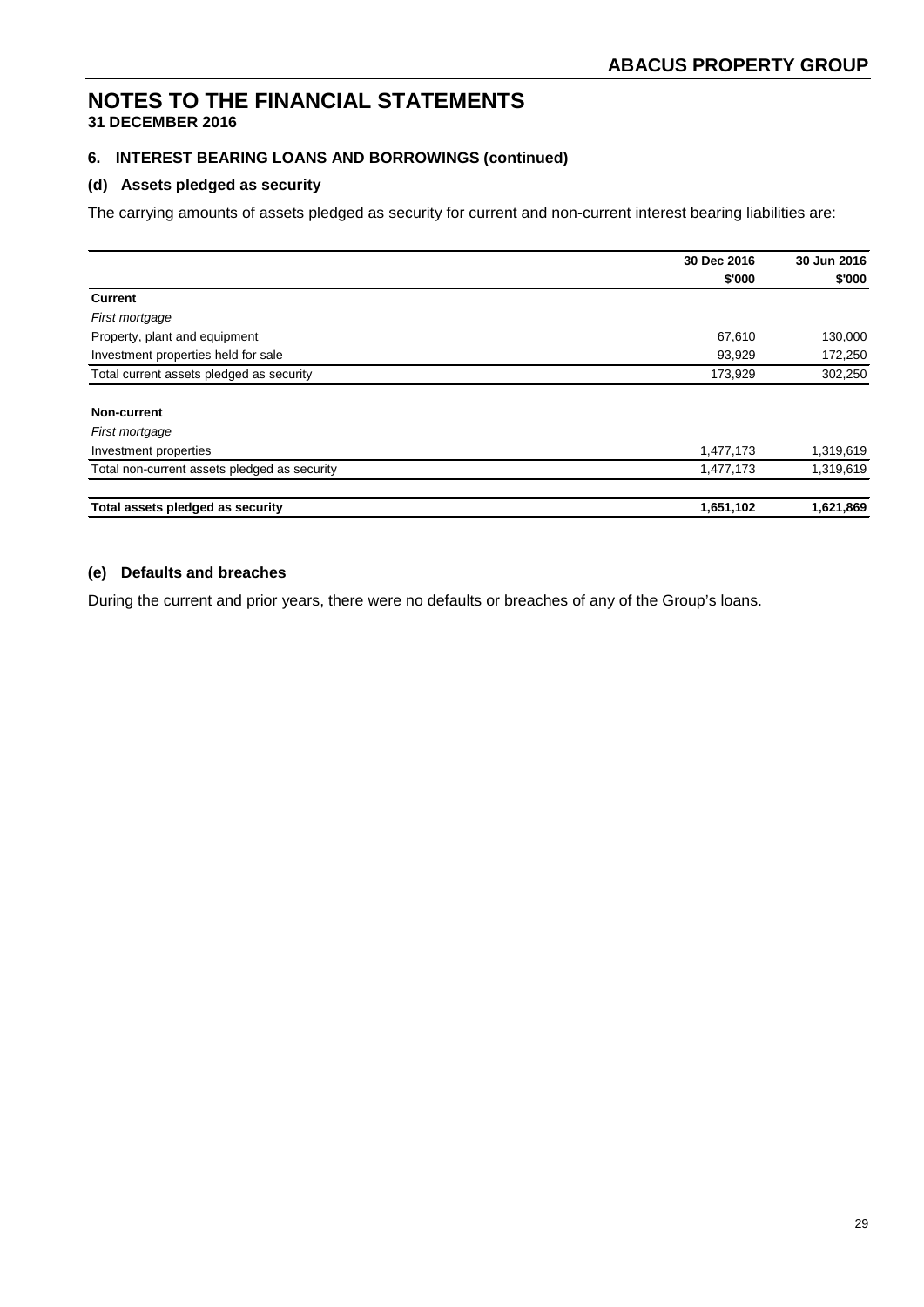# **6. INTEREST BEARING LOANS AND BORROWINGS (continued)**

## **(d) Assets pledged as security**

The carrying amounts of assets pledged as security for current and non-current interest bearing liabilities are:

|                                              | 30 Dec 2016 | 30 Jun 2016 |
|----------------------------------------------|-------------|-------------|
|                                              | \$'000      | \$'000      |
| <b>Current</b>                               |             |             |
| First mortgage                               |             |             |
| Property, plant and equipment                | 67,610      | 130,000     |
| Investment properties held for sale          | 93,929      | 172,250     |
| Total current assets pledged as security     | 173,929     | 302,250     |
| <b>Non-current</b>                           |             |             |
| First mortgage                               |             |             |
| Investment properties                        | 1,477,173   | 1,319,619   |
| Total non-current assets pledged as security | 1,477,173   | 1,319,619   |
| Total assets pledged as security             | 1,651,102   | 1,621,869   |

# **(e) Defaults and breaches**

During the current and prior years, there were no defaults or breaches of any of the Group's loans.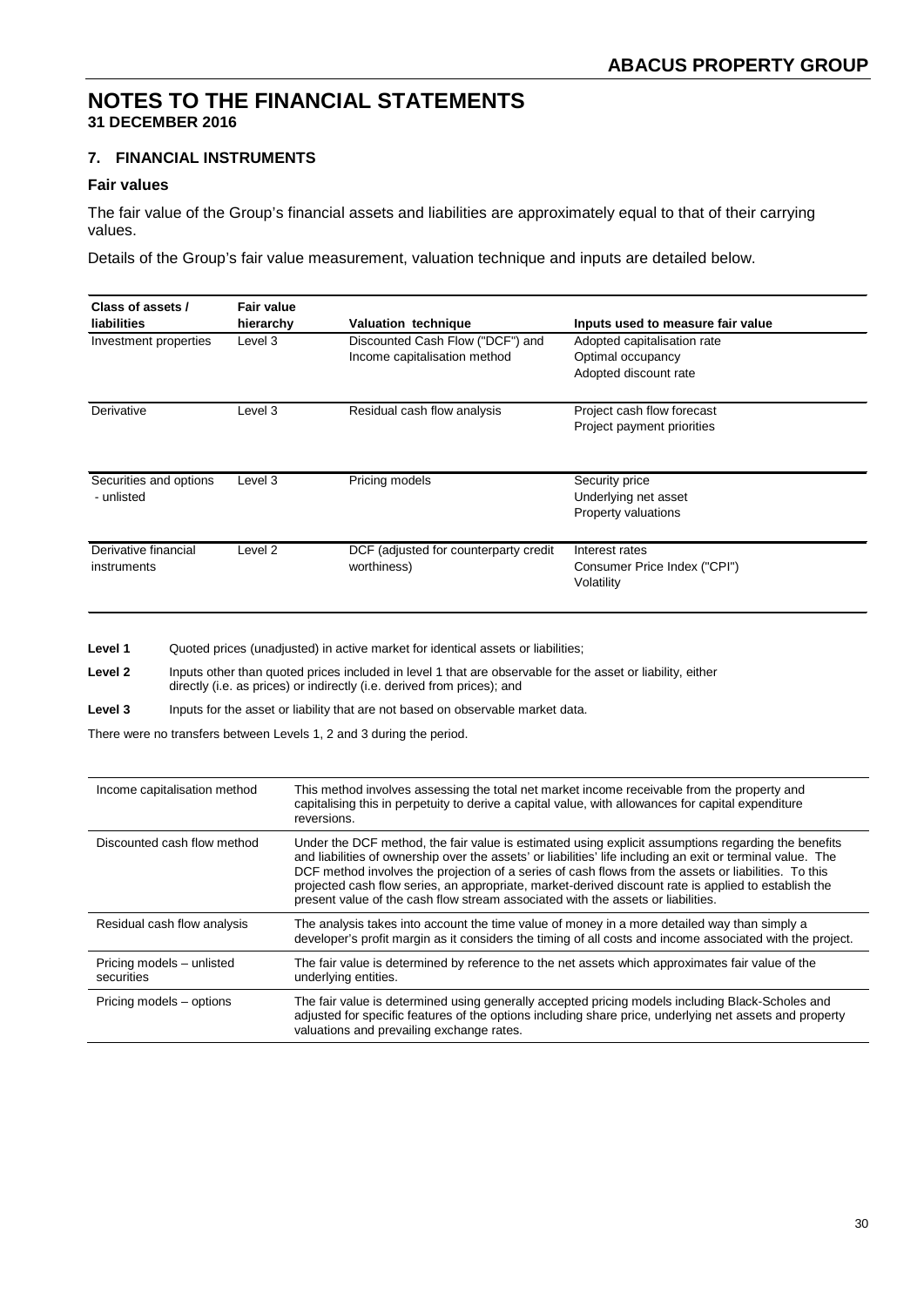#### **7. FINANCIAL INSTRUMENTS**

#### **Fair values**

The fair value of the Group's financial assets and liabilities are approximately equal to that of their carrying values.

Details of the Group's fair value measurement, valuation technique and inputs are detailed below.

| Class of assets /<br><b>liabilities</b> | <b>Fair value</b><br>hierarchy | <b>Valuation technique</b>                                       | Inputs used to measure fair value                                         |
|-----------------------------------------|--------------------------------|------------------------------------------------------------------|---------------------------------------------------------------------------|
| Investment properties                   | Level 3                        | Discounted Cash Flow ("DCF") and<br>Income capitalisation method | Adopted capitalisation rate<br>Optimal occupancy<br>Adopted discount rate |
|                                         |                                |                                                                  |                                                                           |
| Derivative                              | Level 3                        | Residual cash flow analysis                                      | Project cash flow forecast<br>Project payment priorities                  |
| Securities and options<br>- unlisted    | Level 3                        | Pricing models                                                   | Security price<br>Underlying net asset<br><b>Property valuations</b>      |
| Derivative financial<br>instruments     | Level 2                        | DCF (adjusted for counterparty credit<br>worthiness)             | Interest rates<br>Consumer Price Index ("CPI")<br>Volatility              |

Level 1 Quoted prices (unadjusted) in active market for identical assets or liabilities;

**Level 2** Inputs other than quoted prices included in level 1 that are observable for the asset or liability, either directly (i.e. as prices) or indirectly (i.e. derived from prices); and

**Level 3** Inputs for the asset or liability that are not based on observable market data.

There were no transfers between Levels 1, 2 and 3 during the period.

| Income capitalisation method            | This method involves assessing the total net market income receivable from the property and<br>capitalising this in perpetuity to derive a capital value, with allowances for capital expenditure<br>reversions.                                                                                                                                                                                                                                                                                                       |
|-----------------------------------------|------------------------------------------------------------------------------------------------------------------------------------------------------------------------------------------------------------------------------------------------------------------------------------------------------------------------------------------------------------------------------------------------------------------------------------------------------------------------------------------------------------------------|
| Discounted cash flow method             | Under the DCF method, the fair value is estimated using explicit assumptions regarding the benefits<br>and liabilities of ownership over the assets' or liabilities' life including an exit or terminal value. The<br>DCF method involves the projection of a series of cash flows from the assets or liabilities. To this<br>projected cash flow series, an appropriate, market-derived discount rate is applied to establish the<br>present value of the cash flow stream associated with the assets or liabilities. |
| Residual cash flow analysis             | The analysis takes into account the time value of money in a more detailed way than simply a<br>developer's profit margin as it considers the timing of all costs and income associated with the project.                                                                                                                                                                                                                                                                                                              |
| Pricing models - unlisted<br>securities | The fair value is determined by reference to the net assets which approximates fair value of the<br>underlying entities.                                                                                                                                                                                                                                                                                                                                                                                               |
| Pricing models – options                | The fair value is determined using generally accepted pricing models including Black-Scholes and<br>adjusted for specific features of the options including share price, underlying net assets and property<br>valuations and prevailing exchange rates.                                                                                                                                                                                                                                                               |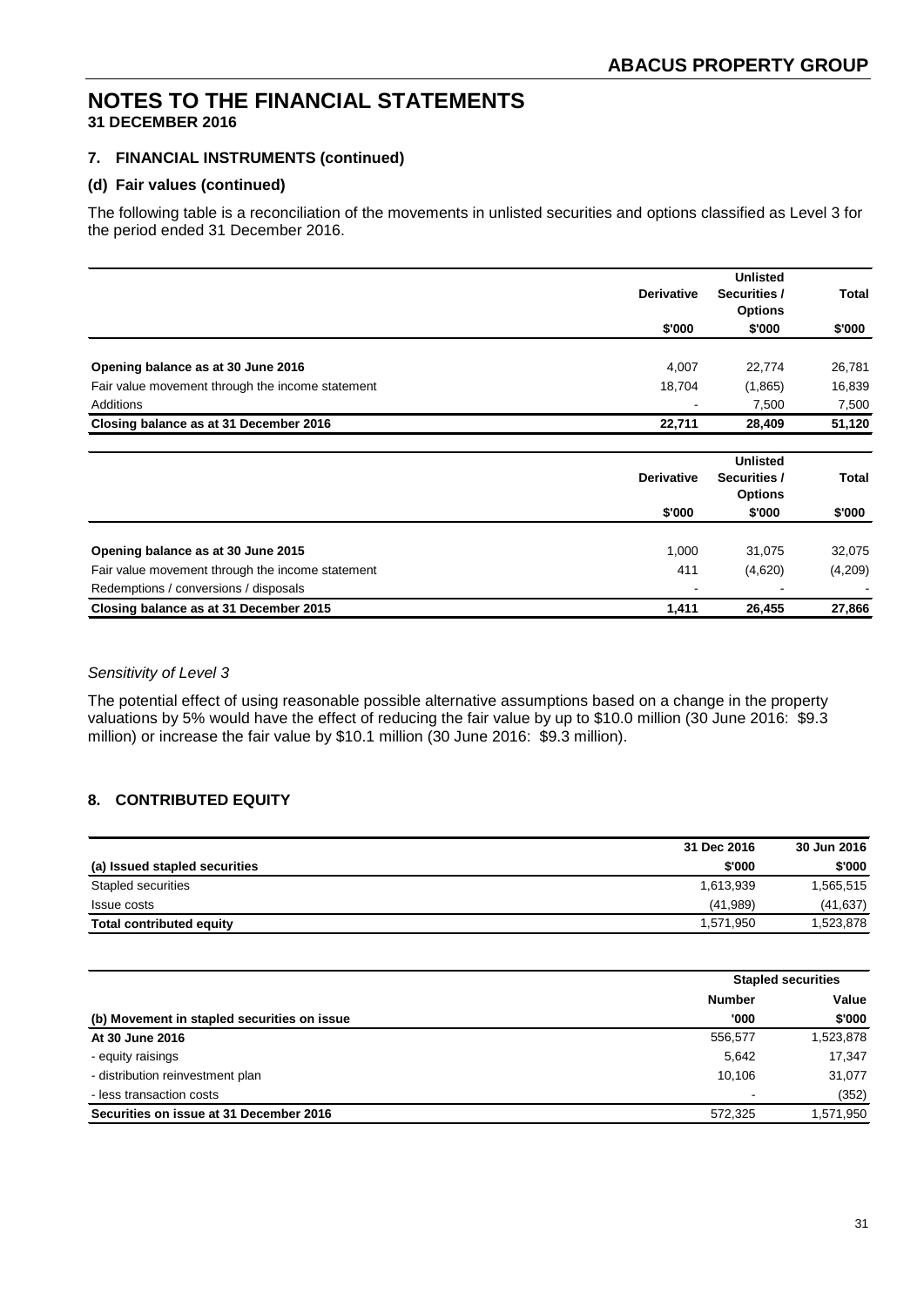## **7. FINANCIAL INSTRUMENTS (continued)**

#### **(d) Fair values (continued)**

The following table is a reconciliation of the movements in unlisted securities and options classified as Level 3 for the period ended 31 December 2016.

|                                                  | <b>Derivative</b> | <b>Unlisted</b><br>Securities /<br><b>Options</b> | <b>Total</b> |
|--------------------------------------------------|-------------------|---------------------------------------------------|--------------|
|                                                  | \$'000            | \$'000                                            | \$'000       |
| Opening balance as at 30 June 2016               | 4,007             | 22,774                                            | 26,781       |
| Fair value movement through the income statement | 18,704            | (1,865)                                           | 16,839       |
| Additions                                        |                   | 7,500                                             | 7,500        |
| Closing balance as at 31 December 2016           | 22,711            | 28,409                                            | 51,120       |
|                                                  | <b>Derivative</b> | <b>Unlisted</b><br>Securities /                   | Total        |
|                                                  | \$'000            | <b>Options</b><br>\$'000                          | \$'000       |
| Opening balance as at 30 June 2015               | 1,000             | 31,075                                            | 32,075       |
| Fair value movement through the income statement | 411               | (4,620)                                           | (4,209)      |
| Redemptions / conversions / disposals            |                   |                                                   |              |
| Closing balance as at 31 December 2015           | 1,411             | 26,455                                            | 27,866       |

# *Sensitivity of Level 3*

The potential effect of using reasonable possible alternative assumptions based on a change in the property valuations by 5% would have the effect of reducing the fair value by up to \$10.0 million (30 June 2016: \$9.3 million) or increase the fair value by \$10.1 million (30 June 2016: \$9.3 million).

# **8. CONTRIBUTED EQUITY**

|                                 | 31 Dec 2016 | 30 Jun 2016 |
|---------------------------------|-------------|-------------|
| (a) Issued stapled securities   | \$'000      | \$'000      |
| Stapled securities              | 1.613.939   | 1,565,515   |
| Issue costs                     | (41,989)    | (41, 637)   |
| <b>Total contributed equity</b> | 1.571.950   | 1,523,878   |

|                                             |                | <b>Stapled securities</b> |  |
|---------------------------------------------|----------------|---------------------------|--|
|                                             | <b>Number</b>  | Value                     |  |
| (b) Movement in stapled securities on issue | '000           | \$'000                    |  |
| At 30 June 2016                             | 556,577        | 1,523,878                 |  |
| - equity raisings                           | 5.642          | 17,347                    |  |
| - distribution reinvestment plan            | 10.106         | 31,077                    |  |
| - less transaction costs                    | $\blacksquare$ | (352)                     |  |
| Securities on issue at 31 December 2016     | 572.325        | 1,571,950                 |  |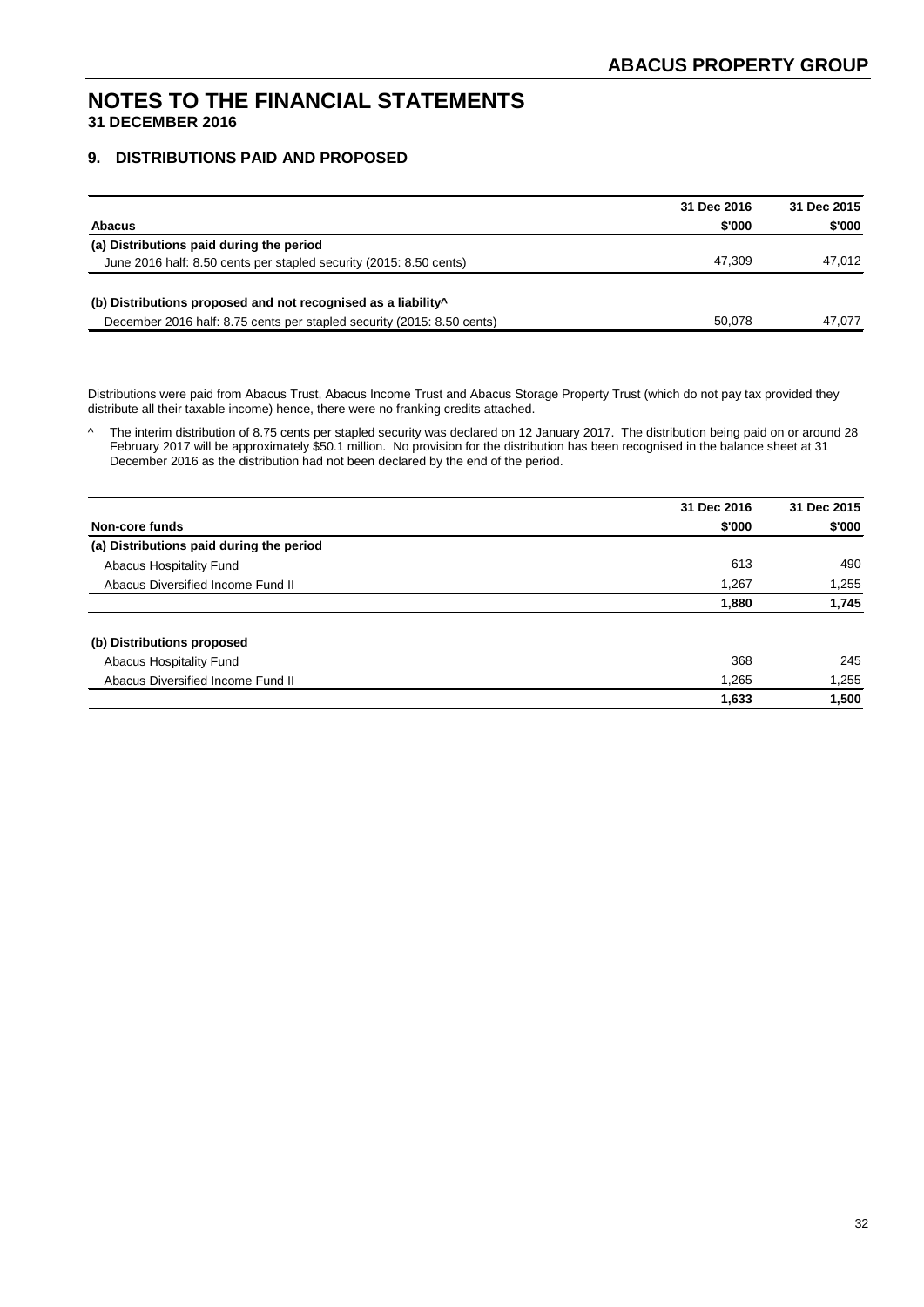## **9. DISTRIBUTIONS PAID AND PROPOSED**

|                                                                           | 31 Dec 2016 | 31 Dec 2015 |
|---------------------------------------------------------------------------|-------------|-------------|
| <b>Abacus</b>                                                             | \$'000      | \$'000      |
| (a) Distributions paid during the period                                  |             |             |
| June 2016 half: 8.50 cents per stapled security (2015: 8.50 cents)        | 47.309      | 47.012      |
| (b) Distributions proposed and not recognised as a liability <sup>^</sup> |             |             |
| December 2016 half: 8.75 cents per stapled security (2015: 8.50 cents)    | 50.078      | 47.077      |

Distributions were paid from Abacus Trust, Abacus Income Trust and Abacus Storage Property Trust (which do not pay tax provided they distribute all their taxable income) hence, there were no franking credits attached.

^ The interim distribution of 8.75 cents per stapled security was declared on 12 January 2017. The distribution being paid on or around 28 February 2017 will be approximately \$50.1 million. No provision for the distribution has been recognised in the balance sheet at 31 December 2016 as the distribution had not been declared by the end of the period.

|                                          | 31 Dec 2016 | 31 Dec 2015 |
|------------------------------------------|-------------|-------------|
| Non-core funds                           | \$'000      | \$'000      |
| (a) Distributions paid during the period |             |             |
| Abacus Hospitality Fund                  | 613         | 490         |
| Abacus Diversified Income Fund II        | 1,267       | 1,255       |
|                                          | 1,880       | 1,745       |
| (b) Distributions proposed               |             |             |
| Abacus Hospitality Fund                  | 368         | 245         |
| Abacus Diversified Income Fund II        | 1,265       | 1,255       |
|                                          | 1,633       | 1,500       |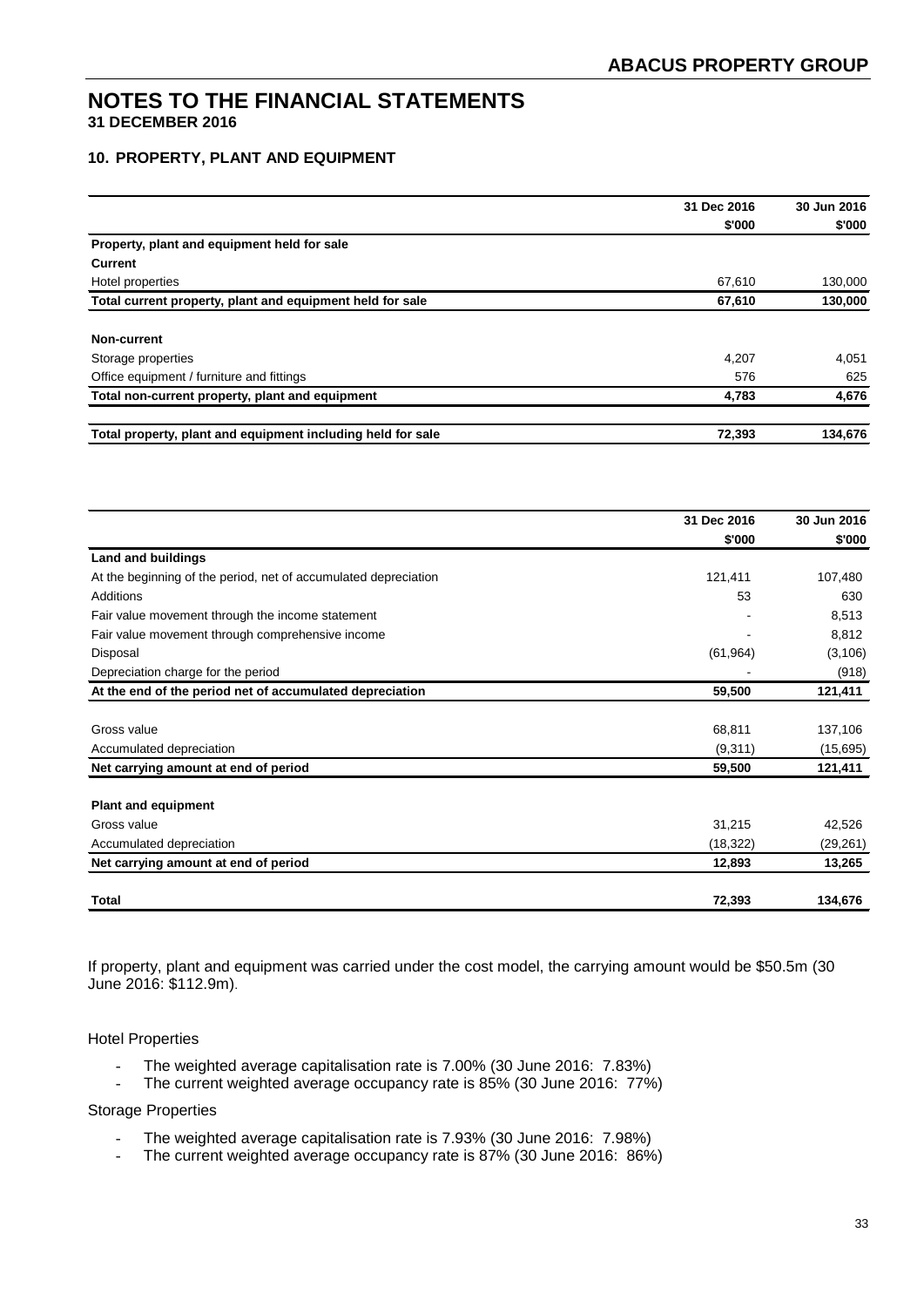## **10. PROPERTY, PLANT AND EQUIPMENT**

|                                                             | 31 Dec 2016 | 30 Jun 2016 |
|-------------------------------------------------------------|-------------|-------------|
|                                                             | \$'000      | \$'000      |
| Property, plant and equipment held for sale                 |             |             |
| <b>Current</b>                                              |             |             |
| Hotel properties                                            | 67,610      | 130,000     |
| Total current property, plant and equipment held for sale   | 67,610      | 130,000     |
| Non-current                                                 |             |             |
| Storage properties                                          | 4,207       | 4,051       |
| Office equipment / furniture and fittings                   | 576         | 625         |
| Total non-current property, plant and equipment             | 4,783       | 4,676       |
| Total property, plant and equipment including held for sale | 72,393      | 134,676     |

|                                                                 | 31 Dec 2016 | 30 Jun 2016 |
|-----------------------------------------------------------------|-------------|-------------|
|                                                                 | \$'000      | \$'000      |
| <b>Land and buildings</b>                                       |             |             |
| At the beginning of the period, net of accumulated depreciation | 121,411     | 107,480     |
| Additions                                                       | 53          | 630         |
| Fair value movement through the income statement                |             | 8,513       |
| Fair value movement through comprehensive income                |             | 8,812       |
| Disposal                                                        | (61, 964)   | (3, 106)    |
| Depreciation charge for the period                              |             | (918)       |
| At the end of the period net of accumulated depreciation        | 59,500      | 121,411     |
|                                                                 |             |             |
| Gross value                                                     | 68,811      | 137,106     |
| Accumulated depreciation                                        | (9,311)     | (15,695)    |
| Net carrying amount at end of period                            | 59,500      | 121,411     |
| <b>Plant and equipment</b>                                      |             |             |
| Gross value                                                     | 31,215      | 42,526      |
| Accumulated depreciation                                        | (18, 322)   | (29, 261)   |
| Net carrying amount at end of period                            | 12,893      | 13,265      |
| Total                                                           | 72,393      | 134,676     |

If property, plant and equipment was carried under the cost model, the carrying amount would be \$50.5m (30 June 2016: \$112.9m).

#### Hotel Properties

- The weighted average capitalisation rate is 7.00% (30 June 2016: 7.83%)
- The current weighted average occupancy rate is 85% (30 June 2016: 77%)

#### Storage Properties

- The weighted average capitalisation rate is 7.93% (30 June 2016: 7.98%)
- The current weighted average occupancy rate is 87% (30 June 2016: 86%)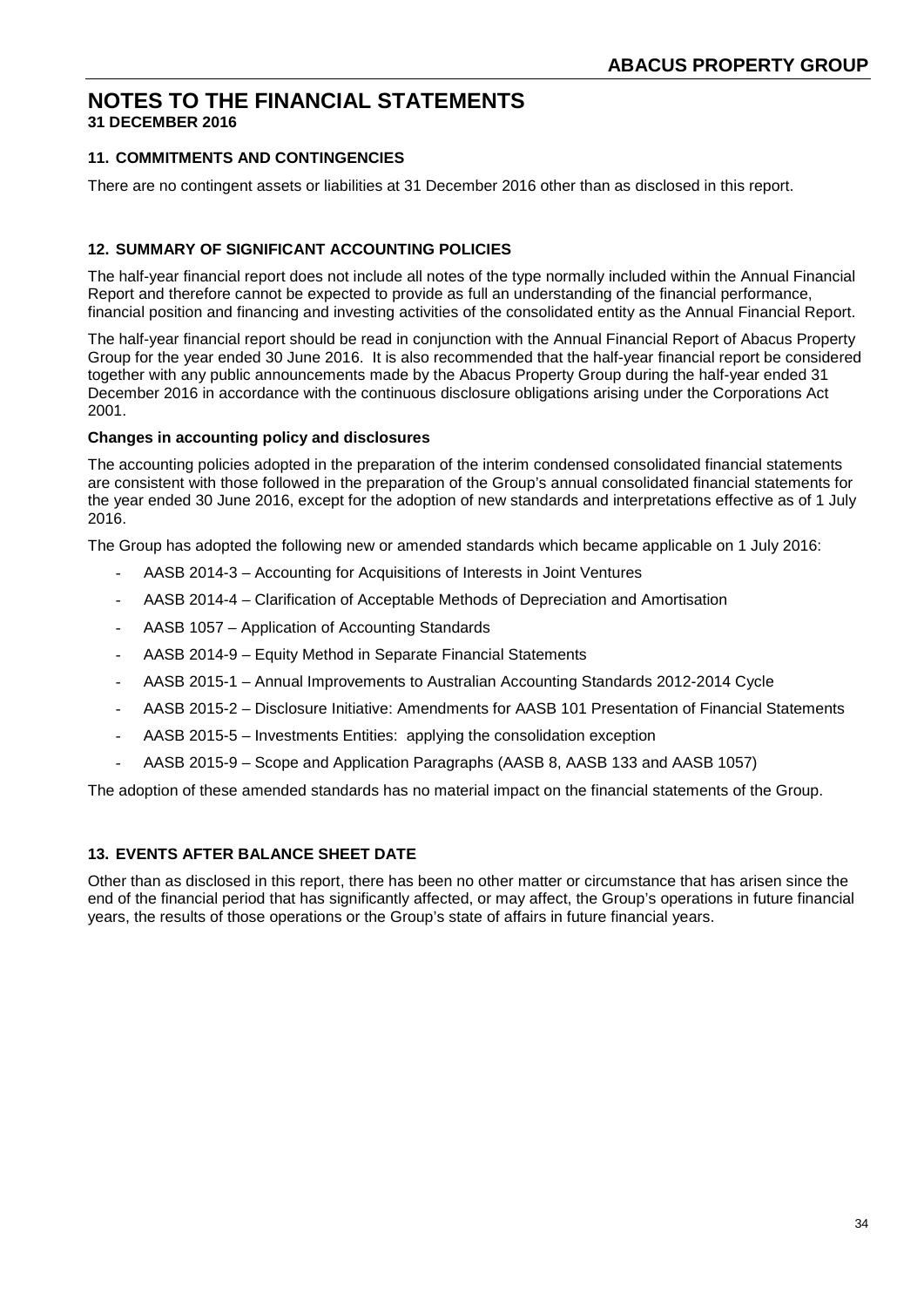# **11. COMMITMENTS AND CONTINGENCIES**

There are no contingent assets or liabilities at 31 December 2016 other than as disclosed in this report.

## **12. SUMMARY OF SIGNIFICANT ACCOUNTING POLICIES**

The half-year financial report does not include all notes of the type normally included within the Annual Financial Report and therefore cannot be expected to provide as full an understanding of the financial performance, financial position and financing and investing activities of the consolidated entity as the Annual Financial Report.

The half-year financial report should be read in conjunction with the Annual Financial Report of Abacus Property Group for the year ended 30 June 2016. It is also recommended that the half-year financial report be considered together with any public announcements made by the Abacus Property Group during the half-year ended 31 December 2016 in accordance with the continuous disclosure obligations arising under the Corporations Act 2001.

#### **Changes in accounting policy and disclosures**

The accounting policies adopted in the preparation of the interim condensed consolidated financial statements are consistent with those followed in the preparation of the Group's annual consolidated financial statements for the year ended 30 June 2016, except for the adoption of new standards and interpretations effective as of 1 July 2016.

The Group has adopted the following new or amended standards which became applicable on 1 July 2016:

- AASB 2014-3 Accounting for Acquisitions of Interests in Joint Ventures
- AASB 2014-4 Clarification of Acceptable Methods of Depreciation and Amortisation
- AASB 1057 Application of Accounting Standards
- AASB 2014-9 Equity Method in Separate Financial Statements
- AASB 2015-1 Annual Improvements to Australian Accounting Standards 2012-2014 Cycle
- AASB 2015-2 Disclosure Initiative: Amendments for AASB 101 Presentation of Financial Statements
- AASB 2015-5 Investments Entities: applying the consolidation exception
- AASB 2015-9 Scope and Application Paragraphs (AASB 8, AASB 133 and AASB 1057)

The adoption of these amended standards has no material impact on the financial statements of the Group.

#### **13. EVENTS AFTER BALANCE SHEET DATE**

Other than as disclosed in this report, there has been no other matter or circumstance that has arisen since the end of the financial period that has significantly affected, or may affect, the Group's operations in future financial years, the results of those operations or the Group's state of affairs in future financial years.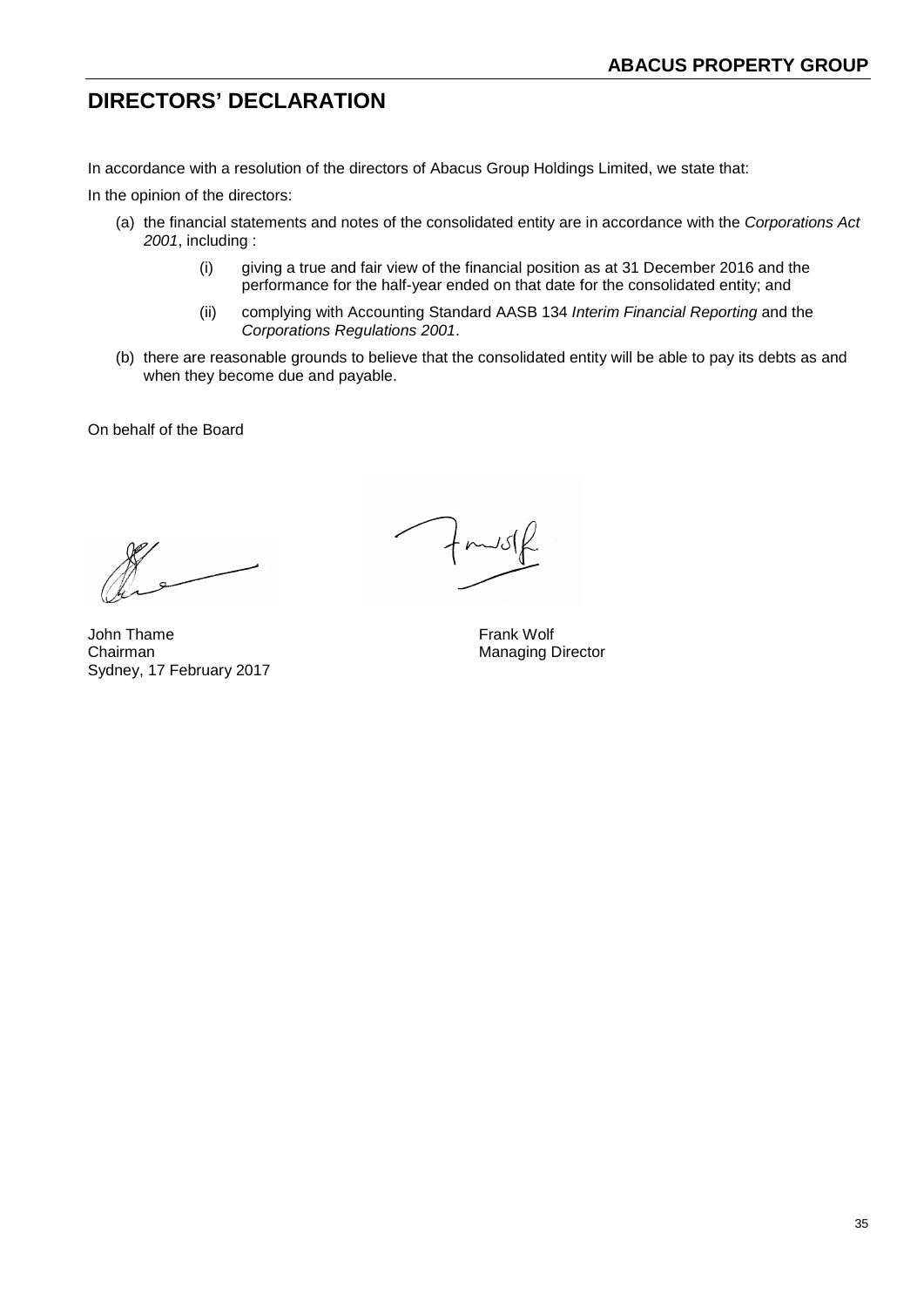# **DIRECTORS' DECLARATION**

In accordance with a resolution of the directors of Abacus Group Holdings Limited, we state that:

In the opinion of the directors:

- (a) the financial statements and notes of the consolidated entity are in accordance with the *Corporations Act 2001*, including :
	- (i) giving a true and fair view of the financial position as at 31 December 2016 and the performance for the half-year ended on that date for the consolidated entity; and
	- (ii) complying with Accounting Standard AASB 134 *Interim Financial Reporting* and the *Corporations Regulations 2001*.
- (b) there are reasonable grounds to believe that the consolidated entity will be able to pay its debts as and when they become due and payable.

On behalf of the Board

John Thame **Frank Wolf** Chairman Managing Director Sydney, 17 February 2017

 $7 + \text{m/sf}$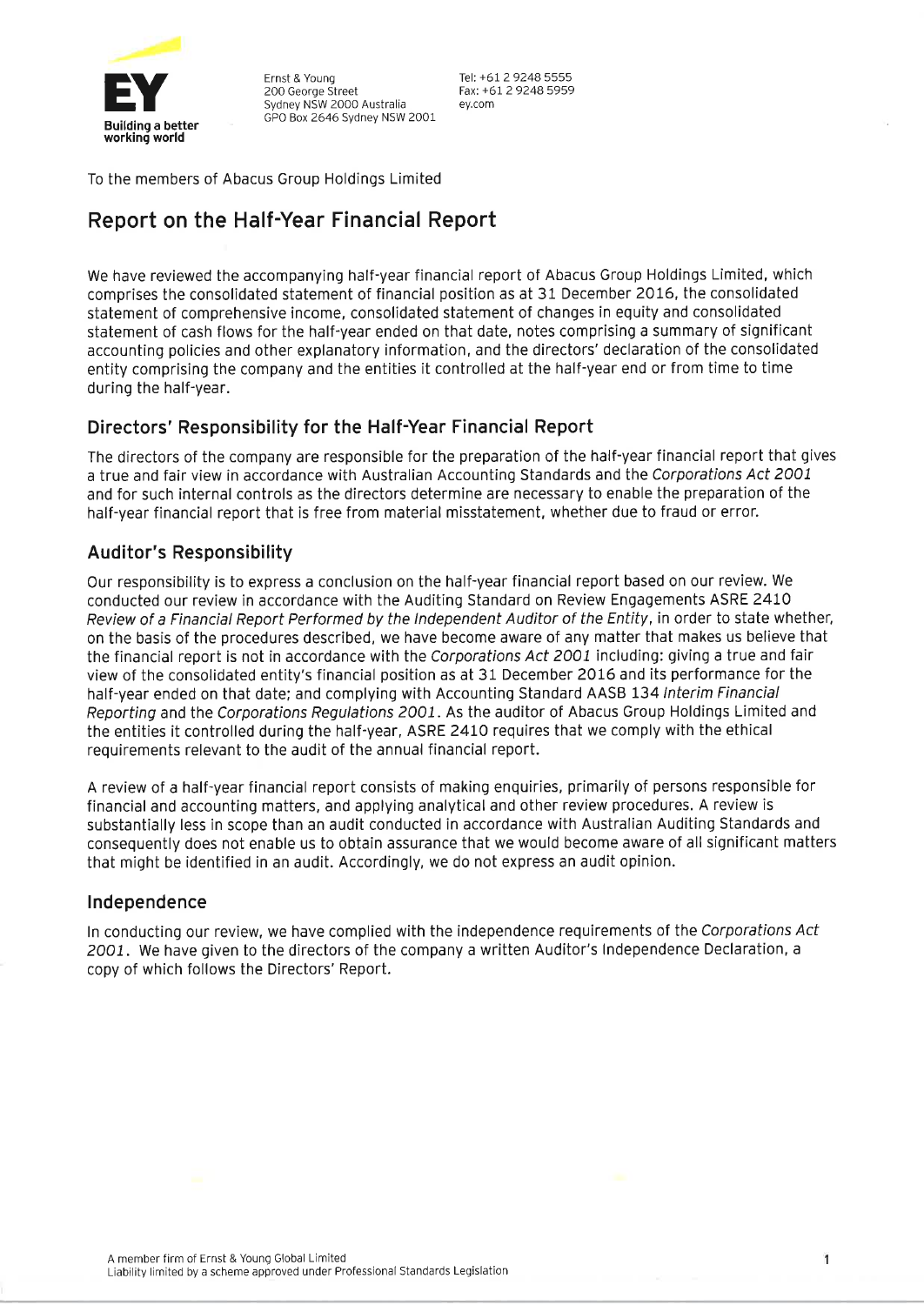

Ernst & Young 200 George Street Sydney NSW 2000 Australia GPO Box 2646 Sydney NSW 2001 Tel: +61 2 9248 5555 Fax: +61 2 9248 5959 ev.com

To the members of Abacus Group Holdings Limited

# Report on the Half-Year Financial Report

We have reviewed the accompanying half-year financial report of Abacus Group Holdings Limited, which comprises the consolidated statement of financial position as at 31 December 2016, the consolidated statement of comprehensive income, consolidated statement of changes in equity and consolidated statement of cash flows for the half-year ended on that date, notes comprising a summary of significant accounting policies and other explanatory information, and the directors' declaration of the consolidated entity comprising the company and the entities it controlled at the half-year end or from time to time during the half-year.

# Directors' Responsibility for the Half-Year Financial Report

The directors of the company are responsible for the preparation of the half-year financial report that gives a true and fair view in accordance with Australian Accounting Standards and the Corporations Act 2001 and for such internal controls as the directors determine are necessary to enable the preparation of the half-year financial report that is free from material misstatement, whether due to fraud or error.

# **Auditor's Responsibility**

Our responsibility is to express a conclusion on the half-year financial report based on our review. We conducted our review in accordance with the Auditing Standard on Review Engagements ASRE 2410 Review of a Financial Report Performed by the Independent Auditor of the Entity, in order to state whether, on the basis of the procedures described, we have become aware of any matter that makes us believe that the financial report is not in accordance with the Corporations Act 2001 including: giving a true and fair view of the consolidated entity's financial position as at 31 December 2016 and its performance for the half-year ended on that date; and complying with Accounting Standard AASB 134 Interim Financial Reporting and the Corporations Regulations 2001. As the auditor of Abacus Group Holdings Limited and the entities it controlled during the half-year, ASRE 2410 requires that we comply with the ethical requirements relevant to the audit of the annual financial report.

A review of a half-year financial report consists of making enquiries, primarily of persons responsible for financial and accounting matters, and applying analytical and other review procedures. A review is substantially less in scope than an audit conducted in accordance with Australian Auditing Standards and consequently does not enable us to obtain assurance that we would become aware of all significant matters that might be identified in an audit. Accordingly, we do not express an audit opinion.

# Independence

In conducting our review, we have complied with the independence requirements of the Corporations Act 2001. We have given to the directors of the company a written Auditor's Independence Declaration, a copy of which follows the Directors' Report.